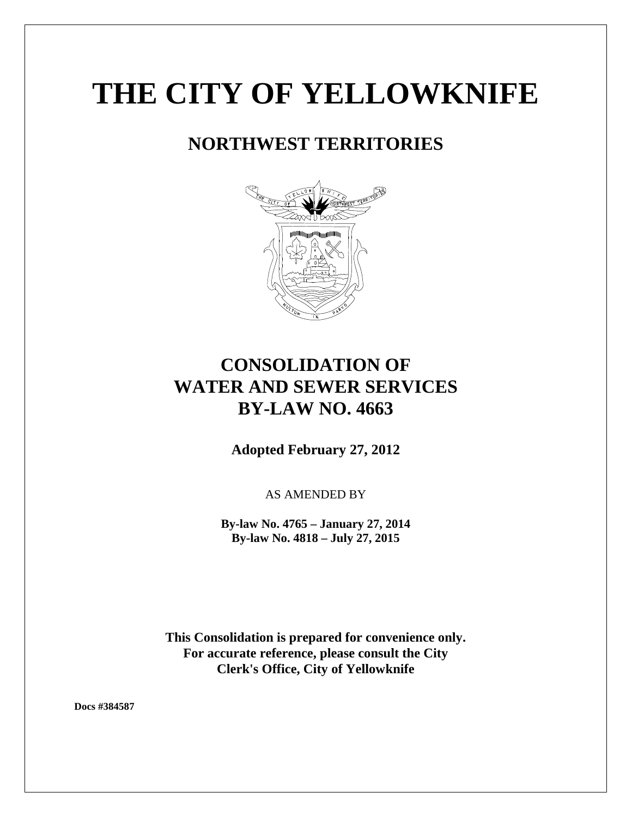# **THE CITY OF YELLOWKNIFE**

# **NORTHWEST TERRITORIES**



# **CONSOLIDATION OF WATER AND SEWER SERVICES BY-LAW NO. 4663**

**Adopted February 27, 2012**

AS AMENDED BY

**By-law No. 4765 – January 27, 2014 By-law No. 4818 – July 27, 2015**

**This Consolidation is prepared for convenience only. For accurate reference, please consult the City Clerk's Office, City of Yellowknife**

**Docs #384587**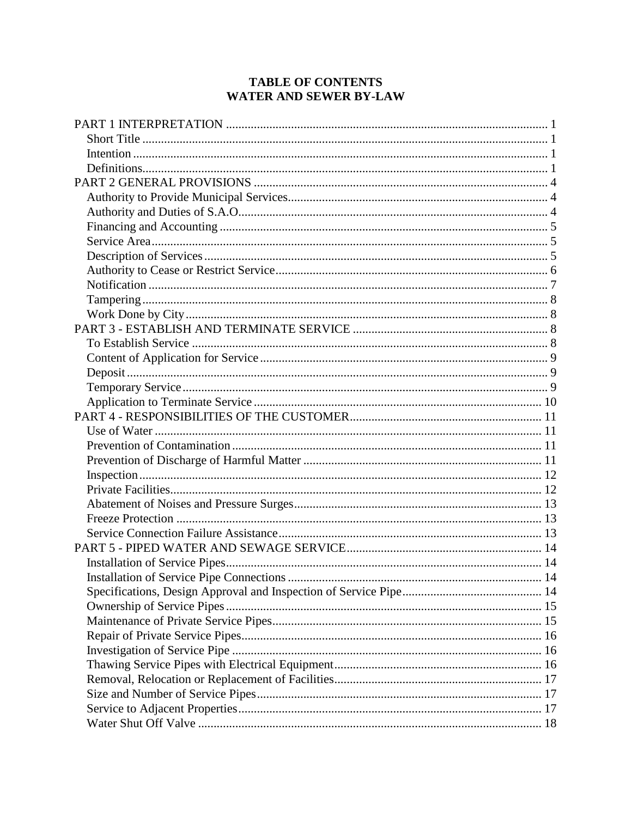# **TABLE OF CONTENTS** WATER AND SEWER BY-LAW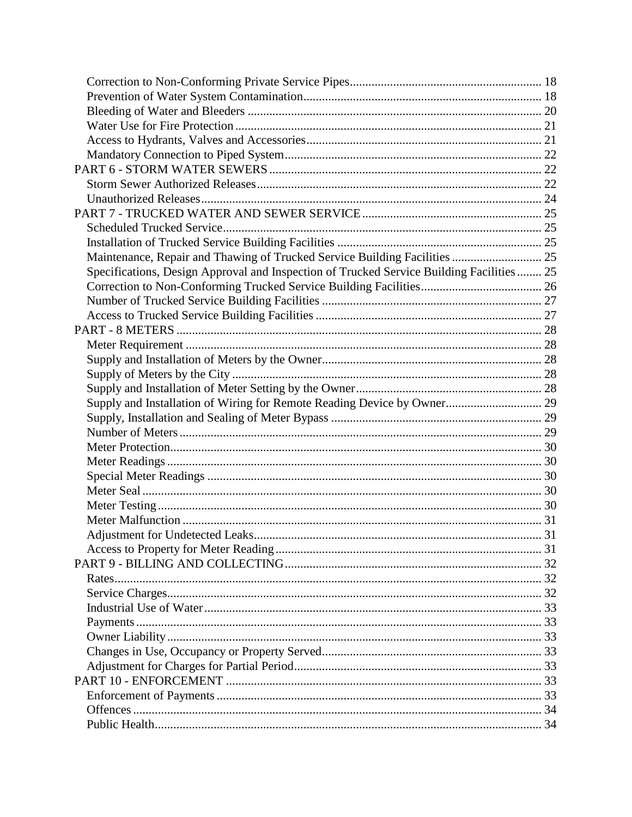| Maintenance, Repair and Thawing of Trucked Service Building Facilities  25                |  |
|-------------------------------------------------------------------------------------------|--|
| Specifications, Design Approval and Inspection of Trucked Service Building Facilities  25 |  |
|                                                                                           |  |
|                                                                                           |  |
|                                                                                           |  |
|                                                                                           |  |
|                                                                                           |  |
|                                                                                           |  |
|                                                                                           |  |
|                                                                                           |  |
| Supply and Installation of Wiring for Remote Reading Device by Owner 29                   |  |
|                                                                                           |  |
|                                                                                           |  |
|                                                                                           |  |
|                                                                                           |  |
|                                                                                           |  |
|                                                                                           |  |
|                                                                                           |  |
|                                                                                           |  |
|                                                                                           |  |
|                                                                                           |  |
|                                                                                           |  |
|                                                                                           |  |
|                                                                                           |  |
|                                                                                           |  |
|                                                                                           |  |
|                                                                                           |  |
|                                                                                           |  |
|                                                                                           |  |
|                                                                                           |  |
|                                                                                           |  |
|                                                                                           |  |
|                                                                                           |  |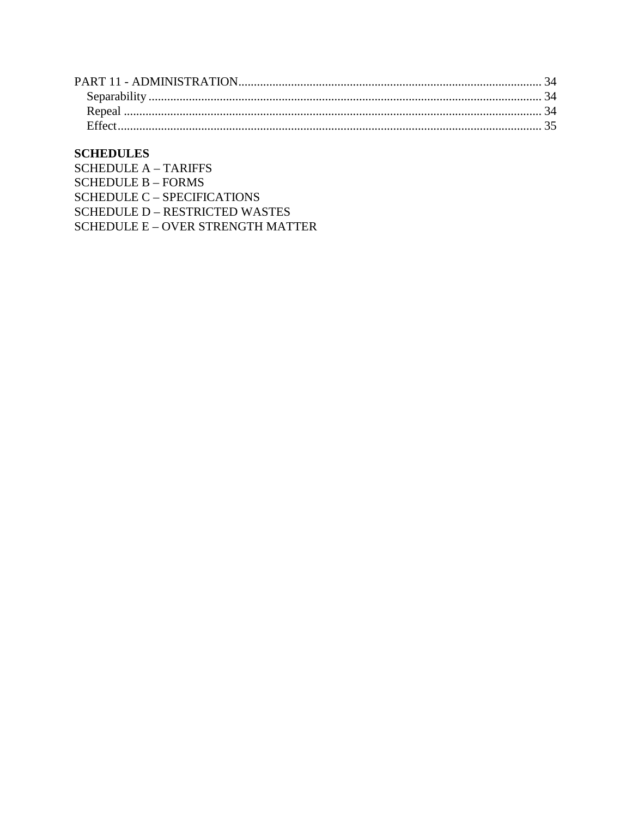# **SCHEDULES**

SCHEDULE  $A - TARIFFS$ **SCHEDULE B - FORMS SCHEDULE C - SPECIFICATIONS SCHEDULE D – RESTRICTED WASTES** SCHEDULE E - OVER STRENGTH MATTER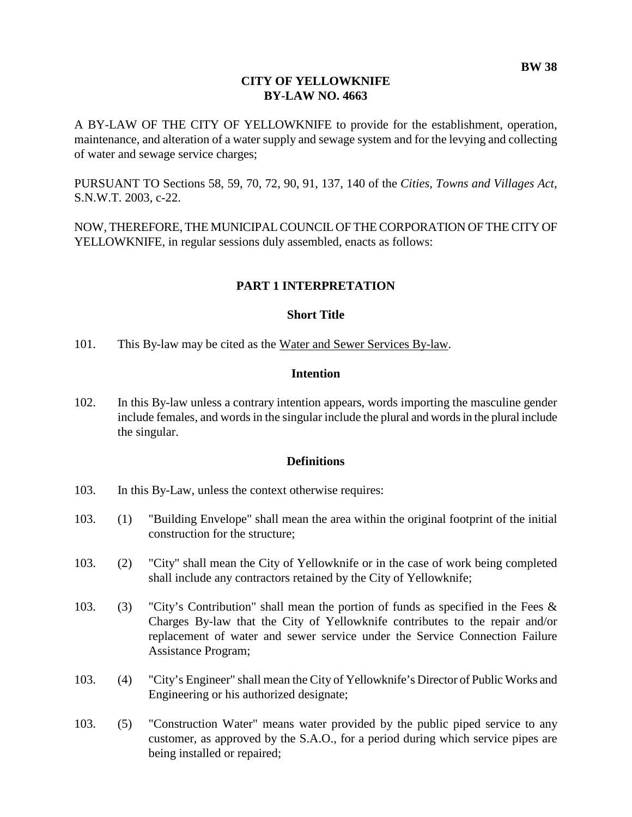#### **CITY OF YELLOWKNIFE BY-LAW NO. 4663**

A BY-LAW OF THE CITY OF YELLOWKNIFE to provide for the establishment, operation, maintenance, and alteration of a water supply and sewage system and for the levying and collecting of water and sewage service charges;

PURSUANT TO Sections 58, 59, 70, 72, 90, 91, 137, 140 of the *Cities, Towns and Villages Act*, S.N.W.T. 2003, c-22.

NOW, THEREFORE, THE MUNICIPAL COUNCIL OF THE CORPORATION OF THE CITY OF YELLOWKNIFE, in regular sessions duly assembled, enacts as follows:

# <span id="page-4-0"></span>**PART 1 INTERPRETATION**

#### <span id="page-4-1"></span>**Short Title**

101. This By-law may be cited as the Water and Sewer Services By-law.

#### <span id="page-4-2"></span>**Intention**

102. In this By-law unless a contrary intention appears, words importing the masculine gender include females, and words in the singular include the plural and words in the plural include the singular.

#### <span id="page-4-3"></span>**Definitions**

- 103. In this By-Law, unless the context otherwise requires:
- 103. (1) "Building Envelope" shall mean the area within the original footprint of the initial construction for the structure;
- 103. (2) "City" shall mean the City of Yellowknife or in the case of work being completed shall include any contractors retained by the City of Yellowknife;
- 103. (3) "City's Contribution" shall mean the portion of funds as specified in the Fees & Charges By-law that the City of Yellowknife contributes to the repair and/or replacement of water and sewer service under the Service Connection Failure Assistance Program;
- 103. (4) "City's Engineer" shall mean the City of Yellowknife's Director of Public Works and Engineering or his authorized designate;
- 103. (5) "Construction Water" means water provided by the public piped service to any customer, as approved by the S.A.O., for a period during which service pipes are being installed or repaired;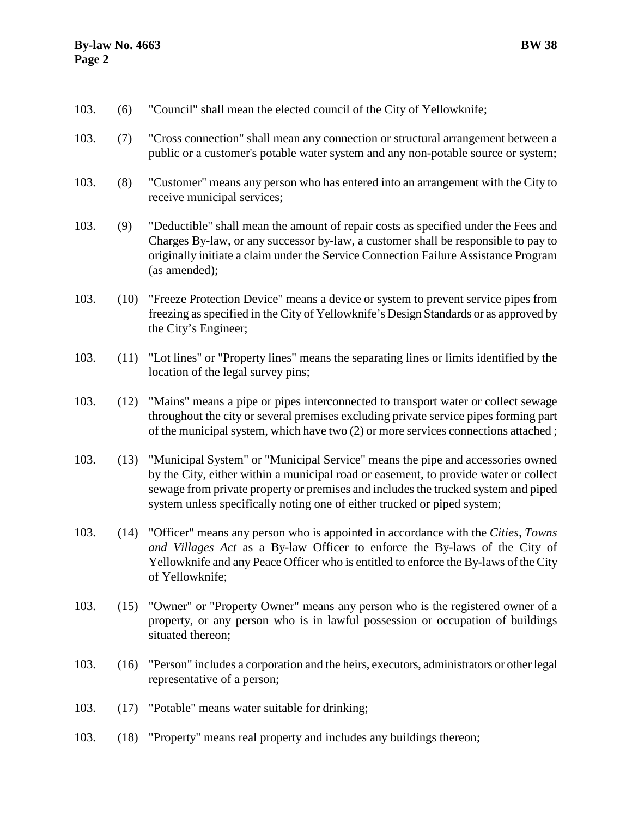- 103. (6) "Council" shall mean the elected council of the City of Yellowknife;
- 103. (7) "Cross connection" shall mean any connection or structural arrangement between a public or a customer's potable water system and any non-potable source or system;
- 103. (8) "Customer" means any person who has entered into an arrangement with the City to receive municipal services;
- 103. (9) "Deductible" shall mean the amount of repair costs as specified under the Fees and Charges By-law, or any successor by-law, a customer shall be responsible to pay to originally initiate a claim under the Service Connection Failure Assistance Program (as amended);
- 103. (10) "Freeze Protection Device" means a device or system to prevent service pipes from freezing as specified in the City of Yellowknife's Design Standards or as approved by the City's Engineer;
- 103. (11) "Lot lines" or "Property lines" means the separating lines or limits identified by the location of the legal survey pins;
- 103. (12) "Mains" means a pipe or pipes interconnected to transport water or collect sewage throughout the city or several premises excluding private service pipes forming part of the municipal system, which have two (2) or more services connections attached ;
- 103. (13) "Municipal System" or "Municipal Service" means the pipe and accessories owned by the City, either within a municipal road or easement, to provide water or collect sewage from private property or premises and includes the trucked system and piped system unless specifically noting one of either trucked or piped system;
- 103. (14) "Officer" means any person who is appointed in accordance with the *Cities, Towns and Villages Act* as a By-law Officer to enforce the By-laws of the City of Yellowknife and any Peace Officer who is entitled to enforce the By-laws of the City of Yellowknife;
- 103. (15) "Owner" or "Property Owner" means any person who is the registered owner of a property, or any person who is in lawful possession or occupation of buildings situated thereon;
- 103. (16) "Person" includes a corporation and the heirs, executors, administrators or other legal representative of a person;
- 103. (17) "Potable" means water suitable for drinking;
- 103. (18) "Property" means real property and includes any buildings thereon;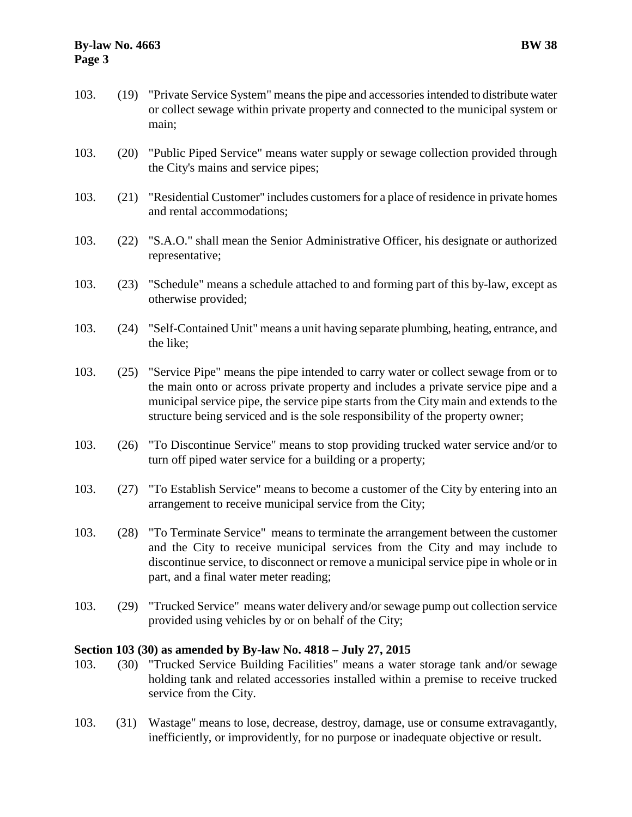# **By-law No. 4663 BW 38 Page 3**

- 103. (19) "Private Service System" means the pipe and accessories intended to distribute water or collect sewage within private property and connected to the municipal system or main;
- 103. (20) "Public Piped Service" means water supply or sewage collection provided through the City's mains and service pipes;
- 103. (21) "Residential Customer" includes customers for a place of residence in private homes and rental accommodations;
- 103. (22) "S.A.O." shall mean the Senior Administrative Officer, his designate or authorized representative;
- 103. (23) "Schedule" means a schedule attached to and forming part of this by-law, except as otherwise provided;
- 103. (24) "Self-Contained Unit" means a unit having separate plumbing, heating, entrance, and the like;
- 103. (25) "Service Pipe" means the pipe intended to carry water or collect sewage from or to the main onto or across private property and includes a private service pipe and a municipal service pipe, the service pipe starts from the City main and extends to the structure being serviced and is the sole responsibility of the property owner;
- 103. (26) "To Discontinue Service" means to stop providing trucked water service and/or to turn off piped water service for a building or a property;
- 103. (27) "To Establish Service" means to become a customer of the City by entering into an arrangement to receive municipal service from the City;
- 103. (28) "To Terminate Service" means to terminate the arrangement between the customer and the City to receive municipal services from the City and may include to discontinue service, to disconnect or remove a municipal service pipe in whole or in part, and a final water meter reading;
- 103. (29) "Trucked Service" means water delivery and/or sewage pump out collection service provided using vehicles by or on behalf of the City;

# **Section 103 (30) as amended by By-law No. 4818 – July 27, 2015**

- 103. (30) "Trucked Service Building Facilities" means a water storage tank and/or sewage holding tank and related accessories installed within a premise to receive trucked service from the City.
- 103. (31) Wastage" means to lose, decrease, destroy, damage, use or consume extravagantly, inefficiently, or improvidently, for no purpose or inadequate objective or result.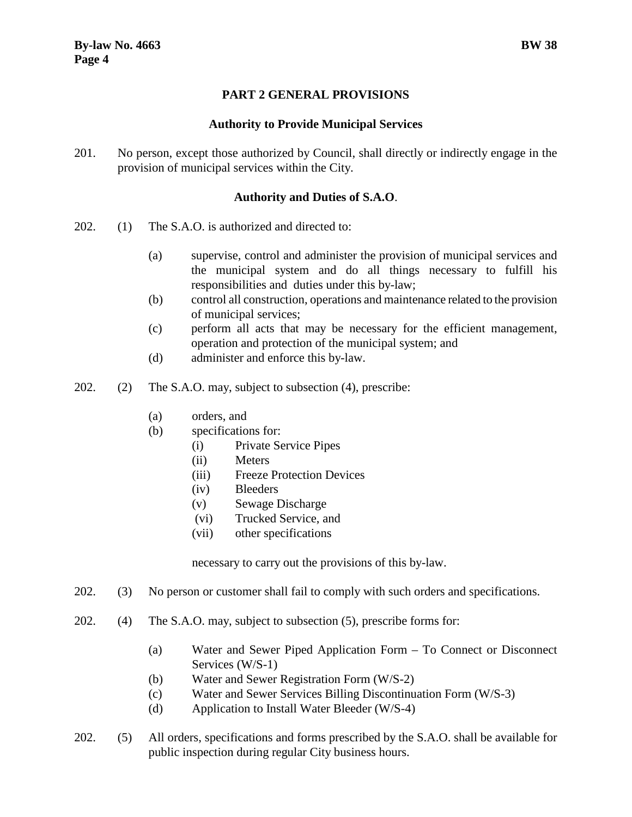# **PART 2 GENERAL PROVISIONS**

#### <span id="page-7-1"></span>**Authority to Provide Municipal Services**

<span id="page-7-0"></span>201. No person, except those authorized by Council, shall directly or indirectly engage in the provision of municipal services within the City.

# <span id="page-7-2"></span>**Authority and Duties of S.A.O**.

- 202. (1) The S.A.O. is authorized and directed to:
	- (a) supervise, control and administer the provision of municipal services and the municipal system and do all things necessary to fulfill his responsibilities and duties under this by-law;
	- (b) control all construction, operations and maintenance related to the provision of municipal services;
	- (c) perform all acts that may be necessary for the efficient management, operation and protection of the municipal system; and
	- (d) administer and enforce this by-law.
- 202. (2) The S.A.O. may, subject to subsection (4), prescribe:
	- (a) orders, and
	- (b) specifications for:
		- (i) Private Service Pipes
		- (ii) Meters
		- (iii) Freeze Protection Devices
		- (iv) Bleeders
		- (v) Sewage Discharge
		- (vi) Trucked Service, and
		- (vii) other specifications

necessary to carry out the provisions of this by-law.

- 202. (3) No person or customer shall fail to comply with such orders and specifications.
- 202. (4) The S.A.O. may, subject to subsection (5), prescribe forms for:
	- (a) Water and Sewer Piped Application Form To Connect or Disconnect Services (W/S-1)
	- (b) Water and Sewer Registration Form (W/S-2)
	- (c) Water and Sewer Services Billing Discontinuation Form (W/S-3)
	- (d) Application to Install Water Bleeder (W/S-4)
- 202. (5) All orders, specifications and forms prescribed by the S.A.O. shall be available for public inspection during regular City business hours.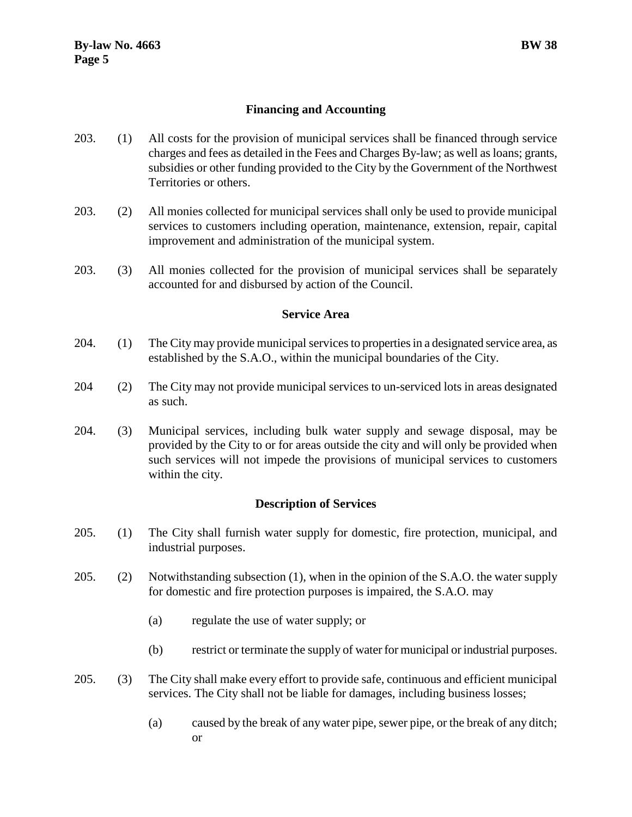# <span id="page-8-0"></span>**Financing and Accounting**

- 203. (1) All costs for the provision of municipal services shall be financed through service charges and fees as detailed in the Fees and Charges By-law; as well as loans; grants, subsidies or other funding provided to the City by the Government of the Northwest Territories or others.
- 203. (2) All monies collected for municipal services shall only be used to provide municipal services to customers including operation, maintenance, extension, repair, capital improvement and administration of the municipal system.
- 203. (3) All monies collected for the provision of municipal services shall be separately accounted for and disbursed by action of the Council.

#### <span id="page-8-1"></span>**Service Area**

- 204. (1) The City may provide municipal services to properties in a designated service area, as established by the S.A.O., within the municipal boundaries of the City.
- 204 (2) The City may not provide municipal services to un-serviced lots in areas designated as such.
- 204. (3) Municipal services, including bulk water supply and sewage disposal, may be provided by the City to or for areas outside the city and will only be provided when such services will not impede the provisions of municipal services to customers within the city.

# <span id="page-8-2"></span>**Description of Services**

- 205. (1) The City shall furnish water supply for domestic, fire protection, municipal, and industrial purposes.
- 205. (2) Notwithstanding subsection (1), when in the opinion of the S.A.O. the water supply for domestic and fire protection purposes is impaired, the S.A.O. may
	- (a) regulate the use of water supply; or
	- (b) restrict or terminate the supply of water for municipal or industrial purposes.
- 205. (3) The City shall make every effort to provide safe, continuous and efficient municipal services. The City shall not be liable for damages, including business losses;
	- (a) caused by the break of any water pipe, sewer pipe, or the break of any ditch; or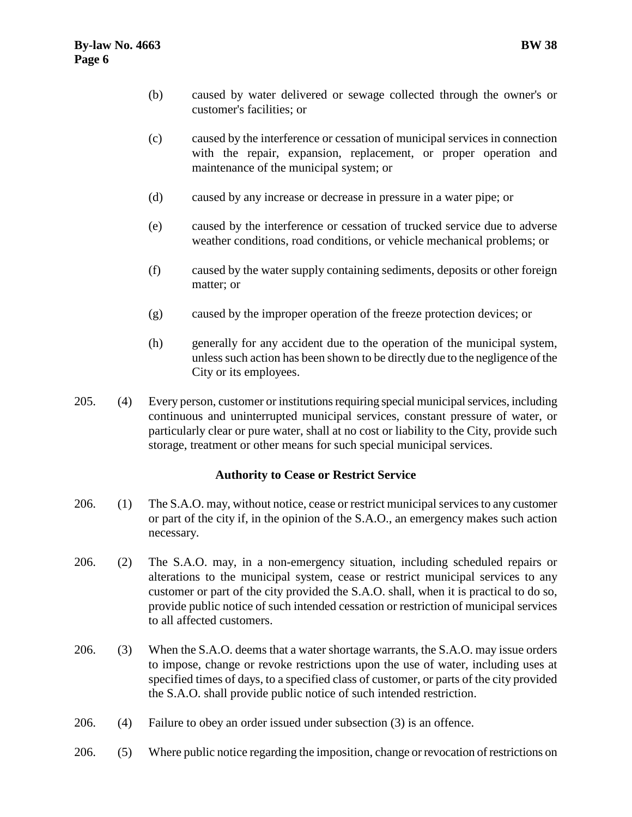- (b) caused by water delivered or sewage collected through the owner's or customer's facilities; or
- (c) caused by the interference or cessation of municipal services in connection with the repair, expansion, replacement, or proper operation and maintenance of the municipal system; or
- (d) caused by any increase or decrease in pressure in a water pipe; or
- (e) caused by the interference or cessation of trucked service due to adverse weather conditions, road conditions, or vehicle mechanical problems; or
- (f) caused by the water supply containing sediments, deposits or other foreign matter; or
- (g) caused by the improper operation of the freeze protection devices; or
- (h) generally for any accident due to the operation of the municipal system, unless such action has been shown to be directly due to the negligence of the City or its employees.
- 205. (4) Every person, customer or institutions requiring special municipal services, including continuous and uninterrupted municipal services, constant pressure of water, or particularly clear or pure water, shall at no cost or liability to the City, provide such storage, treatment or other means for such special municipal services.

# <span id="page-9-0"></span>**Authority to Cease or Restrict Service**

- 206. (1) The S.A.O. may, without notice, cease or restrict municipal services to any customer or part of the city if, in the opinion of the S.A.O., an emergency makes such action necessary.
- 206. (2) The S.A.O. may, in a non-emergency situation, including scheduled repairs or alterations to the municipal system, cease or restrict municipal services to any customer or part of the city provided the S.A.O. shall, when it is practical to do so, provide public notice of such intended cessation or restriction of municipal services to all affected customers.
- 206. (3) When the S.A.O. deems that a water shortage warrants, the S.A.O. may issue orders to impose, change or revoke restrictions upon the use of water, including uses at specified times of days, to a specified class of customer, or parts of the city provided the S.A.O. shall provide public notice of such intended restriction.
- 206. (4) Failure to obey an order issued under subsection (3) is an offence.
- 206. (5) Where public notice regarding the imposition, change or revocation of restrictions on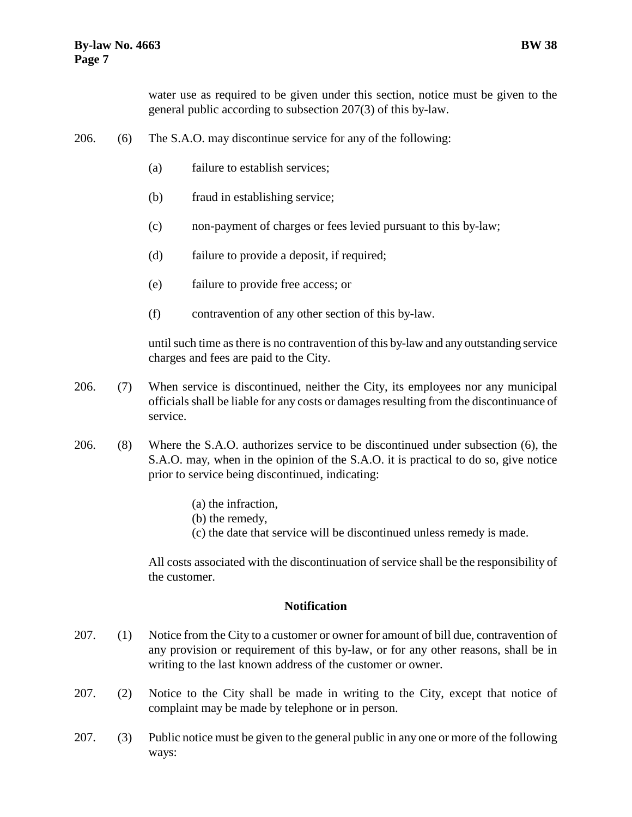water use as required to be given under this section, notice must be given to the general public according to subsection 207(3) of this by-law.

- 206. (6) The S.A.O. may discontinue service for any of the following:
	- (a) failure to establish services;
	- (b) fraud in establishing service;
	- (c) non-payment of charges or fees levied pursuant to this by-law;
	- (d) failure to provide a deposit, if required;
	- (e) failure to provide free access; or
	- (f) contravention of any other section of this by-law.

until such time as there is no contravention of this by-law and any outstanding service charges and fees are paid to the City.

- 206. (7) When service is discontinued, neither the City, its employees nor any municipal officials shall be liable for any costs or damages resulting from the discontinuance of service.
- 206. (8) Where the S.A.O. authorizes service to be discontinued under subsection (6), the S.A.O. may, when in the opinion of the S.A.O. it is practical to do so, give notice prior to service being discontinued, indicating:
	- (a) the infraction,
	- (b) the remedy,
	- (c) the date that service will be discontinued unless remedy is made.

All costs associated with the discontinuation of service shall be the responsibility of the customer.

#### <span id="page-10-0"></span>**Notification**

- 207. (1) Notice from the City to a customer or owner for amount of bill due, contravention of any provision or requirement of this by-law, or for any other reasons, shall be in writing to the last known address of the customer or owner.
- 207. (2) Notice to the City shall be made in writing to the City, except that notice of complaint may be made by telephone or in person.
- 207. (3) Public notice must be given to the general public in any one or more of the following ways: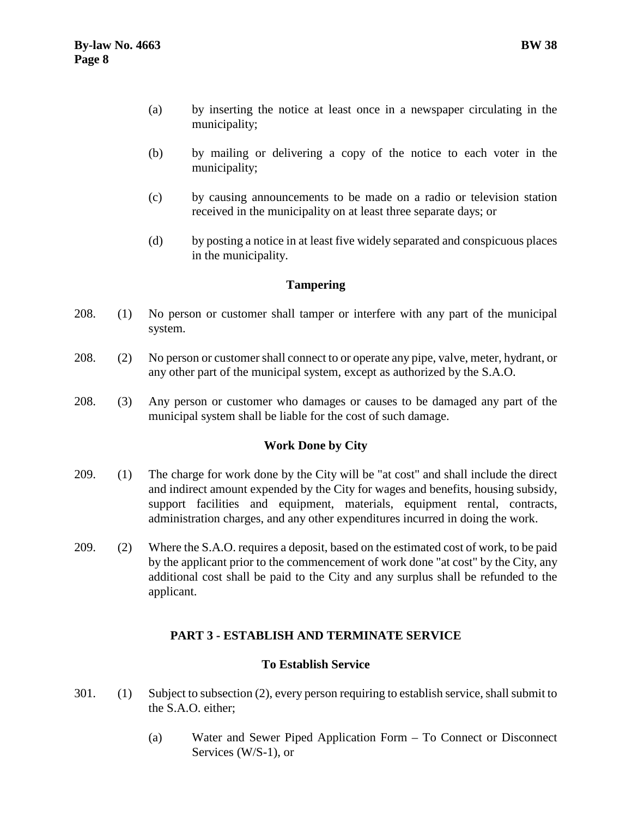- (a) by inserting the notice at least once in a newspaper circulating in the municipality;
- (b) by mailing or delivering a copy of the notice to each voter in the municipality;
- (c) by causing announcements to be made on a radio or television station received in the municipality on at least three separate days; or
- (d) by posting a notice in at least five widely separated and conspicuous places in the municipality.

# <span id="page-11-0"></span>**Tampering**

- 208. (1) No person or customer shall tamper or interfere with any part of the municipal system.
- 208. (2) No person or customer shall connect to or operate any pipe, valve, meter, hydrant, or any other part of the municipal system, except as authorized by the S.A.O.
- 208. (3) Any person or customer who damages or causes to be damaged any part of the municipal system shall be liable for the cost of such damage.

# <span id="page-11-1"></span>**Work Done by City**

- 209. (1) The charge for work done by the City will be "at cost" and shall include the direct and indirect amount expended by the City for wages and benefits, housing subsidy, support facilities and equipment, materials, equipment rental, contracts, administration charges, and any other expenditures incurred in doing the work.
- 209. (2) Where the S.A.O. requires a deposit, based on the estimated cost of work, to be paid by the applicant prior to the commencement of work done "at cost" by the City, any additional cost shall be paid to the City and any surplus shall be refunded to the applicant.

# <span id="page-11-2"></span>**PART 3 - ESTABLISH AND TERMINATE SERVICE**

# <span id="page-11-3"></span>**To Establish Service**

- 301. (1) Subject to subsection (2), every person requiring to establish service, shall submit to the S.A.O. either;
	- (a) Water and Sewer Piped Application Form To Connect or Disconnect Services (W/S-1), or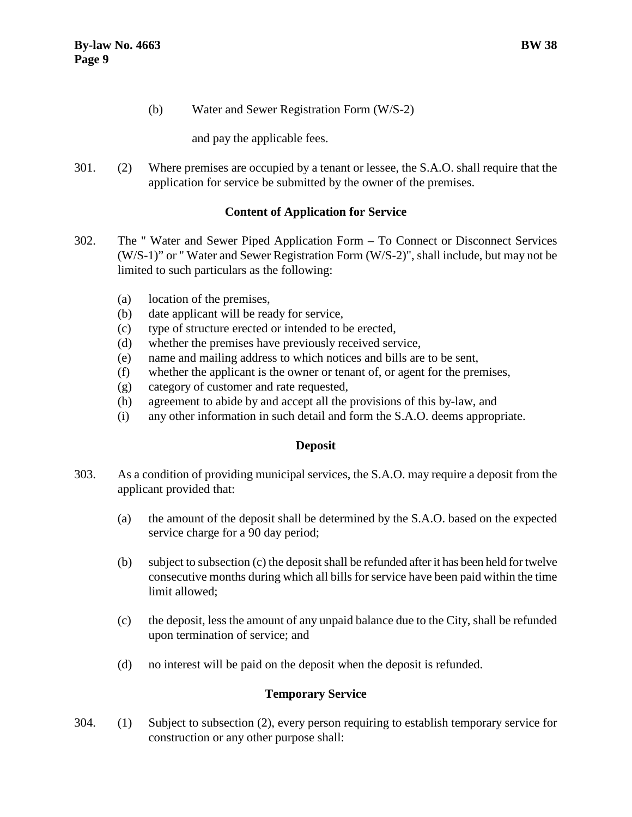(b) Water and Sewer Registration Form (W/S-2)

and pay the applicable fees.

301. (2) Where premises are occupied by a tenant or lessee, the S.A.O. shall require that the application for service be submitted by the owner of the premises.

# <span id="page-12-0"></span>**Content of Application for Service**

- 302. The " Water and Sewer Piped Application Form To Connect or Disconnect Services (W/S-1)" or " Water and Sewer Registration Form (W/S-2)", shall include, but may not be limited to such particulars as the following:
	- (a) location of the premises,
	- (b) date applicant will be ready for service,
	- (c) type of structure erected or intended to be erected,
	- (d) whether the premises have previously received service,
	- (e) name and mailing address to which notices and bills are to be sent,
	- (f) whether the applicant is the owner or tenant of, or agent for the premises,
	- (g) category of customer and rate requested,
	- (h) agreement to abide by and accept all the provisions of this by-law, and
	- (i) any other information in such detail and form the S.A.O. deems appropriate.

# <span id="page-12-1"></span>**Deposit**

- 303. As a condition of providing municipal services, the S.A.O. may require a deposit from the applicant provided that:
	- (a) the amount of the deposit shall be determined by the S.A.O. based on the expected service charge for a 90 day period;
	- (b) subject to subsection (c) the deposit shall be refunded after it has been held for twelve consecutive months during which all bills for service have been paid within the time limit allowed;
	- (c) the deposit, less the amount of any unpaid balance due to the City, shall be refunded upon termination of service; and
	- (d) no interest will be paid on the deposit when the deposit is refunded.

# <span id="page-12-2"></span>**Temporary Service**

304. (1) Subject to subsection (2), every person requiring to establish temporary service for construction or any other purpose shall: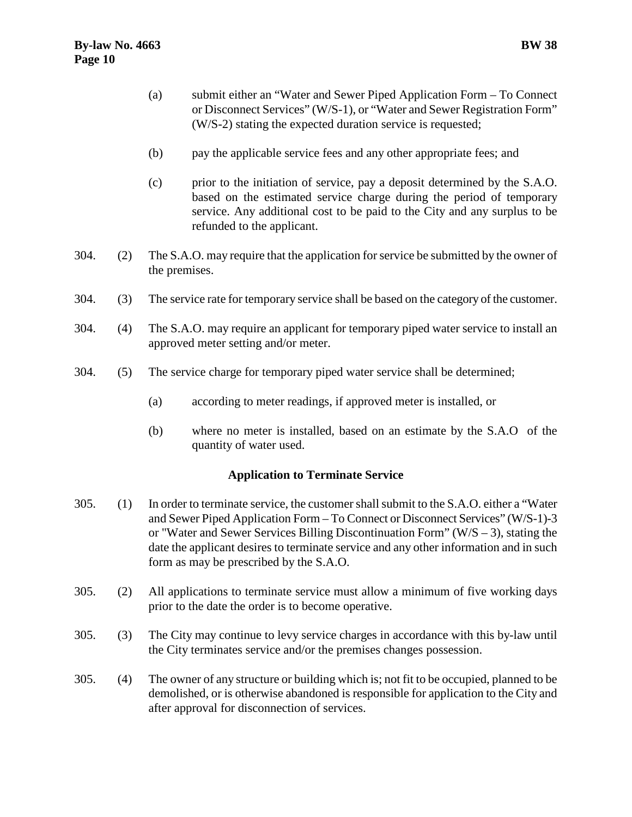- (a) submit either an "Water and Sewer Piped Application Form To Connect or Disconnect Services" (W/S-1), or "Water and Sewer Registration Form" (W/S-2) stating the expected duration service is requested;
- (b) pay the applicable service fees and any other appropriate fees; and
- (c) prior to the initiation of service, pay a deposit determined by the S.A.O. based on the estimated service charge during the period of temporary service. Any additional cost to be paid to the City and any surplus to be refunded to the applicant.
- 304. (2) The S.A.O. may require that the application for service be submitted by the owner of the premises.
- 304. (3) The service rate for temporary service shall be based on the category of the customer.
- 304. (4) The S.A.O. may require an applicant for temporary piped water service to install an approved meter setting and/or meter.
- 304. (5) The service charge for temporary piped water service shall be determined;
	- (a) according to meter readings, if approved meter is installed, or
	- (b) where no meter is installed, based on an estimate by the S.A.O of the quantity of water used.

# <span id="page-13-0"></span>**Application to Terminate Service**

- 305. (1) In order to terminate service, the customer shall submit to the S.A.O. either a "Water and Sewer Piped Application Form – To Connect or Disconnect Services" (W/S-1)-3 or "Water and Sewer Services Billing Discontinuation Form" (W/S – 3), stating the date the applicant desires to terminate service and any other information and in such form as may be prescribed by the S.A.O.
- 305. (2) All applications to terminate service must allow a minimum of five working days prior to the date the order is to become operative.
- 305. (3) The City may continue to levy service charges in accordance with this by-law until the City terminates service and/or the premises changes possession.
- <span id="page-13-1"></span>305. (4) The owner of any structure or building which is; not fit to be occupied, planned to be demolished, or is otherwise abandoned is responsible for application to the City and after approval for disconnection of services.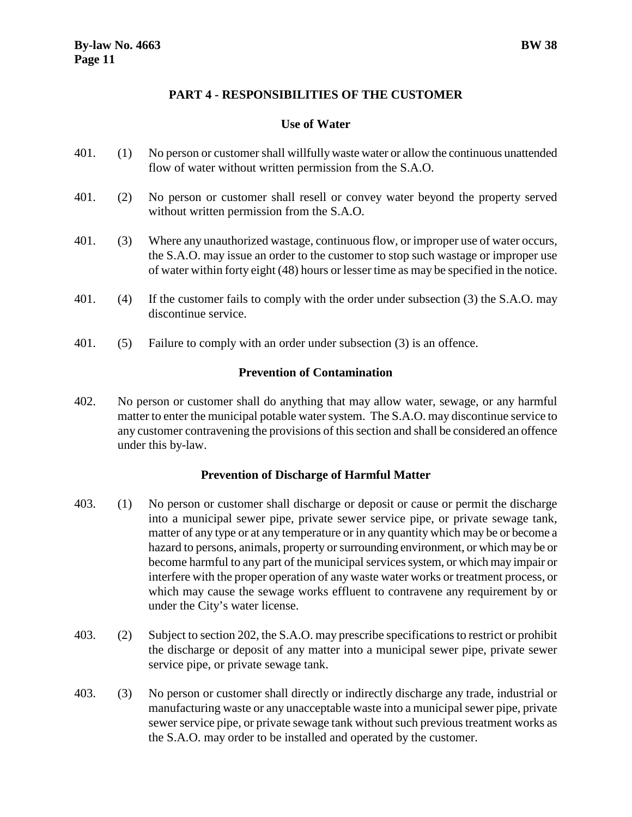# **PART 4 - RESPONSIBILITIES OF THE CUSTOMER**

#### <span id="page-14-0"></span>**Use of Water**

- 401. (1) No person or customer shall willfully waste water or allow the continuous unattended flow of water without written permission from the S.A.O.
- 401. (2) No person or customer shall resell or convey water beyond the property served without written permission from the S.A.O.
- 401. (3) Where any unauthorized wastage, continuous flow, or improper use of water occurs, the S.A.O. may issue an order to the customer to stop such wastage or improper use of water within forty eight (48) hours or lesser time as may be specified in the notice.
- 401. (4) If the customer fails to comply with the order under subsection (3) the S.A.O. may discontinue service.
- <span id="page-14-1"></span>401. (5) Failure to comply with an order under subsection (3) is an offence.

#### **Prevention of Contamination**

402. No person or customer shall do anything that may allow water, sewage, or any harmful matter to enter the municipal potable water system. The S.A.O. may discontinue service to any customer contravening the provisions of this section and shall be considered an offence under this by-law.

#### <span id="page-14-2"></span>**Prevention of Discharge of Harmful Matter**

- 403. (1) No person or customer shall discharge or deposit or cause or permit the discharge into a municipal sewer pipe, private sewer service pipe, or private sewage tank, matter of any type or at any temperature or in any quantity which may be or become a hazard to persons, animals, property or surrounding environment, or which may be or become harmful to any part of the municipal services system, or which may impair or interfere with the proper operation of any waste water works or treatment process, or which may cause the sewage works effluent to contravene any requirement by or under the City's water license.
- 403. (2) Subject to section 202, the S.A.O. may prescribe specifications to restrict or prohibit the discharge or deposit of any matter into a municipal sewer pipe, private sewer service pipe, or private sewage tank.
- 403. (3) No person or customer shall directly or indirectly discharge any trade, industrial or manufacturing waste or any unacceptable waste into a municipal sewer pipe, private sewer service pipe, or private sewage tank without such previous treatment works as the S.A.O. may order to be installed and operated by the customer.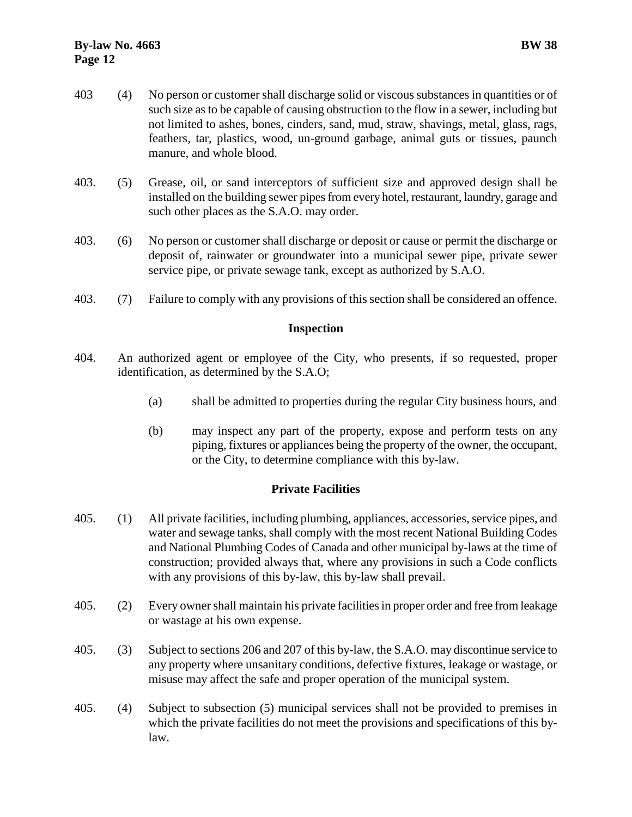- 403 (4) No person or customer shall discharge solid or viscous substances in quantities or of such size as to be capable of causing obstruction to the flow in a sewer, including but not limited to ashes, bones, cinders, sand, mud, straw, shavings, metal, glass, rags, feathers, tar, plastics, wood, un-ground garbage, animal guts or tissues, paunch manure, and whole blood.
- 403. (5) Grease, oil, or sand interceptors of sufficient size and approved design shall be installed on the building sewer pipes from every hotel, restaurant, laundry, garage and such other places as the S.A.O. may order.
- 403. (6) No person or customer shall discharge or deposit or cause or permit the discharge or deposit of, rainwater or groundwater into a municipal sewer pipe, private sewer service pipe, or private sewage tank, except as authorized by S.A.O.
- 403. (7) Failure to comply with any provisions of this section shall be considered an offence.

# <span id="page-15-0"></span>**Inspection**

- 404. An authorized agent or employee of the City, who presents, if so requested, proper identification, as determined by the S.A.O;
	- (a) shall be admitted to properties during the regular City business hours, and
	- (b) may inspect any part of the property, expose and perform tests on any piping, fixtures or appliances being the property of the owner, the occupant, or the City, to determine compliance with this by-law.

# <span id="page-15-1"></span>**Private Facilities**

- 405. (1) All private facilities, including plumbing, appliances, accessories, service pipes, and water and sewage tanks, shall comply with the most recent National Building Codes and National Plumbing Codes of Canada and other municipal by-laws at the time of construction; provided always that, where any provisions in such a Code conflicts with any provisions of this by-law, this by-law shall prevail.
- 405. (2) Every owner shall maintain his private facilities in proper order and free from leakage or wastage at his own expense.
- 405. (3) Subject to sections 206 and 207 of this by-law, the S.A.O. may discontinue service to any property where unsanitary conditions, defective fixtures, leakage or wastage, or misuse may affect the safe and proper operation of the municipal system.
- 405. (4) Subject to subsection (5) municipal services shall not be provided to premises in which the private facilities do not meet the provisions and specifications of this bylaw.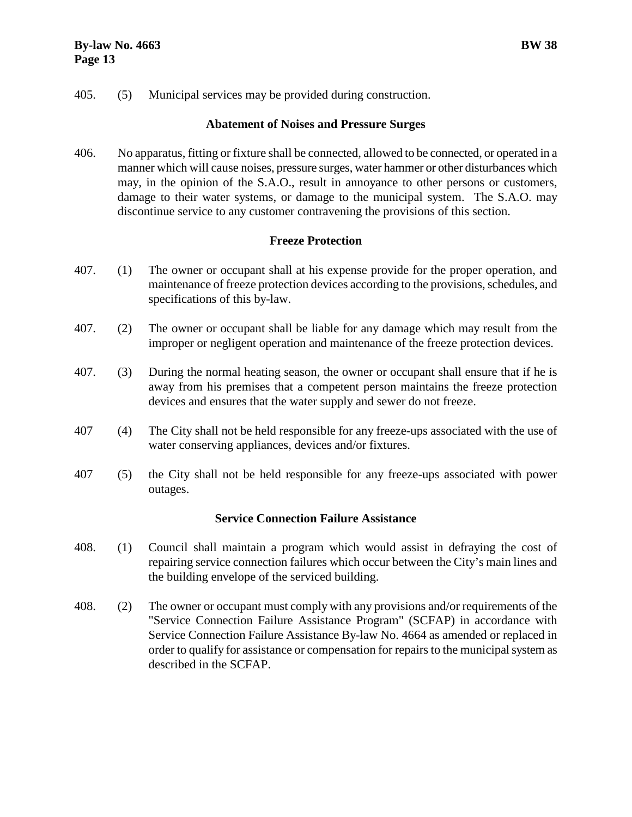405. (5) Municipal services may be provided during construction.

#### <span id="page-16-0"></span>**Abatement of Noises and Pressure Surges**

406. No apparatus, fitting or fixture shall be connected, allowed to be connected, or operated in a manner which will cause noises, pressure surges, water hammer or other disturbances which may, in the opinion of the S.A.O., result in annoyance to other persons or customers, damage to their water systems, or damage to the municipal system. The S.A.O. may discontinue service to any customer contravening the provisions of this section.

# <span id="page-16-1"></span>**Freeze Protection**

- 407. (1) The owner or occupant shall at his expense provide for the proper operation, and maintenance of freeze protection devices according to the provisions, schedules, and specifications of this by-law.
- 407. (2) The owner or occupant shall be liable for any damage which may result from the improper or negligent operation and maintenance of the freeze protection devices.
- 407. (3) During the normal heating season, the owner or occupant shall ensure that if he is away from his premises that a competent person maintains the freeze protection devices and ensures that the water supply and sewer do not freeze.
- 407 (4) The City shall not be held responsible for any freeze-ups associated with the use of water conserving appliances, devices and/or fixtures.
- 407 (5) the City shall not be held responsible for any freeze-ups associated with power outages.

# <span id="page-16-3"></span><span id="page-16-2"></span>**Service Connection Failure Assistance**

- 408. (1) Council shall maintain a program which would assist in defraying the cost of repairing service connection failures which occur between the City's main lines and the building envelope of the serviced building.
- 408. (2) The owner or occupant must comply with any provisions and/or requirements of the "Service Connection Failure Assistance Program" (SCFAP) in accordance with Service Connection Failure Assistance By-law No. 4664 as amended or replaced in order to qualify for assistance or compensation for repairs to the municipal system as described in the SCFAP.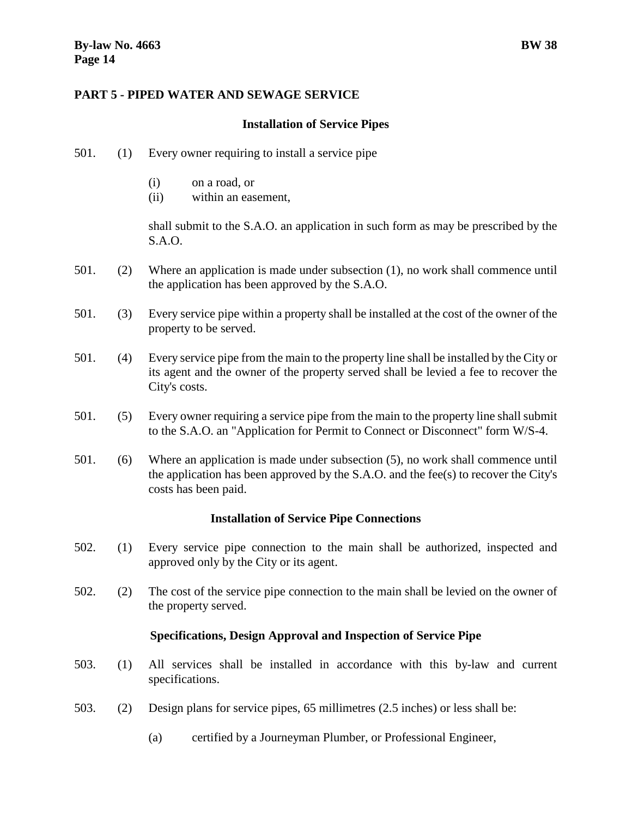# **PART 5 - PIPED WATER AND SEWAGE SERVICE**

#### <span id="page-17-0"></span>**Installation of Service Pipes**

- 501. (1) Every owner requiring to install a service pipe
	- (i) on a road, or
	- (ii) within an easement,

shall submit to the S.A.O. an application in such form as may be prescribed by the S.A.O.

- 501. (2) Where an application is made under subsection (1), no work shall commence until the application has been approved by the S.A.O.
- 501. (3) Every service pipe within a property shall be installed at the cost of the owner of the property to be served.
- 501. (4) Every service pipe from the main to the property line shall be installed by the City or its agent and the owner of the property served shall be levied a fee to recover the City's costs.
- 501. (5) Every owner requiring a service pipe from the main to the property line shall submit to the S.A.O. an "Application for Permit to Connect or Disconnect" form W/S-4.
- 501. (6) Where an application is made under subsection (5), no work shall commence until the application has been approved by the  $S.A.O.$  and the fee(s) to recover the City's costs has been paid.

# <span id="page-17-1"></span>**Installation of Service Pipe Connections**

- 502. (1) Every service pipe connection to the main shall be authorized, inspected and approved only by the City or its agent.
- 502. (2) The cost of the service pipe connection to the main shall be levied on the owner of the property served.

#### <span id="page-17-2"></span>**Specifications, Design Approval and Inspection of Service Pipe**

- 503. (1) All services shall be installed in accordance with this by-law and current specifications.
- 503. (2) Design plans for service pipes, 65 millimetres (2.5 inches) or less shall be:
	- (a) certified by a Journeyman Plumber, or Professional Engineer,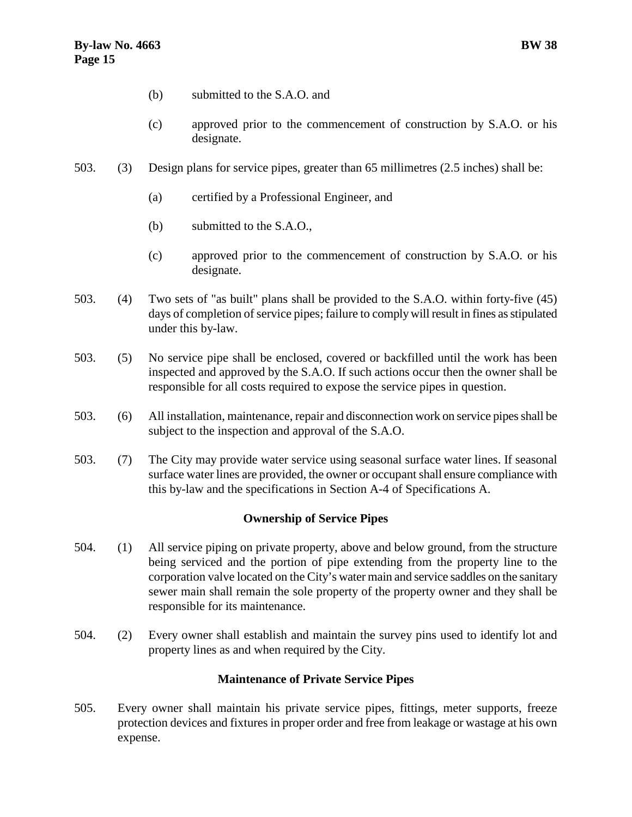- (b) submitted to the S.A.O. and
- (c) approved prior to the commencement of construction by S.A.O. or his designate.
- 503. (3) Design plans for service pipes, greater than 65 millimetres (2.5 inches) shall be:
	- (a) certified by a Professional Engineer, and
	- (b) submitted to the S.A.O.,
	- (c) approved prior to the commencement of construction by S.A.O. or his designate.
- 503. (4) Two sets of "as built" plans shall be provided to the S.A.O. within forty-five (45) days of completion of service pipes; failure to comply will result in fines as stipulated under this by-law.
- 503. (5) No service pipe shall be enclosed, covered or backfilled until the work has been inspected and approved by the S.A.O. If such actions occur then the owner shall be responsible for all costs required to expose the service pipes in question.
- 503. (6) All installation, maintenance, repair and disconnection work on service pipes shall be subject to the inspection and approval of the S.A.O.
- 503. (7) The City may provide water service using seasonal surface water lines. If seasonal surface water lines are provided, the owner or occupant shall ensure compliance with this by-law and the specifications in Section A-4 of Specifications A.

# <span id="page-18-0"></span>**Ownership of Service Pipes**

- 504. (1) All service piping on private property, above and below ground, from the structure being serviced and the portion of pipe extending from the property line to the corporation valve located on the City's water main and service saddles on the sanitary sewer main shall remain the sole property of the property owner and they shall be responsible for its maintenance.
- 504. (2) Every owner shall establish and maintain the survey pins used to identify lot and property lines as and when required by the City.

#### <span id="page-18-1"></span>**Maintenance of Private Service Pipes**

505. Every owner shall maintain his private service pipes, fittings, meter supports, freeze protection devices and fixtures in proper order and free from leakage or wastage at his own expense.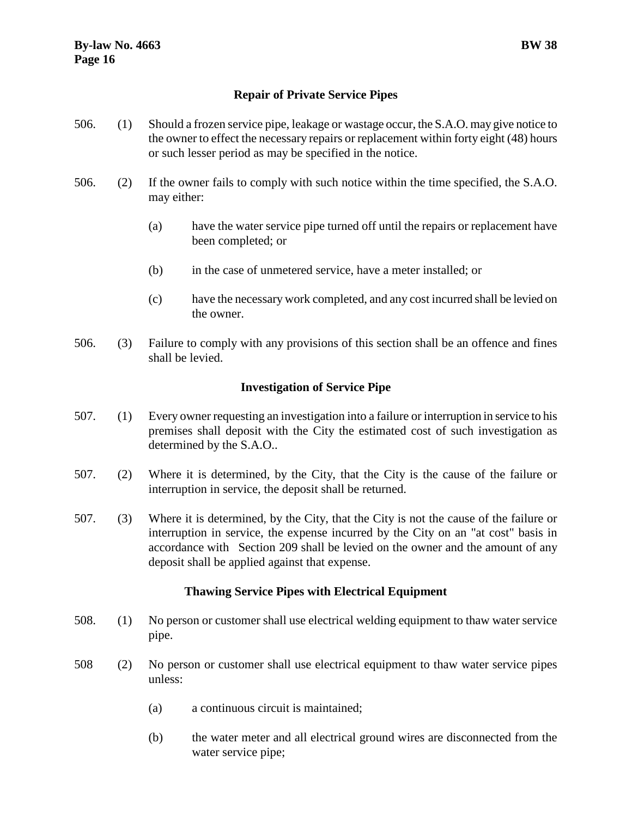- <span id="page-19-0"></span>506. (1) Should a frozen service pipe, leakage or wastage occur, the S.A.O. may give notice to the owner to effect the necessary repairs or replacement within forty eight (48) hours or such lesser period as may be specified in the notice.
- 506. (2) If the owner fails to comply with such notice within the time specified, the S.A.O. may either:
	- (a) have the water service pipe turned off until the repairs or replacement have been completed; or
	- (b) in the case of unmetered service, have a meter installed; or
	- (c) have the necessary work completed, and any cost incurred shall be levied on the owner.
- 506. (3) Failure to comply with any provisions of this section shall be an offence and fines shall be levied.

# <span id="page-19-1"></span>**Investigation of Service Pipe**

- 507. (1) Every owner requesting an investigation into a failure or interruption in service to his premises shall deposit with the City the estimated cost of such investigation as determined by the S.A.O..
- 507. (2) Where it is determined, by the City, that the City is the cause of the failure or interruption in service, the deposit shall be returned.
- 507. (3) Where it is determined, by the City, that the City is not the cause of the failure or interruption in service, the expense incurred by the City on an "at cost" basis in accordance with Section 209 shall be levied on the owner and the amount of any deposit shall be applied against that expense.

# <span id="page-19-2"></span>**Thawing Service Pipes with Electrical Equipment**

- 508. (1) No person or customer shall use electrical welding equipment to thaw water service pipe.
- 508 (2) No person or customer shall use electrical equipment to thaw water service pipes unless:
	- (a) a continuous circuit is maintained;
	- (b) the water meter and all electrical ground wires are disconnected from the water service pipe;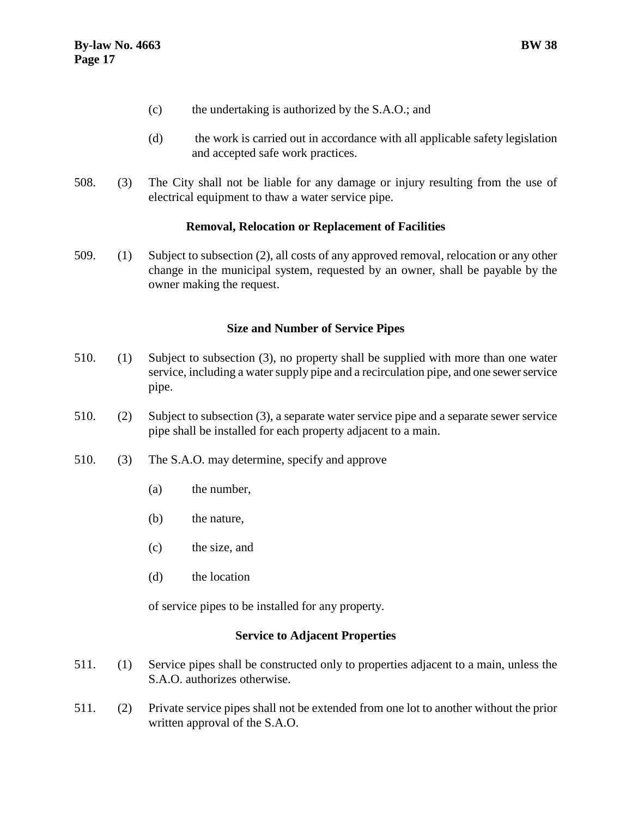- (c) the undertaking is authorized by the S.A.O.; and
- (d) the work is carried out in accordance with all applicable safety legislation and accepted safe work practices.
- 508. (3) The City shall not be liable for any damage or injury resulting from the use of electrical equipment to thaw a water service pipe.

#### <span id="page-20-0"></span>**Removal, Relocation or Replacement of Facilities**

509. (1) Subject to subsection (2), all costs of any approved removal, relocation or any other change in the municipal system, requested by an owner, shall be payable by the owner making the request.

#### **Size and Number of Service Pipes**

- <span id="page-20-1"></span>510. (1) Subject to subsection (3), no property shall be supplied with more than one water service, including a water supply pipe and a recirculation pipe, and one sewer service pipe.
- 510. (2) Subject to subsection (3), a separate water service pipe and a separate sewer service pipe shall be installed for each property adjacent to a main.
- 510. (3) The S.A.O. may determine, specify and approve
	- (a) the number,
	- (b) the nature,
	- (c) the size, and
	- (d) the location

of service pipes to be installed for any property.

#### <span id="page-20-3"></span><span id="page-20-2"></span>**Service to Adjacent Properties**

- 511. (1) Service pipes shall be constructed only to properties adjacent to a main, unless the S.A.O. authorizes otherwise.
- 511. (2) Private service pipes shall not be extended from one lot to another without the prior written approval of the S.A.O.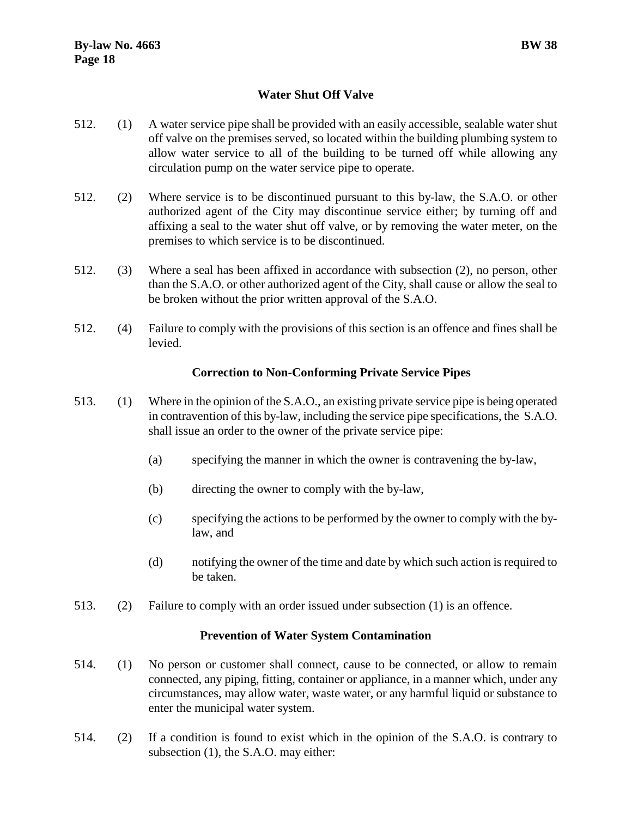# **Water Shut Off Valve**

- 512. (1) A water service pipe shall be provided with an easily accessible, sealable water shut off valve on the premises served, so located within the building plumbing system to allow water service to all of the building to be turned off while allowing any circulation pump on the water service pipe to operate.
- 512. (2) Where service is to be discontinued pursuant to this by-law, the S.A.O. or other authorized agent of the City may discontinue service either; by turning off and affixing a seal to the water shut off valve, or by removing the water meter, on the premises to which service is to be discontinued.
- 512. (3) Where a seal has been affixed in accordance with subsection (2), no person, other than the S.A.O. or other authorized agent of the City, shall cause or allow the seal to be broken without the prior written approval of the S.A.O.
- 512. (4) Failure to comply with the provisions of this section is an offence and fines shall be levied.

#### <span id="page-21-0"></span>**Correction to Non-Conforming Private Service Pipes**

- 513. (1) Where in the opinion of the S.A.O., an existing private service pipe is being operated in contravention of this by-law, including the service pipe specifications, the S.A.O. shall issue an order to the owner of the private service pipe:
	- (a) specifying the manner in which the owner is contravening the by-law,
	- (b) directing the owner to comply with the by-law,
	- (c) specifying the actions to be performed by the owner to comply with the bylaw, and
	- (d) notifying the owner of the time and date by which such action is required to be taken.
- 513. (2) Failure to comply with an order issued under subsection (1) is an offence.

#### <span id="page-21-1"></span>**Prevention of Water System Contamination**

- 514. (1) No person or customer shall connect, cause to be connected, or allow to remain connected, any piping, fitting, container or appliance, in a manner which, under any circumstances, may allow water, waste water, or any harmful liquid or substance to enter the municipal water system.
- 514. (2) If a condition is found to exist which in the opinion of the S.A.O. is contrary to subsection (1), the S.A.O. may either: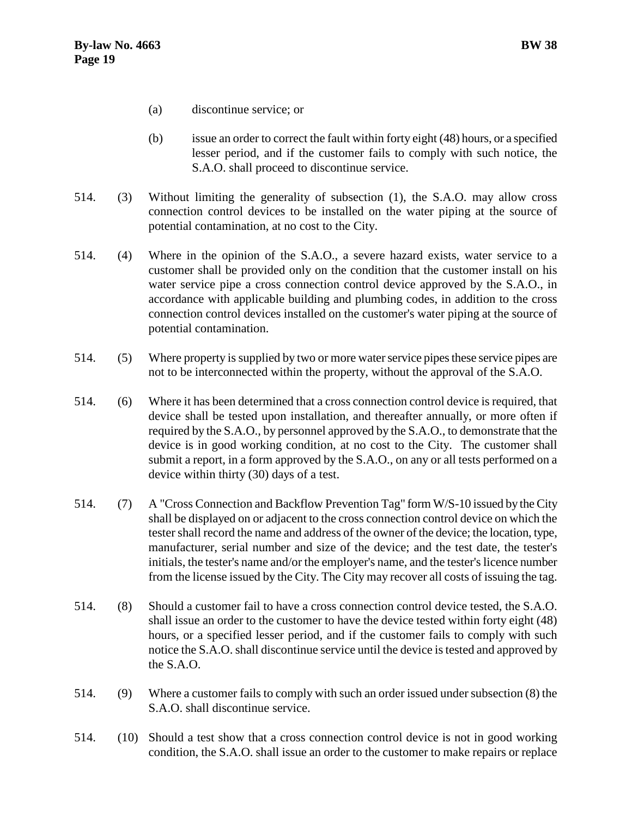- (a) discontinue service; or
- (b) issue an order to correct the fault within forty eight (48) hours, or a specified lesser period, and if the customer fails to comply with such notice, the S.A.O. shall proceed to discontinue service.
- 514. (3) Without limiting the generality of subsection (1), the S.A.O. may allow cross connection control devices to be installed on the water piping at the source of potential contamination, at no cost to the City.
- 514. (4) Where in the opinion of the S.A.O., a severe hazard exists, water service to a customer shall be provided only on the condition that the customer install on his water service pipe a cross connection control device approved by the S.A.O., in accordance with applicable building and plumbing codes, in addition to the cross connection control devices installed on the customer's water piping at the source of potential contamination.
- 514. (5) Where property is supplied by two or more water service pipes these service pipes are not to be interconnected within the property, without the approval of the S.A.O.
- 514. (6) Where it has been determined that a cross connection control device is required, that device shall be tested upon installation, and thereafter annually, or more often if required by the S.A.O., by personnel approved by the S.A.O., to demonstrate that the device is in good working condition, at no cost to the City. The customer shall submit a report, in a form approved by the S.A.O., on any or all tests performed on a device within thirty (30) days of a test.
- 514. (7) A "Cross Connection and Backflow Prevention Tag" form W/S-10 issued by the City shall be displayed on or adjacent to the cross connection control device on which the tester shall record the name and address of the owner of the device; the location, type, manufacturer, serial number and size of the device; and the test date, the tester's initials, the tester's name and/or the employer's name, and the tester's licence number from the license issued by the City. The City may recover all costs of issuing the tag.
- 514. (8) Should a customer fail to have a cross connection control device tested, the S.A.O. shall issue an order to the customer to have the device tested within forty eight (48) hours, or a specified lesser period, and if the customer fails to comply with such notice the S.A.O. shall discontinue service until the device is tested and approved by the S.A.O.
- 514. (9) Where a customer fails to comply with such an order issued under subsection (8) the S.A.O. shall discontinue service.
- 514. (10) Should a test show that a cross connection control device is not in good working condition, the S.A.O. shall issue an order to the customer to make repairs or replace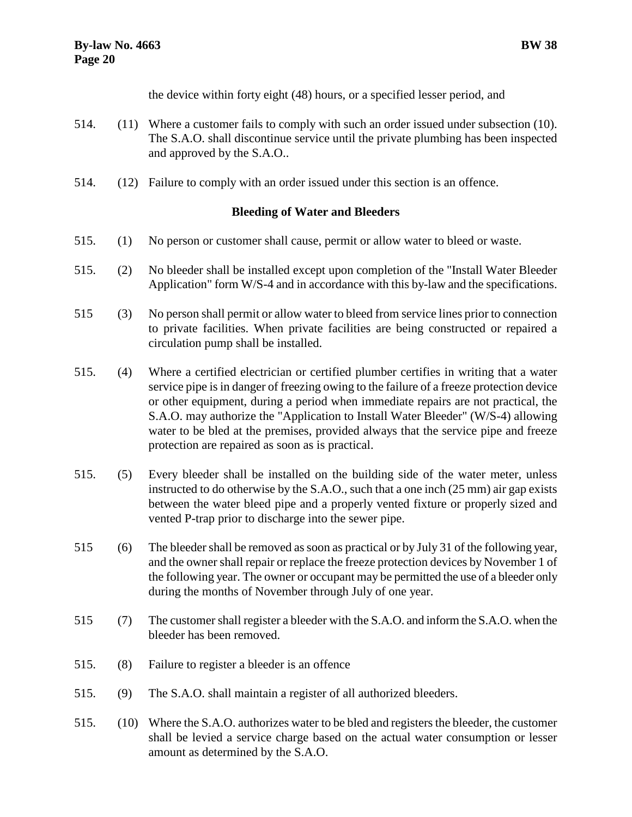the device within forty eight (48) hours, or a specified lesser period, and

- 514. (11) Where a customer fails to comply with such an order issued under subsection (10). The S.A.O. shall discontinue service until the private plumbing has been inspected and approved by the S.A.O..
- 514. (12) Failure to comply with an order issued under this section is an offence.

# <span id="page-23-0"></span>**Bleeding of Water and Bleeders**

- 515. (1) No person or customer shall cause, permit or allow water to bleed or waste.
- 515. (2) No bleeder shall be installed except upon completion of the "Install Water Bleeder Application" form W/S-4 and in accordance with this by-law and the specifications.
- 515 (3) No person shall permit or allow water to bleed from service lines prior to connection to private facilities. When private facilities are being constructed or repaired a circulation pump shall be installed.
- 515. (4) Where a certified electrician or certified plumber certifies in writing that a water service pipe is in danger of freezing owing to the failure of a freeze protection device or other equipment, during a period when immediate repairs are not practical, the S.A.O. may authorize the "Application to Install Water Bleeder" (W/S-4) allowing water to be bled at the premises, provided always that the service pipe and freeze protection are repaired as soon as is practical.
- 515. (5) Every bleeder shall be installed on the building side of the water meter, unless instructed to do otherwise by the S.A.O., such that a one inch (25 mm) air gap exists between the water bleed pipe and a properly vented fixture or properly sized and vented P-trap prior to discharge into the sewer pipe.
- 515 (6) The bleeder shall be removed as soon as practical or by July 31 of the following year, and the owner shall repair or replace the freeze protection devices by November 1 of the following year. The owner or occupant may be permitted the use of a bleeder only during the months of November through July of one year.
- 515 (7) The customer shall register a bleeder with the S.A.O. and inform the S.A.O. when the bleeder has been removed.
- 515. (8) Failure to register a bleeder is an offence
- 515. (9) The S.A.O. shall maintain a register of all authorized bleeders.
- 515. (10) Where the S.A.O. authorizes water to be bled and registers the bleeder, the customer shall be levied a service charge based on the actual water consumption or lesser amount as determined by the S.A.O.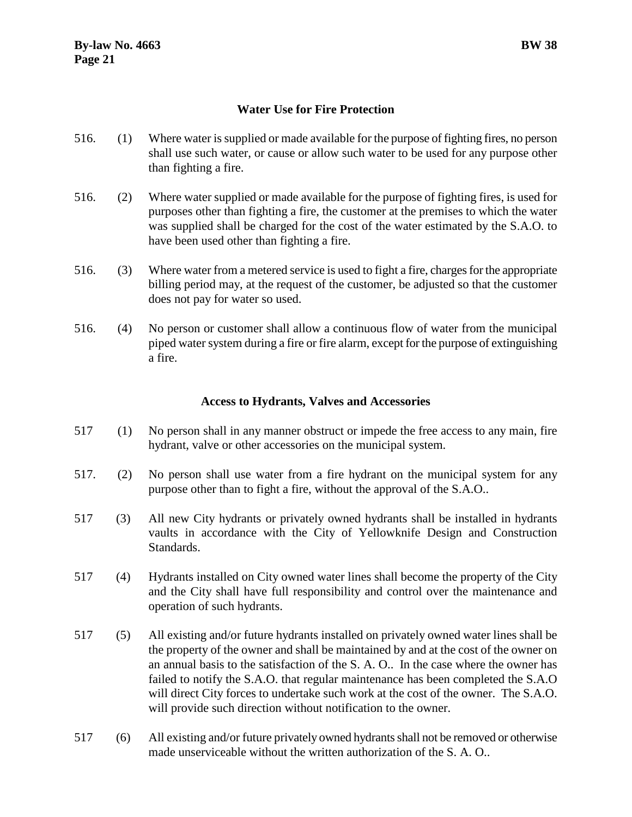# <span id="page-24-0"></span>**Water Use for Fire Protection**

- 516. (1) Where water is supplied or made available for the purpose of fighting fires, no person shall use such water, or cause or allow such water to be used for any purpose other than fighting a fire.
- 516. (2) Where water supplied or made available for the purpose of fighting fires, is used for purposes other than fighting a fire, the customer at the premises to which the water was supplied shall be charged for the cost of the water estimated by the S.A.O. to have been used other than fighting a fire.
- 516. (3) Where water from a metered service is used to fight a fire, charges for the appropriate billing period may, at the request of the customer, be adjusted so that the customer does not pay for water so used.
- 516. (4) No person or customer shall allow a continuous flow of water from the municipal piped water system during a fire or fire alarm, except for the purpose of extinguishing a fire.

# **Access to Hydrants, Valves and Accessories**

- <span id="page-24-1"></span>517 (1) No person shall in any manner obstruct or impede the free access to any main, fire hydrant, valve or other accessories on the municipal system.
- 517. (2) No person shall use water from a fire hydrant on the municipal system for any purpose other than to fight a fire, without the approval of the S.A.O..
- 517 (3) All new City hydrants or privately owned hydrants shall be installed in hydrants vaults in accordance with the City of Yellowknife Design and Construction Standards.
- 517 (4) Hydrants installed on City owned water lines shall become the property of the City and the City shall have full responsibility and control over the maintenance and operation of such hydrants.
- 517 (5) All existing and/or future hydrants installed on privately owned water lines shall be the property of the owner and shall be maintained by and at the cost of the owner on an annual basis to the satisfaction of the S. A. O.. In the case where the owner has failed to notify the S.A.O. that regular maintenance has been completed the S.A.O will direct City forces to undertake such work at the cost of the owner. The S.A.O. will provide such direction without notification to the owner.
- 517 (6) All existing and/or future privately owned hydrants shall not be removed or otherwise made unserviceable without the written authorization of the S. A. O.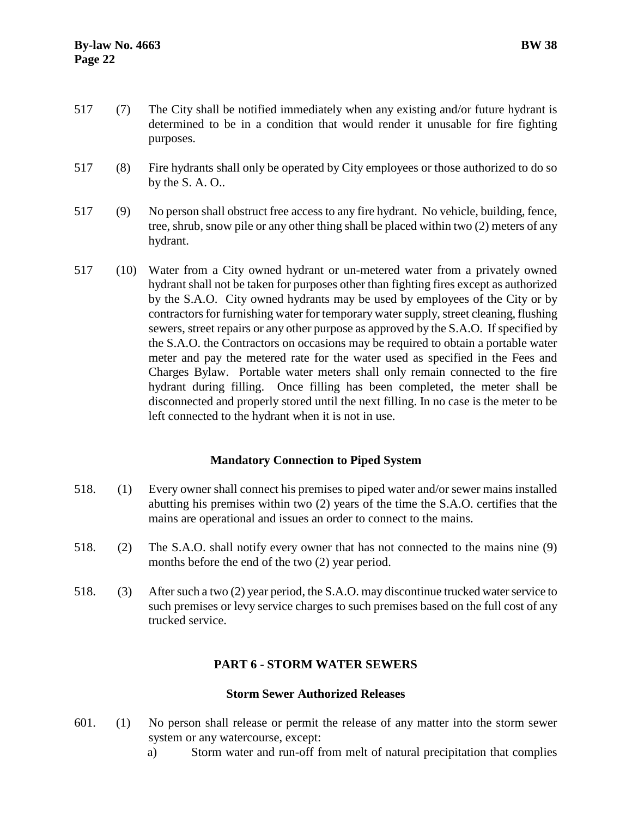- 517 (7) The City shall be notified immediately when any existing and/or future hydrant is determined to be in a condition that would render it unusable for fire fighting purposes.
- 517 (8) Fire hydrants shall only be operated by City employees or those authorized to do so by the S. A. O..
- 517 (9) No person shall obstruct free access to any fire hydrant. No vehicle, building, fence, tree, shrub, snow pile or any other thing shall be placed within two (2) meters of any hydrant.
- 517 (10) Water from a City owned hydrant or un-metered water from a privately owned hydrant shall not be taken for purposes other than fighting fires except as authorized by the S.A.O. City owned hydrants may be used by employees of the City or by contractors for furnishing water for temporary water supply, street cleaning, flushing sewers, street repairs or any other purpose as approved by the S.A.O. If specified by the S.A.O. the Contractors on occasions may be required to obtain a portable water meter and pay the metered rate for the water used as specified in the Fees and Charges Bylaw. Portable water meters shall only remain connected to the fire hydrant during filling. Once filling has been completed, the meter shall be disconnected and properly stored until the next filling. In no case is the meter to be left connected to the hydrant when it is not in use.

# <span id="page-25-0"></span>**Mandatory Connection to Piped System**

- 518. (1) Every owner shall connect his premises to piped water and/or sewer mains installed abutting his premises within two (2) years of the time the S.A.O. certifies that the mains are operational and issues an order to connect to the mains.
- 518. (2) The S.A.O. shall notify every owner that has not connected to the mains nine (9) months before the end of the two (2) year period.
- 518. (3) After such a two (2) year period, the S.A.O. may discontinue trucked water service to such premises or levy service charges to such premises based on the full cost of any trucked service.

# <span id="page-25-1"></span>**PART 6 - STORM WATER SEWERS**

# <span id="page-25-2"></span>**Storm Sewer Authorized Releases**

- 601. (1) No person shall release or permit the release of any matter into the storm sewer system or any watercourse, except:
	- a) Storm water and run-off from melt of natural precipitation that complies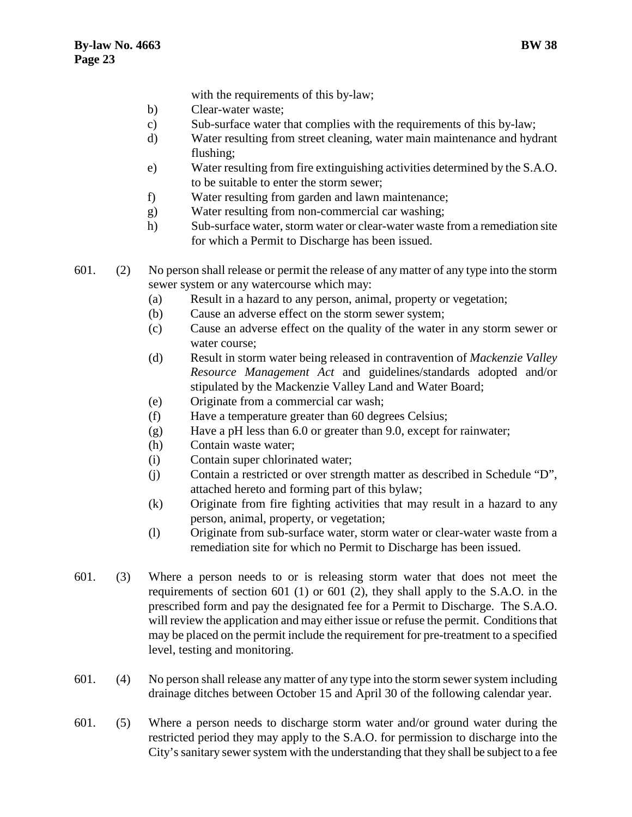with the requirements of this by-law;

- b) Clear-water waste;
- c) Sub-surface water that complies with the requirements of this by-law;
- d) Water resulting from street cleaning, water main maintenance and hydrant flushing;
- e) Water resulting from fire extinguishing activities determined by the S.A.O. to be suitable to enter the storm sewer;
- f) Water resulting from garden and lawn maintenance;
- g) Water resulting from non-commercial car washing;
- h) Sub-surface water, storm water or clear-water waste from a remediation site for which a Permit to Discharge has been issued.

601. (2) No person shall release or permit the release of any matter of any type into the storm sewer system or any watercourse which may:

- (a) Result in a hazard to any person, animal, property or vegetation;
- (b) Cause an adverse effect on the storm sewer system;
- (c) Cause an adverse effect on the quality of the water in any storm sewer or water course;
- (d) Result in storm water being released in contravention of *Mackenzie Valley Resource Management Act* and guidelines/standards adopted and/or stipulated by the Mackenzie Valley Land and Water Board;
- (e) Originate from a commercial car wash;
- (f) Have a temperature greater than 60 degrees Celsius;
- (g) Have a pH less than 6.0 or greater than 9.0, except for rainwater;
- (h) Contain waste water;
- (i) Contain super chlorinated water;
- (j) Contain a restricted or over strength matter as described in Schedule "D", attached hereto and forming part of this bylaw;
- (k) Originate from fire fighting activities that may result in a hazard to any person, animal, property, or vegetation;
- (l) Originate from sub-surface water, storm water or clear-water waste from a remediation site for which no Permit to Discharge has been issued.
- 601. (3) Where a person needs to or is releasing storm water that does not meet the requirements of section 601 (1) or 601 (2), they shall apply to the S.A.O. in the prescribed form and pay the designated fee for a Permit to Discharge. The S.A.O. will review the application and may either issue or refuse the permit. Conditions that may be placed on the permit include the requirement for pre-treatment to a specified level, testing and monitoring.
- 601. (4) No person shall release any matter of any type into the storm sewer system including drainage ditches between October 15 and April 30 of the following calendar year.
- 601. (5) Where a person needs to discharge storm water and/or ground water during the restricted period they may apply to the S.A.O. for permission to discharge into the City's sanitary sewer system with the understanding that they shall be subject to a fee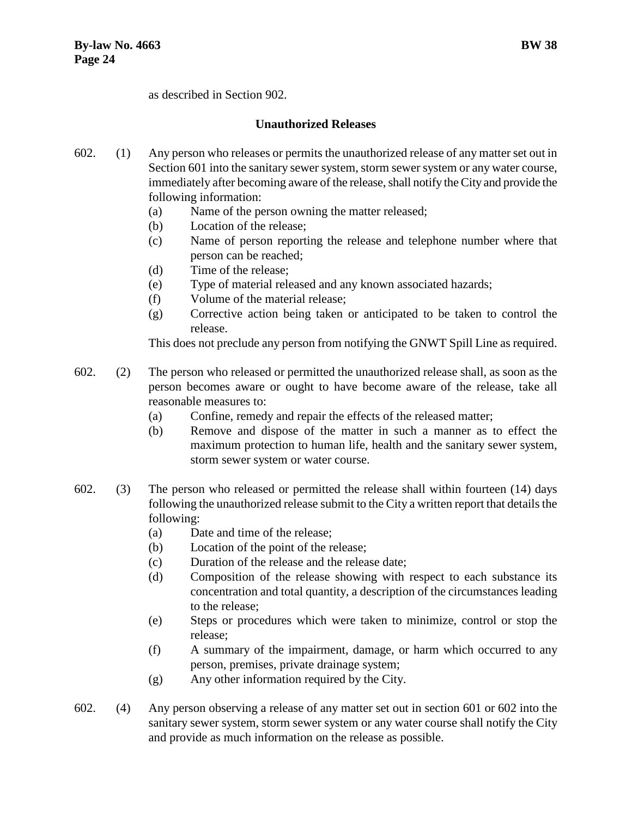as described in Section 902.

# **Unauthorized Releases**

- <span id="page-27-0"></span>602. (1) Any person who releases or permits the unauthorized release of any matter set out in Section 601 into the sanitary sewer system, storm sewer system or any water course, immediately after becoming aware of the release, shall notify the City and provide the following information:
	- (a) Name of the person owning the matter released;
	- (b) Location of the release;
	- (c) Name of person reporting the release and telephone number where that person can be reached;
	- (d) Time of the release;
	- (e) Type of material released and any known associated hazards;
	- (f) Volume of the material release;
	- (g) Corrective action being taken or anticipated to be taken to control the release.

This does not preclude any person from notifying the GNWT Spill Line as required.

- 602. (2) The person who released or permitted the unauthorized release shall, as soon as the person becomes aware or ought to have become aware of the release, take all reasonable measures to:
	- (a) Confine, remedy and repair the effects of the released matter;
	- (b) Remove and dispose of the matter in such a manner as to effect the maximum protection to human life, health and the sanitary sewer system, storm sewer system or water course.
- 602. (3) The person who released or permitted the release shall within fourteen (14) days following the unauthorized release submit to the City a written report that details the following:
	- (a) Date and time of the release;
	- (b) Location of the point of the release;
	- (c) Duration of the release and the release date;
	- (d) Composition of the release showing with respect to each substance its concentration and total quantity, a description of the circumstances leading to the release;
	- (e) Steps or procedures which were taken to minimize, control or stop the release;
	- (f) A summary of the impairment, damage, or harm which occurred to any person, premises, private drainage system;
	- (g) Any other information required by the City.
- 602. (4) Any person observing a release of any matter set out in section 601 or 602 into the sanitary sewer system, storm sewer system or any water course shall notify the City and provide as much information on the release as possible.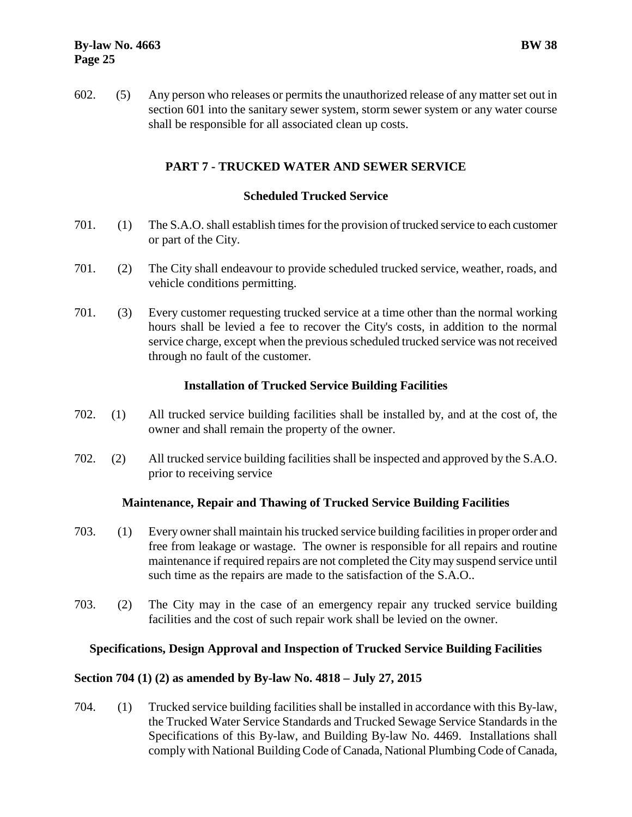602. (5) Any person who releases or permits the unauthorized release of any matter set out in section 601 into the sanitary sewer system, storm sewer system or any water course shall be responsible for all associated clean up costs.

# <span id="page-28-0"></span>**PART 7 - TRUCKED WATER AND SEWER SERVICE**

# <span id="page-28-1"></span>**Scheduled Trucked Service**

- 701. (1) The S.A.O. shall establish times for the provision of trucked service to each customer or part of the City.
- 701. (2) The City shall endeavour to provide scheduled trucked service, weather, roads, and vehicle conditions permitting.
- 701. (3) Every customer requesting trucked service at a time other than the normal working hours shall be levied a fee to recover the City's costs, in addition to the normal service charge, except when the previous scheduled trucked service was not received through no fault of the customer.

# <span id="page-28-2"></span>**Installation of Trucked Service Building Facilities**

- 702. (1) All trucked service building facilities shall be installed by, and at the cost of, the owner and shall remain the property of the owner.
- 702. (2) All trucked service building facilities shall be inspected and approved by the S.A.O. prior to receiving service

# <span id="page-28-3"></span>**Maintenance, Repair and Thawing of Trucked Service Building Facilities**

- 703. (1) Every owner shall maintain his trucked service building facilities in proper order and free from leakage or wastage. The owner is responsible for all repairs and routine maintenance if required repairs are not completed the City may suspend service until such time as the repairs are made to the satisfaction of the S.A.O..
- 703. (2) The City may in the case of an emergency repair any trucked service building facilities and the cost of such repair work shall be levied on the owner.

#### <span id="page-28-4"></span>**Specifications, Design Approval and Inspection of Trucked Service Building Facilities**

# **Section 704 (1) (2) as amended by By-law No. 4818 – July 27, 2015**

704. (1) Trucked service building facilities shall be installed in accordance with this By-law, the Trucked Water Service Standards and Trucked Sewage Service Standards in the Specifications of this By-law, and Building By-law No. 4469. Installations shall comply with National Building Code of Canada, National Plumbing Code of Canada,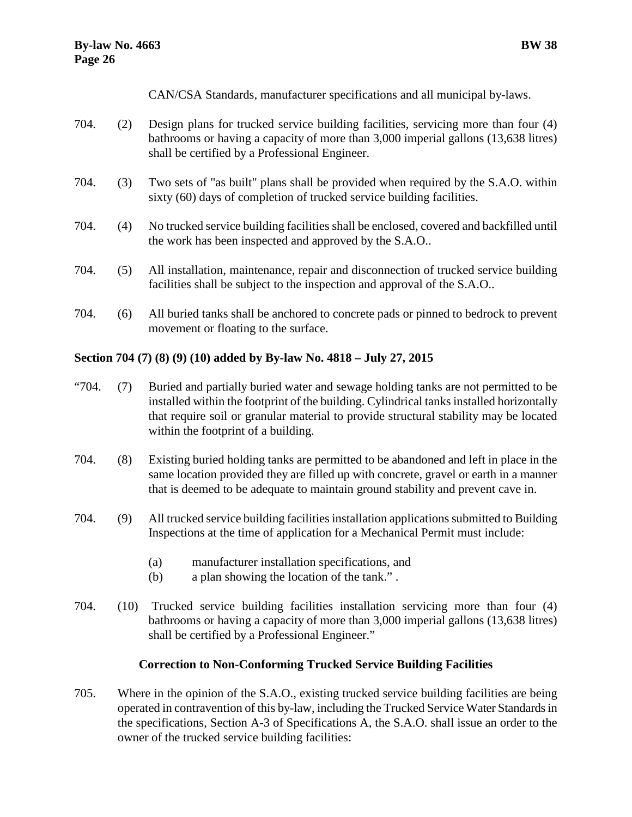CAN/CSA Standards, manufacturer specifications and all municipal by-laws.

- 704. (2) Design plans for trucked service building facilities, servicing more than four (4) bathrooms or having a capacity of more than 3,000 imperial gallons (13,638 litres) shall be certified by a Professional Engineer.
- 704. (3) Two sets of "as built" plans shall be provided when required by the S.A.O. within sixty (60) days of completion of trucked service building facilities.
- 704. (4) No trucked service building facilities shall be enclosed, covered and backfilled until the work has been inspected and approved by the S.A.O..
- 704. (5) All installation, maintenance, repair and disconnection of trucked service building facilities shall be subject to the inspection and approval of the S.A.O..
- 704. (6) All buried tanks shall be anchored to concrete pads or pinned to bedrock to prevent movement or floating to the surface.

# **Section 704 (7) (8) (9) (10) added by By-law No. 4818 – July 27, 2015**

- "704. (7) Buried and partially buried water and sewage holding tanks are not permitted to be installed within the footprint of the building. Cylindrical tanks installed horizontally that require soil or granular material to provide structural stability may be located within the footprint of a building.
- 704. (8) Existing buried holding tanks are permitted to be abandoned and left in place in the same location provided they are filled up with concrete, gravel or earth in a manner that is deemed to be adequate to maintain ground stability and prevent cave in.
- 704. (9) All trucked service building facilities installation applications submitted to Building Inspections at the time of application for a Mechanical Permit must include:
	- (a) manufacturer installation specifications, and
	- (b) a plan showing the location of the tank." .
- 704. (10) Trucked service building facilities installation servicing more than four (4) bathrooms or having a capacity of more than 3,000 imperial gallons (13,638 litres) shall be certified by a Professional Engineer."

# <span id="page-29-0"></span>**Correction to Non-Conforming Trucked Service Building Facilities**

705. Where in the opinion of the S.A.O., existing trucked service building facilities are being operated in contravention of this by-law, including the Trucked Service Water Standards in the specifications, Section A-3 of Specifications A, the S.A.O. shall issue an order to the owner of the trucked service building facilities: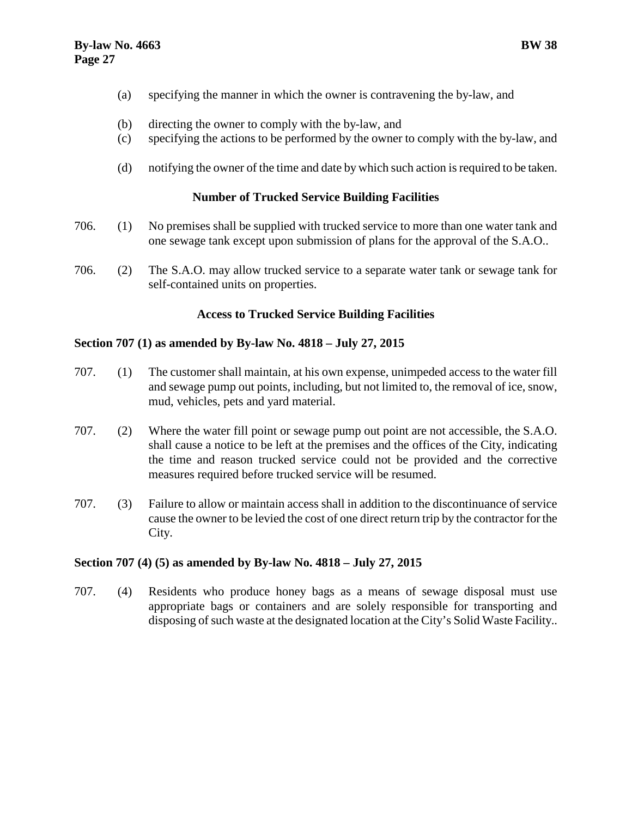- (a) specifying the manner in which the owner is contravening the by-law, and
- (b) directing the owner to comply with the by-law, and
- (c) specifying the actions to be performed by the owner to comply with the by-law, and
- (d) notifying the owner of the time and date by which such action is required to be taken.

# <span id="page-30-0"></span>**Number of Trucked Service Building Facilities**

- 706. (1) No premises shall be supplied with trucked service to more than one water tank and one sewage tank except upon submission of plans for the approval of the S.A.O..
- 706. (2) The S.A.O. may allow trucked service to a separate water tank or sewage tank for self-contained units on properties.

# <span id="page-30-1"></span>**Access to Trucked Service Building Facilities**

#### **Section 707 (1) as amended by By-law No. 4818 – July 27, 2015**

- 707. (1) The customer shall maintain, at his own expense, unimpeded access to the water fill and sewage pump out points, including, but not limited to, the removal of ice, snow, mud, vehicles, pets and yard material.
- 707. (2) Where the water fill point or sewage pump out point are not accessible, the S.A.O. shall cause a notice to be left at the premises and the offices of the City, indicating the time and reason trucked service could not be provided and the corrective measures required before trucked service will be resumed.
- 707. (3) Failure to allow or maintain access shall in addition to the discontinuance of service cause the owner to be levied the cost of one direct return trip by the contractor for the City.

# **Section 707 (4) (5) as amended by By-law No. 4818 – July 27, 2015**

707. (4) Residents who produce honey bags as a means of sewage disposal must use appropriate bags or containers and are solely responsible for transporting and disposing of such waste at the designated location at the City's Solid Waste Facility..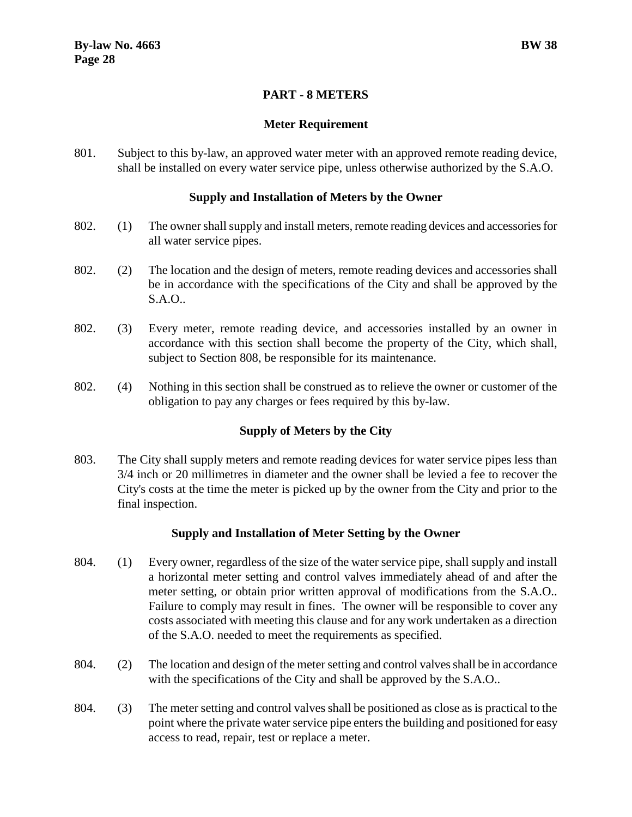# **PART - 8 METERS**

# <span id="page-31-1"></span>**Meter Requirement**

<span id="page-31-0"></span>801. Subject to this by-law, an approved water meter with an approved remote reading device, shall be installed on every water service pipe, unless otherwise authorized by the S.A.O.

# <span id="page-31-2"></span>**Supply and Installation of Meters by the Owner**

- 802. (1) The owner shall supply and install meters, remote reading devices and accessories for all water service pipes.
- 802. (2) The location and the design of meters, remote reading devices and accessories shall be in accordance with the specifications of the City and shall be approved by the S.A.O..
- 802. (3) Every meter, remote reading device, and accessories installed by an owner in accordance with this section shall become the property of the City, which shall, subject to Section 808, be responsible for its maintenance.
- 802. (4) Nothing in this section shall be construed as to relieve the owner or customer of the obligation to pay any charges or fees required by this by-law.

# <span id="page-31-3"></span>**Supply of Meters by the City**

803. The City shall supply meters and remote reading devices for water service pipes less than 3/4 inch or 20 millimetres in diameter and the owner shall be levied a fee to recover the City's costs at the time the meter is picked up by the owner from the City and prior to the final inspection.

# <span id="page-31-4"></span>**Supply and Installation of Meter Setting by the Owner**

- 804. (1) Every owner, regardless of the size of the water service pipe, shall supply and install a horizontal meter setting and control valves immediately ahead of and after the meter setting, or obtain prior written approval of modifications from the S.A.O.. Failure to comply may result in fines. The owner will be responsible to cover any costs associated with meeting this clause and for any work undertaken as a direction of the S.A.O. needed to meet the requirements as specified.
- 804. (2) The location and design of the meter setting and control valves shall be in accordance with the specifications of the City and shall be approved by the S.A.O..
- 804. (3) The meter setting and control valves shall be positioned as close as is practical to the point where the private water service pipe enters the building and positioned for easy access to read, repair, test or replace a meter.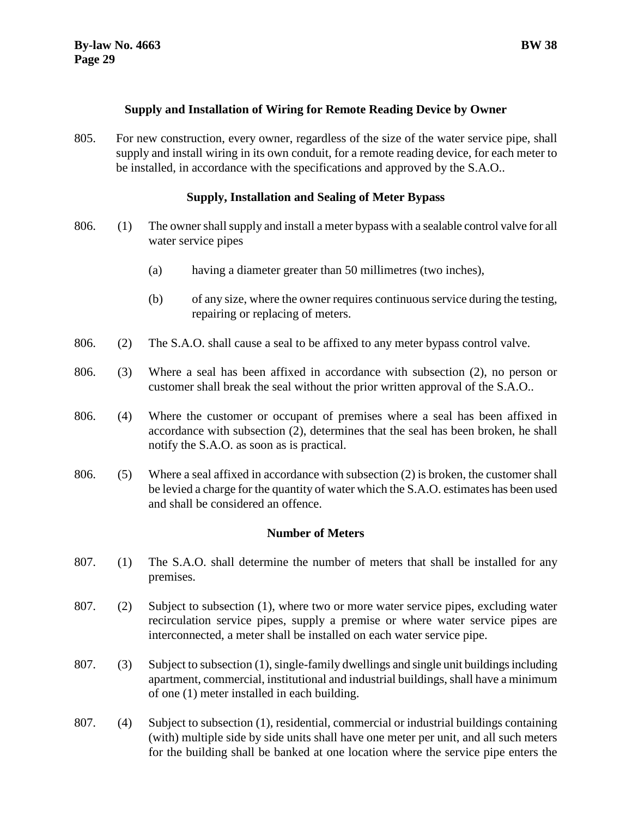#### <span id="page-32-0"></span>**Supply and Installation of Wiring for Remote Reading Device by Owner**

805. For new construction, every owner, regardless of the size of the water service pipe, shall supply and install wiring in its own conduit, for a remote reading device, for each meter to be installed, in accordance with the specifications and approved by the S.A.O..

# <span id="page-32-1"></span>**Supply, Installation and Sealing of Meter Bypass**

- 806. (1) The owner shall supply and install a meter bypass with a sealable control valve for all water service pipes
	- (a) having a diameter greater than 50 millimetres (two inches),
	- (b) of any size, where the owner requires continuous service during the testing, repairing or replacing of meters.
- 806. (2) The S.A.O. shall cause a seal to be affixed to any meter bypass control valve.
- 806. (3) Where a seal has been affixed in accordance with subsection (2), no person or customer shall break the seal without the prior written approval of the S.A.O..
- 806. (4) Where the customer or occupant of premises where a seal has been affixed in accordance with subsection (2), determines that the seal has been broken, he shall notify the S.A.O. as soon as is practical.
- 806. (5) Where a seal affixed in accordance with subsection (2) is broken, the customer shall be levied a charge for the quantity of water which the S.A.O. estimates has been used and shall be considered an offence.

# <span id="page-32-2"></span>**Number of Meters**

- 807. (1) The S.A.O. shall determine the number of meters that shall be installed for any premises.
- 807. (2) Subject to subsection (1), where two or more water service pipes, excluding water recirculation service pipes, supply a premise or where water service pipes are interconnected, a meter shall be installed on each water service pipe.
- 807. (3) Subject to subsection (1), single-family dwellings and single unit buildings including apartment, commercial, institutional and industrial buildings, shall have a minimum of one (1) meter installed in each building.
- 807. (4) Subject to subsection (1), residential, commercial or industrial buildings containing (with) multiple side by side units shall have one meter per unit, and all such meters for the building shall be banked at one location where the service pipe enters the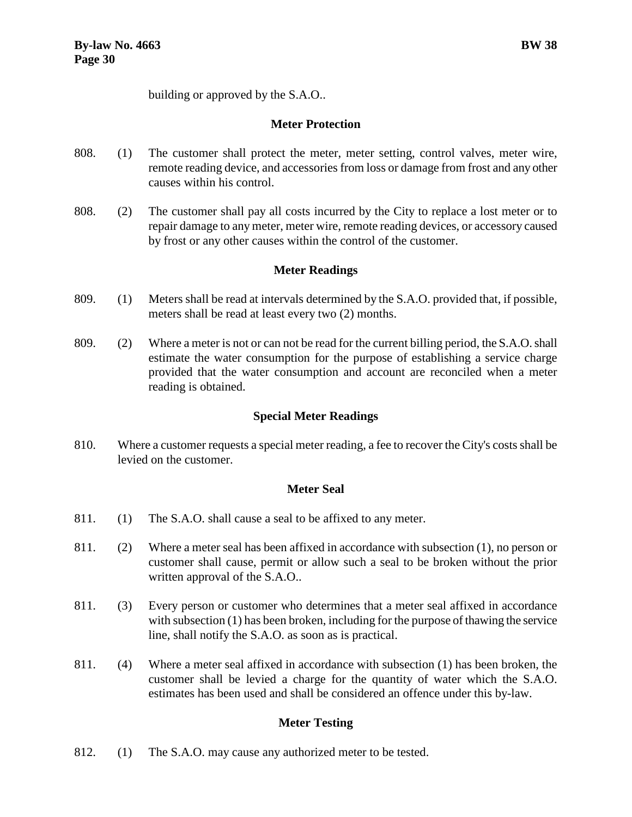building or approved by the S.A.O..

# <span id="page-33-0"></span>**Meter Protection**

- 808. (1) The customer shall protect the meter, meter setting, control valves, meter wire, remote reading device, and accessories from loss or damage from frost and any other causes within his control.
- 808. (2) The customer shall pay all costs incurred by the City to replace a lost meter or to repair damage to any meter, meter wire, remote reading devices, or accessory caused by frost or any other causes within the control of the customer.

# <span id="page-33-1"></span>**Meter Readings**

- 809. (1) Meters shall be read at intervals determined by the S.A.O. provided that, if possible, meters shall be read at least every two (2) months.
- 809. (2) Where a meter is not or can not be read for the current billing period, the S.A.O. shall estimate the water consumption for the purpose of establishing a service charge provided that the water consumption and account are reconciled when a meter reading is obtained.

# <span id="page-33-2"></span>**Special Meter Readings**

810. Where a customer requests a special meter reading, a fee to recover the City's costs shall be levied on the customer.

# <span id="page-33-3"></span>**Meter Seal**

- 811. (1) The S.A.O. shall cause a seal to be affixed to any meter.
- 811. (2) Where a meter seal has been affixed in accordance with subsection (1), no person or customer shall cause, permit or allow such a seal to be broken without the prior written approval of the S.A.O..
- 811. (3) Every person or customer who determines that a meter seal affixed in accordance with subsection (1) has been broken, including for the purpose of thawing the service line, shall notify the S.A.O. as soon as is practical.
- 811. (4) Where a meter seal affixed in accordance with subsection (1) has been broken, the customer shall be levied a charge for the quantity of water which the S.A.O. estimates has been used and shall be considered an offence under this by-law.

# <span id="page-33-4"></span>**Meter Testing**

812. (1) The S.A.O. may cause any authorized meter to be tested.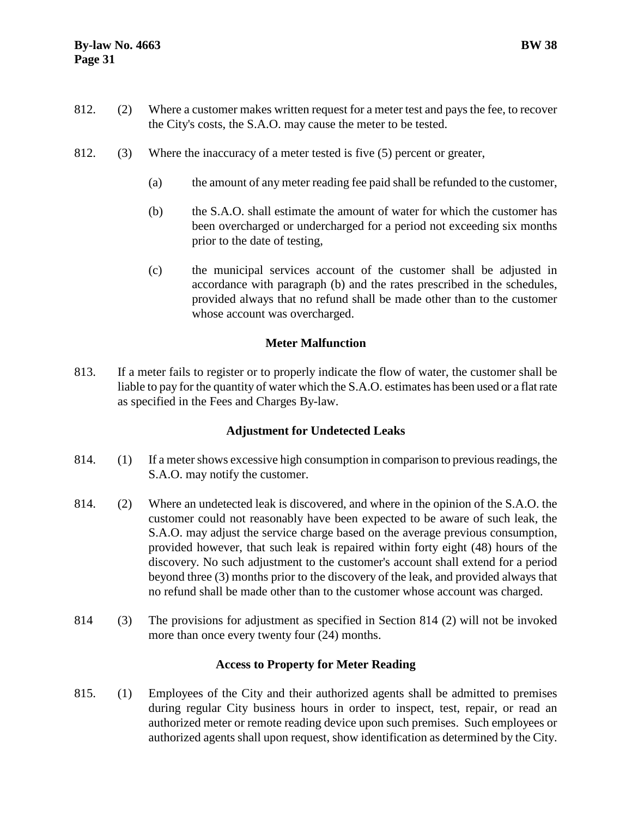- 812. (2) Where a customer makes written request for a meter test and pays the fee, to recover the City's costs, the S.A.O. may cause the meter to be tested.
- 812. (3) Where the inaccuracy of a meter tested is five (5) percent or greater,
	- (a) the amount of any meter reading fee paid shall be refunded to the customer,
	- (b) the S.A.O. shall estimate the amount of water for which the customer has been overcharged or undercharged for a period not exceeding six months prior to the date of testing,
	- (c) the municipal services account of the customer shall be adjusted in accordance with paragraph (b) and the rates prescribed in the schedules, provided always that no refund shall be made other than to the customer whose account was overcharged.

# <span id="page-34-0"></span>**Meter Malfunction**

813. If a meter fails to register or to properly indicate the flow of water, the customer shall be liable to pay for the quantity of water which the S.A.O. estimates has been used or a flat rate as specified in the Fees and Charges By-law.

# <span id="page-34-1"></span>**Adjustment for Undetected Leaks**

- 814. (1) If a meter shows excessive high consumption in comparison to previous readings, the S.A.O. may notify the customer.
- 814. (2) Where an undetected leak is discovered, and where in the opinion of the S.A.O. the customer could not reasonably have been expected to be aware of such leak, the S.A.O. may adjust the service charge based on the average previous consumption, provided however, that such leak is repaired within forty eight (48) hours of the discovery. No such adjustment to the customer's account shall extend for a period beyond three (3) months prior to the discovery of the leak, and provided always that no refund shall be made other than to the customer whose account was charged.
- 814 (3) The provisions for adjustment as specified in Section 814 (2) will not be invoked more than once every twenty four (24) months.

# <span id="page-34-2"></span>**Access to Property for Meter Reading**

815. (1) Employees of the City and their authorized agents shall be admitted to premises during regular City business hours in order to inspect, test, repair, or read an authorized meter or remote reading device upon such premises. Such employees or authorized agents shall upon request, show identification as determined by the City.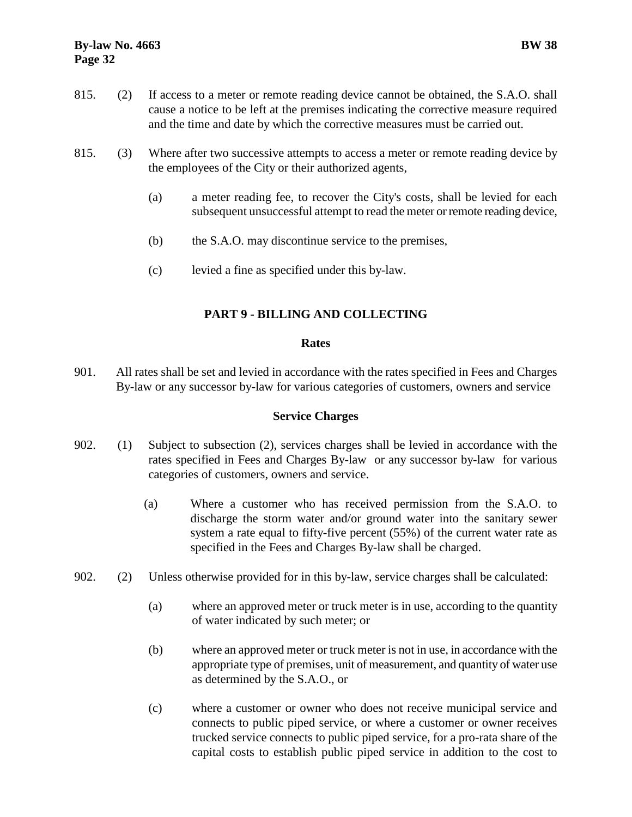# **By-law No. 4663 BW 38 Page 32**

- 815. (2) If access to a meter or remote reading device cannot be obtained, the S.A.O. shall cause a notice to be left at the premises indicating the corrective measure required and the time and date by which the corrective measures must be carried out.
- 815. (3) Where after two successive attempts to access a meter or remote reading device by the employees of the City or their authorized agents,
	- (a) a meter reading fee, to recover the City's costs, shall be levied for each subsequent unsuccessful attempt to read the meter or remote reading device,
	- (b) the S.A.O. may discontinue service to the premises,
	- (c) levied a fine as specified under this by-law.

# <span id="page-35-0"></span>**PART 9 - BILLING AND COLLECTING**

# <span id="page-35-1"></span>**Rates**

901. All rates shall be set and levied in accordance with the rates specified in Fees and Charges By-law or any successor by-law for various categories of customers, owners and service

# <span id="page-35-2"></span>**Service Charges**

- 902. (1) Subject to subsection (2), services charges shall be levied in accordance with the rates specified in Fees and Charges By-law or any successor by-law for various categories of customers, owners and service.
	- (a) Where a customer who has received permission from the S.A.O. to discharge the storm water and/or ground water into the sanitary sewer system a rate equal to fifty-five percent (55%) of the current water rate as specified in the Fees and Charges By-law shall be charged.
- 902. (2) Unless otherwise provided for in this by-law, service charges shall be calculated:
	- (a) where an approved meter or truck meter is in use, according to the quantity of water indicated by such meter; or
	- (b) where an approved meter or truck meter is not in use, in accordance with the appropriate type of premises, unit of measurement, and quantity of water use as determined by the S.A.O., or
	- (c) where a customer or owner who does not receive municipal service and connects to public piped service, or where a customer or owner receives trucked service connects to public piped service, for a pro-rata share of the capital costs to establish public piped service in addition to the cost to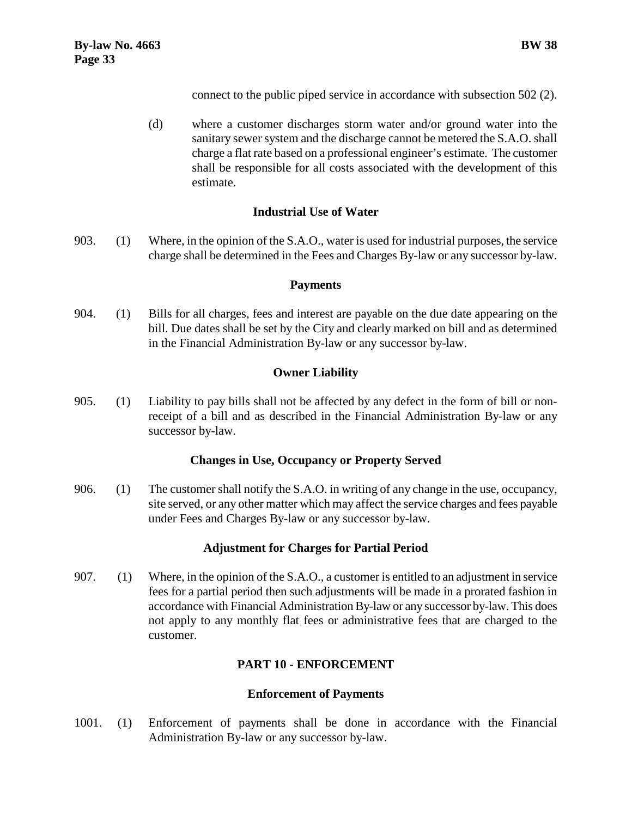connect to the public piped service in accordance with subsection 502 (2).

(d) where a customer discharges storm water and/or ground water into the sanitary sewer system and the discharge cannot be metered the S.A.O. shall charge a flat rate based on a professional engineer's estimate. The customer shall be responsible for all costs associated with the development of this estimate.

# <span id="page-36-0"></span>**Industrial Use of Water**

903. (1) Where, in the opinion of the S.A.O., water is used for industrial purposes, the service charge shall be determined in the Fees and Charges By-law or any successor by-law.

#### <span id="page-36-1"></span>**Payments**

904. (1) Bills for all charges, fees and interest are payable on the due date appearing on the bill. Due dates shall be set by the City and clearly marked on bill and as determined in the Financial Administration By-law or any successor by-law.

# <span id="page-36-2"></span>**Owner Liability**

905. (1) Liability to pay bills shall not be affected by any defect in the form of bill or nonreceipt of a bill and as described in the Financial Administration By-law or any successor by-law.

#### <span id="page-36-3"></span>**Changes in Use, Occupancy or Property Served**

906. (1) The customer shall notify the S.A.O. in writing of any change in the use, occupancy, site served, or any other matter which may affect the service charges and fees payable under Fees and Charges By-law or any successor by-law.

# <span id="page-36-4"></span>**Adjustment for Charges for Partial Period**

907. (1) Where, in the opinion of the S.A.O., a customer is entitled to an adjustment in service fees for a partial period then such adjustments will be made in a prorated fashion in accordance with Financial Administration By-law or any successor by-law. This does not apply to any monthly flat fees or administrative fees that are charged to the customer.

# <span id="page-36-5"></span>**PART 10 - ENFORCEMENT**

#### <span id="page-36-6"></span>**Enforcement of Payments**

1001. (1) Enforcement of payments shall be done in accordance with the Financial Administration By-law or any successor by-law.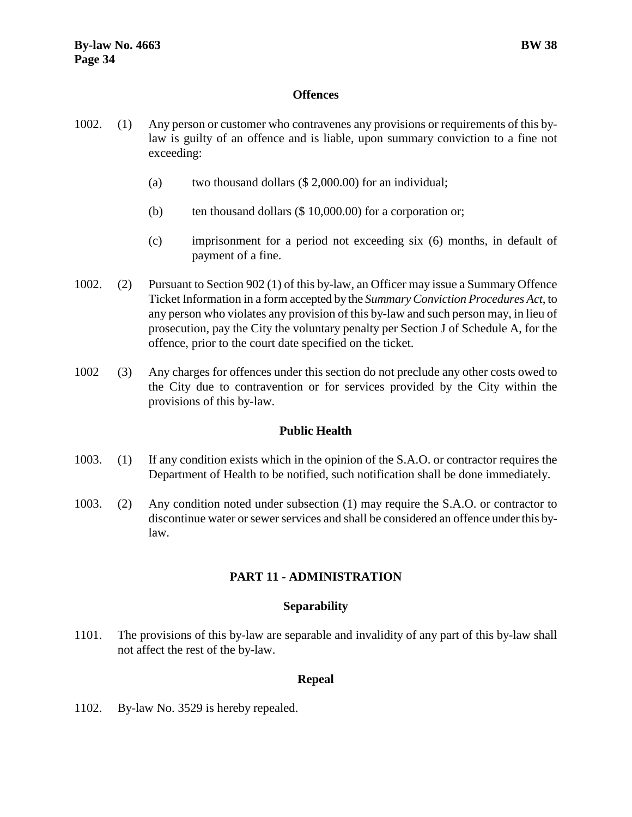#### <span id="page-37-0"></span>**Offences**

- 1002. (1) Any person or customer who contravenes any provisions or requirements of this bylaw is guilty of an offence and is liable, upon summary conviction to a fine not exceeding:
	- (a) two thousand dollars (\$ 2,000.00) for an individual;
	- (b) ten thousand dollars  $(\$ 10,000.00)$  for a corporation or;
	- (c) imprisonment for a period not exceeding six (6) months, in default of payment of a fine.
- 1002. (2) Pursuant to Section 902 (1) of this by-law, an Officer may issue a Summary Offence Ticket Information in a form accepted by the *Summary Conviction Procedures Act*, to any person who violates any provision of this by-law and such person may, in lieu of prosecution, pay the City the voluntary penalty per Section J of Schedule A, for the offence, prior to the court date specified on the ticket.
- 1002 (3) Any charges for offences under this section do not preclude any other costs owed to the City due to contravention or for services provided by the City within the provisions of this by-law.

# <span id="page-37-1"></span>**Public Health**

- 1003. (1) If any condition exists which in the opinion of the S.A.O. or contractor requires the Department of Health to be notified, such notification shall be done immediately.
- 1003. (2) Any condition noted under subsection (1) may require the S.A.O. or contractor to discontinue water or sewer services and shall be considered an offence under this bylaw.

# <span id="page-37-2"></span>**PART 11 - ADMINISTRATION**

#### <span id="page-37-3"></span>**Separability**

1101. The provisions of this by-law are separable and invalidity of any part of this by-law shall not affect the rest of the by-law.

#### <span id="page-37-5"></span><span id="page-37-4"></span>**Repeal**

1102. By-law No. 3529 is hereby repealed.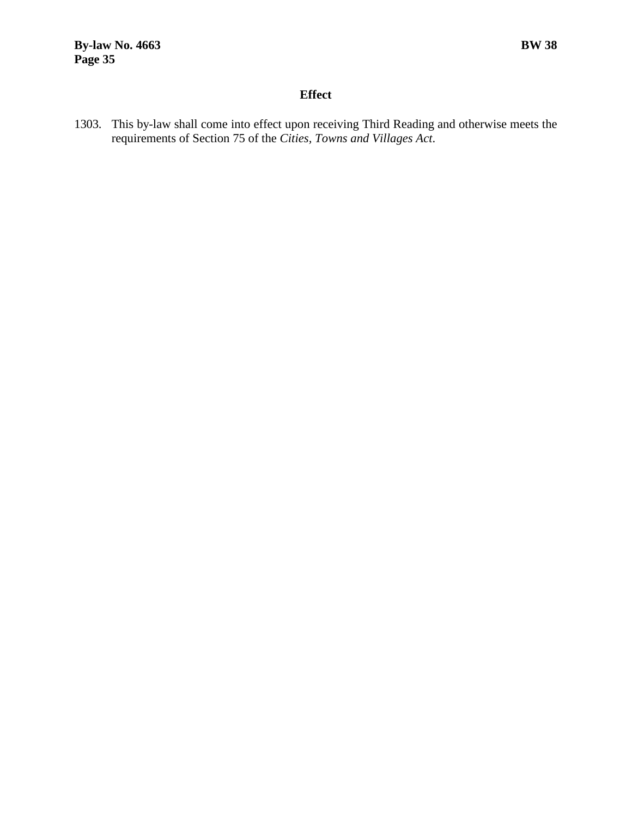# **Effect**

1303. This by-law shall come into effect upon receiving Third Reading and otherwise meets the requirements of Section 75 of the *Cities, Towns and Villages Act*.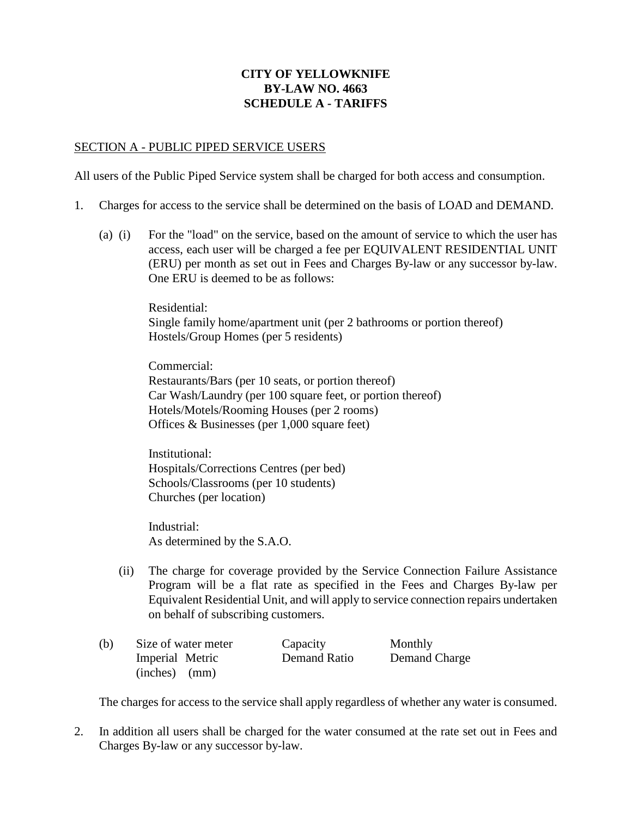# **CITY OF YELLOWKNIFE BY-LAW NO. 4663 SCHEDULE A - TARIFFS**

#### SECTION A - PUBLIC PIPED SERVICE USERS

All users of the Public Piped Service system shall be charged for both access and consumption.

- 1. Charges for access to the service shall be determined on the basis of LOAD and DEMAND.
	- (a) (i) For the "load" on the service, based on the amount of service to which the user has access, each user will be charged a fee per EQUIVALENT RESIDENTIAL UNIT (ERU) per month as set out in Fees and Charges By-law or any successor by-law. One ERU is deemed to be as follows:

Residential: Single family home/apartment unit (per 2 bathrooms or portion thereof) Hostels/Group Homes (per 5 residents)

Commercial: Restaurants/Bars (per 10 seats, or portion thereof) Car Wash/Laundry (per 100 square feet, or portion thereof) Hotels/Motels/Rooming Houses (per 2 rooms) Offices & Businesses (per 1,000 square feet)

Institutional: Hospitals/Corrections Centres (per bed) Schools/Classrooms (per 10 students) Churches (per location)

Industrial: As determined by the S.A.O.

(ii) The charge for coverage provided by the Service Connection Failure Assistance Program will be a flat rate as specified in the Fees and Charges By-law per Equivalent Residential Unit, and will apply to service connection repairs undertaken on behalf of subscribing customers.

| (b) | Size of water meter | Capacity     | Monthly       |
|-----|---------------------|--------------|---------------|
|     | Imperial Metric     | Demand Ratio | Demand Charge |
|     | $(inches)$ $(mm)$   |              |               |

The charges for access to the service shall apply regardless of whether any water is consumed.

2. In addition all users shall be charged for the water consumed at the rate set out in Fees and Charges By-law or any successor by-law.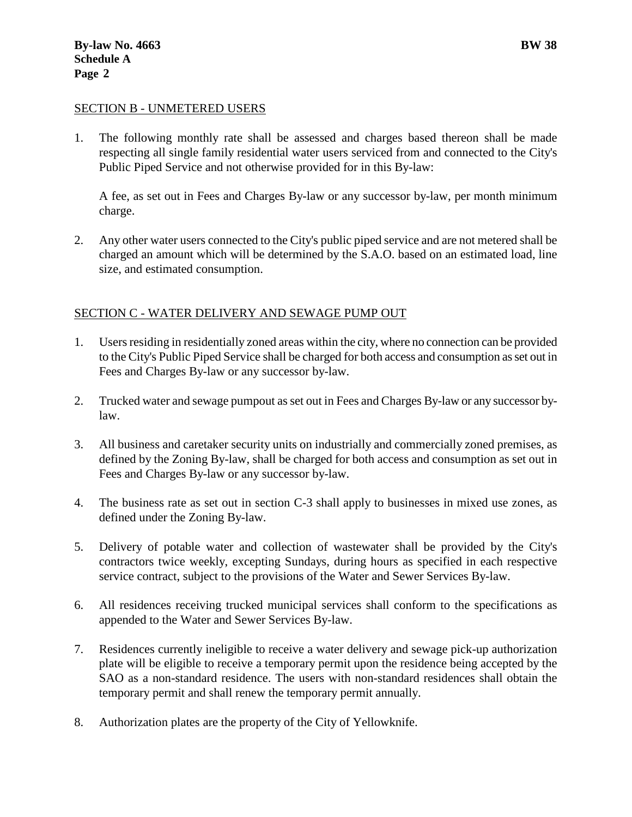#### SECTION B - UNMETERED USERS

1. The following monthly rate shall be assessed and charges based thereon shall be made respecting all single family residential water users serviced from and connected to the City's Public Piped Service and not otherwise provided for in this By-law:

A fee, as set out in Fees and Charges By-law or any successor by-law, per month minimum charge.

2. Any other water users connected to the City's public piped service and are not metered shall be charged an amount which will be determined by the S.A.O. based on an estimated load, line size, and estimated consumption.

#### SECTION C - WATER DELIVERY AND SEWAGE PUMP OUT

- 1. Users residing in residentially zoned areas within the city, where no connection can be provided to the City's Public Piped Service shall be charged for both access and consumption as set out in Fees and Charges By-law or any successor by-law.
- 2. Trucked water and sewage pumpout as set out in Fees and Charges By-law or any successor bylaw.
- 3. All business and caretaker security units on industrially and commercially zoned premises, as defined by the Zoning By-law, shall be charged for both access and consumption as set out in Fees and Charges By-law or any successor by-law.
- 4. The business rate as set out in section C-3 shall apply to businesses in mixed use zones, as defined under the Zoning By-law.
- 5. Delivery of potable water and collection of wastewater shall be provided by the City's contractors twice weekly, excepting Sundays, during hours as specified in each respective service contract, subject to the provisions of the Water and Sewer Services By-law.
- 6. All residences receiving trucked municipal services shall conform to the specifications as appended to the Water and Sewer Services By-law.
- 7. Residences currently ineligible to receive a water delivery and sewage pick-up authorization plate will be eligible to receive a temporary permit upon the residence being accepted by the SAO as a non-standard residence. The users with non-standard residences shall obtain the temporary permit and shall renew the temporary permit annually.
- 8. Authorization plates are the property of the City of Yellowknife.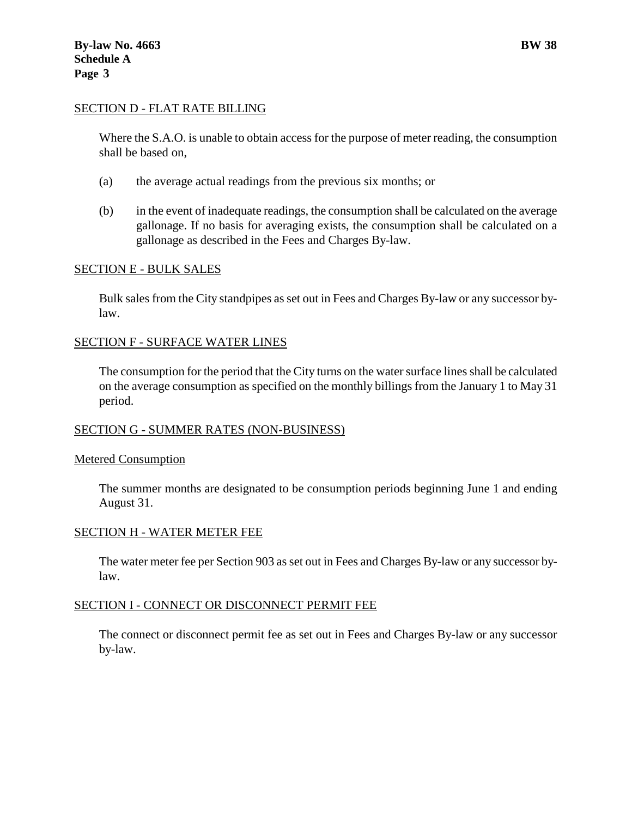#### SECTION D - FLAT RATE BILLING

Where the S.A.O. is unable to obtain access for the purpose of meter reading, the consumption shall be based on,

- (a) the average actual readings from the previous six months; or
- (b) in the event of inadequate readings, the consumption shall be calculated on the average gallonage. If no basis for averaging exists, the consumption shall be calculated on a gallonage as described in the Fees and Charges By-law.

#### SECTION E - BULK SALES

Bulk sales from the City standpipes as set out in Fees and Charges By-law or any successor bylaw.

#### SECTION F - SURFACE WATER LINES

The consumption for the period that the City turns on the water surface lines shall be calculated on the average consumption as specified on the monthly billings from the January 1 to May 31 period.

#### SECTION G - SUMMER RATES (NON-BUSINESS)

#### Metered Consumption

The summer months are designated to be consumption periods beginning June 1 and ending August 31.

#### SECTION H - WATER METER FEE

The water meter fee per Section 903 as set out in Fees and Charges By-law or any successor bylaw.

#### SECTION I - CONNECT OR DISCONNECT PERMIT FEE

The connect or disconnect permit fee as set out in Fees and Charges By-law or any successor by-law.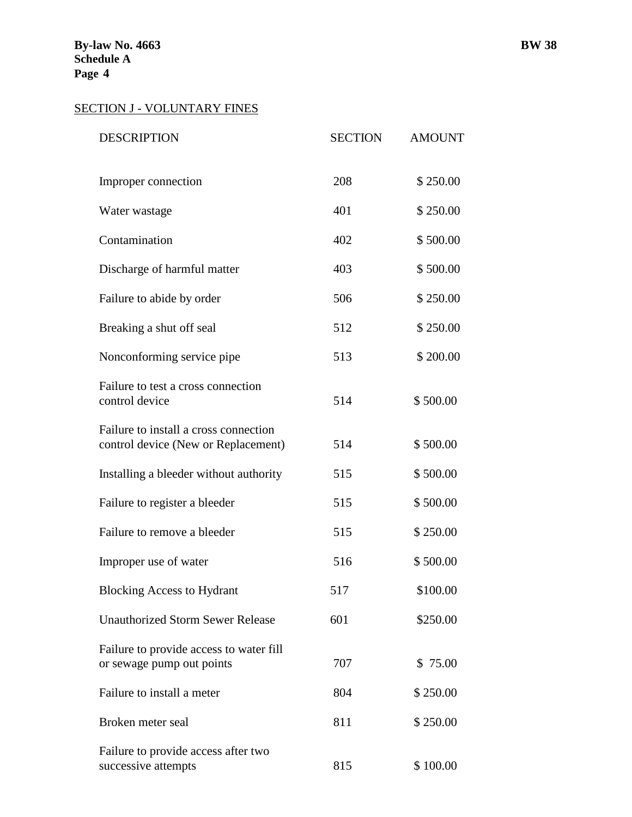# SECTION J - VOLUNTARY FINES

| <b>DESCRIPTION</b>                                                           | <b>SECTION</b> | <b>AMOUNT</b> |
|------------------------------------------------------------------------------|----------------|---------------|
| Improper connection                                                          | 208            | \$250.00      |
| Water wastage                                                                | 401            | \$250.00      |
| Contamination                                                                | 402            | \$500.00      |
| Discharge of harmful matter                                                  | 403            | \$500.00      |
| Failure to abide by order                                                    | 506            | \$250.00      |
| Breaking a shut off seal                                                     | 512            | \$250.00      |
| Nonconforming service pipe                                                   | 513            | \$200.00      |
| Failure to test a cross connection<br>control device                         | 514            | \$500.00      |
| Failure to install a cross connection<br>control device (New or Replacement) | 514            | \$500.00      |
| Installing a bleeder without authority                                       | 515            | \$500.00      |
| Failure to register a bleeder                                                | 515            | \$500.00      |
| Failure to remove a bleeder                                                  | 515            | \$250.00      |
| Improper use of water                                                        | 516            | \$500.00      |
| <b>Blocking Access to Hydrant</b>                                            | 517            | \$100.00      |
| <b>Unauthorized Storm Sewer Release</b>                                      | 601            | \$250.00      |
| Failure to provide access to water fill<br>or sewage pump out points         | 707            | \$75.00       |
| Failure to install a meter                                                   | 804            | \$250.00      |
| Broken meter seal                                                            | 811            | \$250.00      |
| Failure to provide access after two<br>successive attempts                   | 815            | \$100.00      |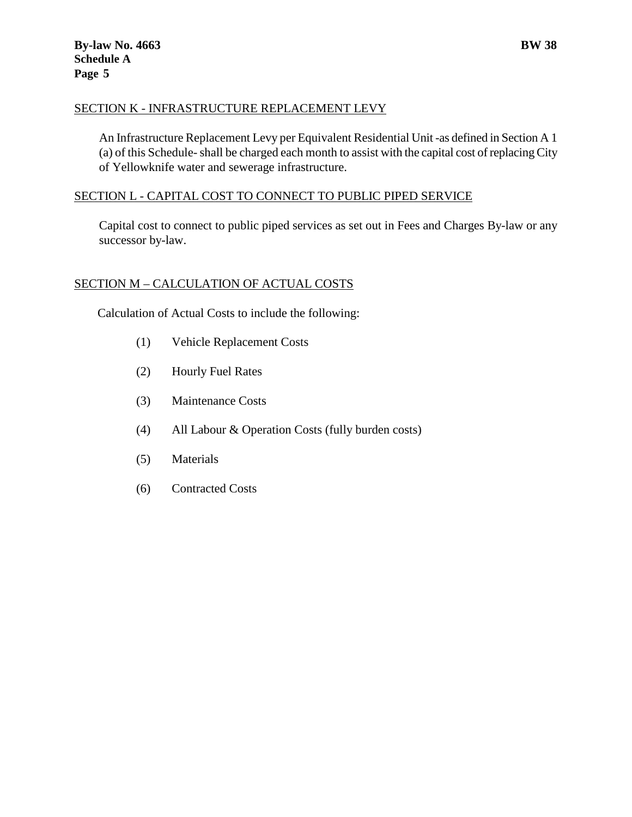# SECTION K - INFRASTRUCTURE REPLACEMENT LEVY

An Infrastructure Replacement Levy per Equivalent Residential Unit -as defined in Section A 1 (a) of this Schedule-shall be charged each month to assist with the capital cost of replacing City of Yellowknife water and sewerage infrastructure.

# SECTION L - CAPITAL COST TO CONNECT TO PUBLIC PIPED SERVICE

Capital cost to connect to public piped services as set out in Fees and Charges By-law or any successor by-law.

# SECTION M – CALCULATION OF ACTUAL COSTS

Calculation of Actual Costs to include the following:

- (1) Vehicle Replacement Costs
- (2) Hourly Fuel Rates
- (3) Maintenance Costs
- (4) All Labour & Operation Costs (fully burden costs)
- (5) Materials
- (6) Contracted Costs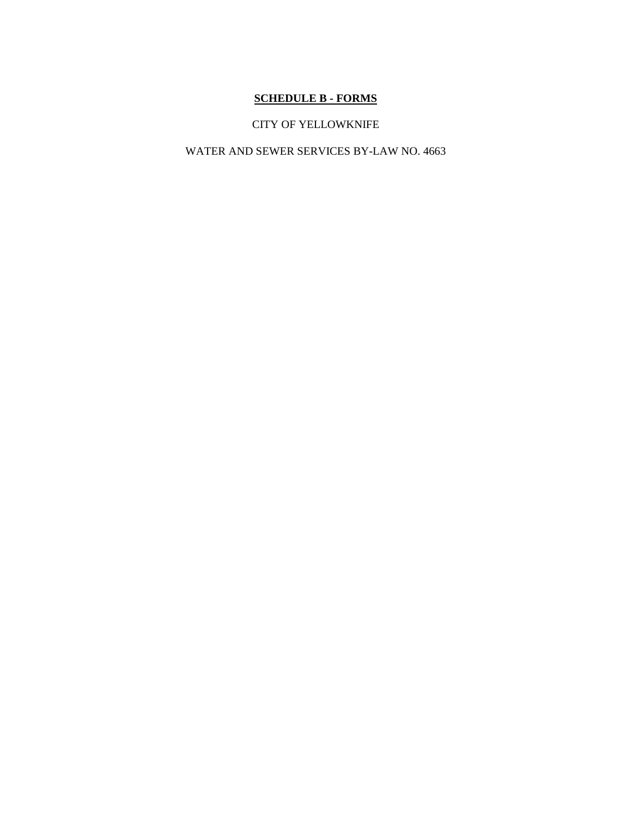# **SCHEDULE B - FORMS**

# CITY OF YELLOWKNIFE

#### WATER AND SEWER SERVICES BY-LAW NO. 4663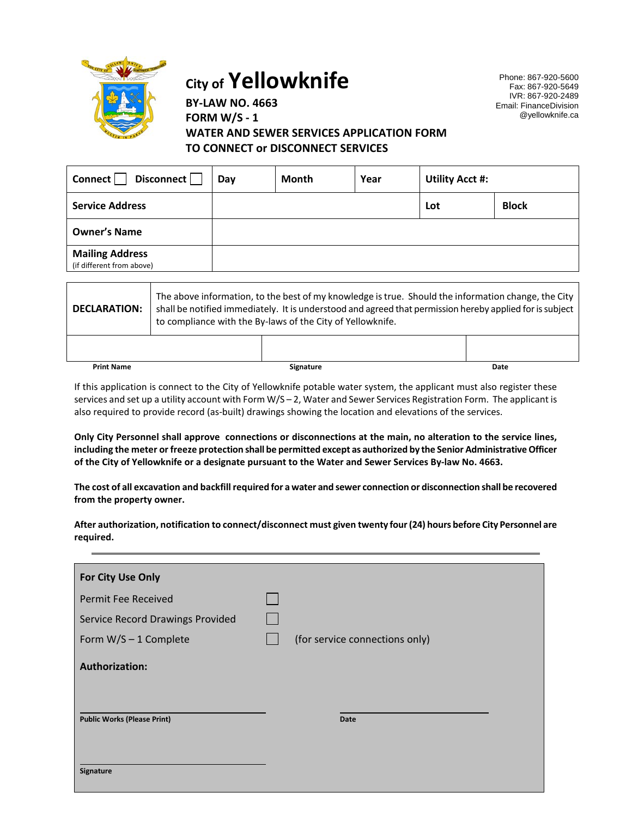

# **City of Yellowknife**

Phone: 867-920-5600 Fax: 867-920-5649 IVR: 867-920-2489 Email: FinanceDivision @yellowknife.ca

# **BY-LAW NO. 4663 FORM W/S - 1 WATER AND SEWER SERVICES APPLICATION FORM TO CONNECT or DISCONNECT SERVICES**

| Disconnect<br>Connect                               | Day | Month | Year | <b>Utility Acct #:</b> |              |
|-----------------------------------------------------|-----|-------|------|------------------------|--------------|
| <b>Service Address</b>                              |     |       |      | Lot                    | <b>Block</b> |
| <b>Owner's Name</b>                                 |     |       |      |                        |              |
| <b>Mailing Address</b><br>(if different from above) |     |       |      |                        |              |

| <b>DECLARATION:</b> | The above information, to the best of my knowledge is true. Should the information change, the City<br>shall be notified immediately. It is understood and agreed that permission hereby applied for is subject<br>to compliance with the By-laws of the City of Yellowknife. |                  |      |
|---------------------|-------------------------------------------------------------------------------------------------------------------------------------------------------------------------------------------------------------------------------------------------------------------------------|------------------|------|
|                     |                                                                                                                                                                                                                                                                               |                  |      |
| <b>Print Name</b>   |                                                                                                                                                                                                                                                                               | <b>Signature</b> | Date |

If this application is connect to the City of Yellowknife potable water system, the applicant must also register these services and set up a utility account with Form W/S – 2, Water and Sewer Services Registration Form. The applicant is also required to provide record (as-built) drawings showing the location and elevations of the services.

**Only City Personnel shall approve connections or disconnections at the main, no alteration to the service lines, including the meter or freeze protection shall be permitted except as authorized by the Senior Administrative Officer of the City of Yellowknife or a designate pursuant to the Water and Sewer Services By-law No. 4663.**

**The cost of all excavation and backfill required for a water and sewer connection or disconnection shall be recovered from the property owner.**

**After authorization, notification to connect/disconnect must given twenty four (24) hours before City Personnel are required.**

| For City Use Only                  |                                |
|------------------------------------|--------------------------------|
| <b>Permit Fee Received</b>         |                                |
| Service Record Drawings Provided   |                                |
| Form $W/S - 1$ Complete            | (for service connections only) |
| <b>Authorization:</b>              |                                |
| <b>Public Works (Please Print)</b> | Date                           |
| Signature                          |                                |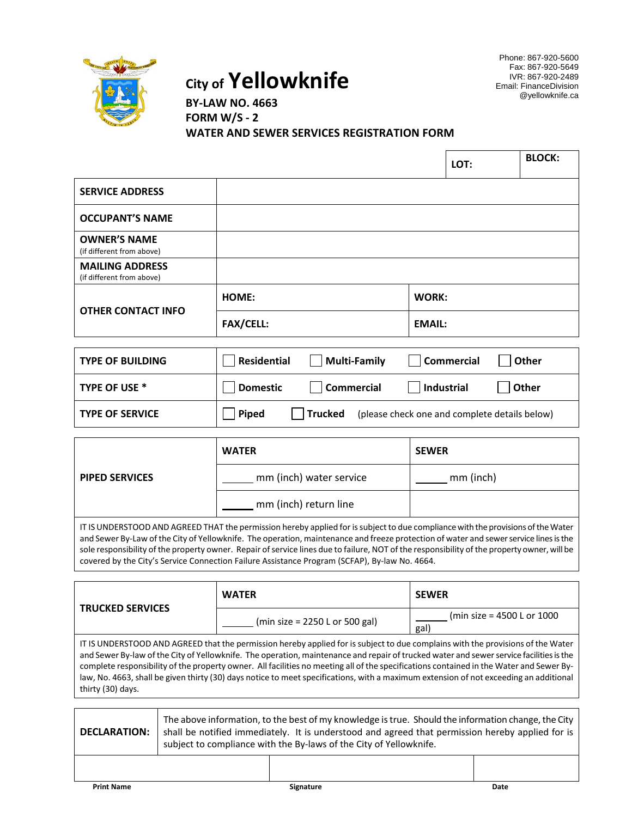

**City of Yellowknife**

Phone: 867-920-5600 Fax: 867-920-5649 IVR: 867-920-2489 Email: FinanceDivision @yellowknife.ca

**BY-LAW NO. 4663 FORM W/S - 2 WATER AND SEWER SERVICES REGISTRATION FORM**

|                                                     |                  |                                                                                                                                                                                                                                | LOT:          | <b>BLOCK:</b> |
|-----------------------------------------------------|------------------|--------------------------------------------------------------------------------------------------------------------------------------------------------------------------------------------------------------------------------|---------------|---------------|
| <b>SERVICE ADDRESS</b>                              |                  |                                                                                                                                                                                                                                |               |               |
| <b>OCCUPANT'S NAME</b>                              |                  |                                                                                                                                                                                                                                |               |               |
| <b>OWNER'S NAME</b><br>(if different from above)    |                  |                                                                                                                                                                                                                                |               |               |
| <b>MAILING ADDRESS</b><br>(if different from above) |                  |                                                                                                                                                                                                                                |               |               |
|                                                     | HOME:            | <b>WORK:</b>                                                                                                                                                                                                                   |               |               |
| <b>OTHER CONTACT INFO</b>                           | <b>FAX/CELL:</b> | <b>EMAIL:</b>                                                                                                                                                                                                                  |               |               |
|                                                     |                  |                                                                                                                                                                                                                                |               |               |
| .                                                   | — L.             | and the contract of the contract of the contract of the contract of the contract of the contract of the contract of the contract of the contract of the contract of the contract of the contract of the contract of the contra | $\sim$ $\sim$ | $\sim$        |

| <b>TYPE OF BUILDING</b> | Residential     | Multi-Family | <b>Commercial</b>                             | Other   |
|-------------------------|-----------------|--------------|-----------------------------------------------|---------|
| TYPE OF USE *           | <b>Domestic</b> | Commercial   | Industrial                                    | l Other |
| <b>TYPE OF SERVICE</b>  | <b>Piped</b>    | Trucked      | (please check one and complete details below) |         |

|                       | <b>WATER</b>            | <b>SEWER</b> |
|-----------------------|-------------------------|--------------|
| <b>PIPED SERVICES</b> | mm (inch) water service | mm (inch)    |
|                       | mm (inch) return line   |              |

IT IS UNDERSTOOD AND AGREED THAT the permission hereby applied for is subject to due compliance with the provisions of the Water and Sewer By-Law of the City of Yellowknife. The operation, maintenance and freeze protection of water and sewer service lines is the sole responsibility of the property owner. Repair of service lines due to failure, NOT of the responsibility of the property owner, will be covered by the City's Service Connection Failure Assistance Program (SCFAP), By-law No. 4664.

|                                                                                                                                    | <b>WATER</b>                     | <b>SEWER</b>                        |  |  |
|------------------------------------------------------------------------------------------------------------------------------------|----------------------------------|-------------------------------------|--|--|
| <b>TRUCKED SERVICES</b>                                                                                                            | (min size = $2250$ L or 500 gal) | (min size = 4500 L or 1000)<br>gal) |  |  |
| IT IC UNIDERCTOOD AND ACREED that the nermission berefuse publied for is subject to due complains with the provisions of the Water |                                  |                                     |  |  |

IT IS UNDERSTOOD AND AGREED that the permission hereby applied for is subject to due complains with the provisions of the Water and Sewer By-law of the City of Yellowknife. The operation, maintenance and repair of trucked water and sewer service facilities is the complete responsibility of the property owner. All facilities no meeting all of the specifications contained in the Water and Sewer Bylaw, No. 4663, shall be given thirty (30) days notice to meet specifications, with a maximum extension of not exceeding an additional thirty (30) days.

| <b>DECLARATION:</b> | The above information, to the best of my knowledge is true. Should the information change, the City<br>shall be notified immediately. It is understood and agreed that permission hereby applied for is<br>subject to compliance with the By-laws of the City of Yellowknife. |
|---------------------|-------------------------------------------------------------------------------------------------------------------------------------------------------------------------------------------------------------------------------------------------------------------------------|
|---------------------|-------------------------------------------------------------------------------------------------------------------------------------------------------------------------------------------------------------------------------------------------------------------------------|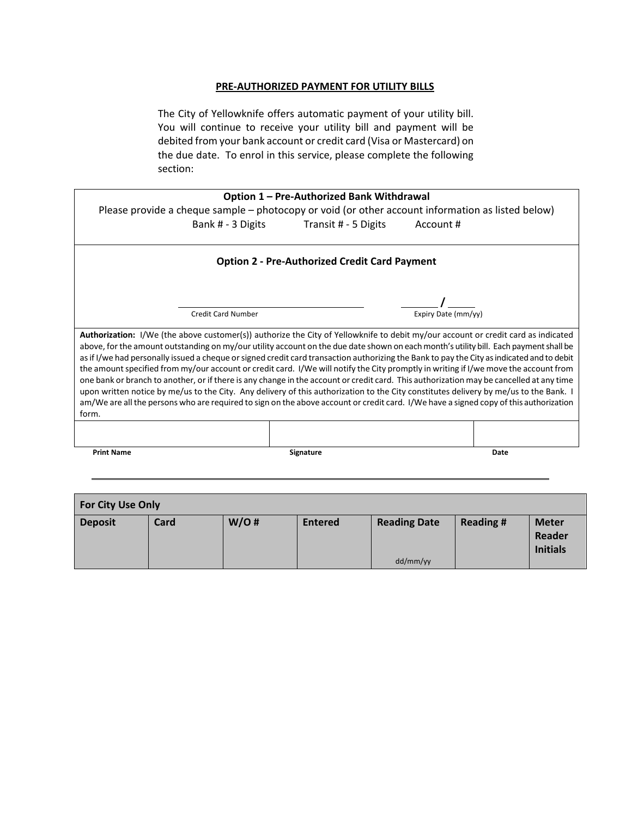#### **PRE-AUTHORIZED PAYMENT FOR UTILITY BILLS**

The City of Yellowknife offers automatic payment of your utility bill. You will continue to receive your utility bill and payment will be debited from your bank account or credit card (Visa or Mastercard) on the due date. To enrol in this service, please complete the following section:

|                                                                                                                                                                                                                                                                                                                                                                                                                                                                                                                                                                                                                                                                                                                                                                                                                                                                                                                                                                                                               | Option 1 - Pre-Authorized Bank Withdrawal            |           |      |
|---------------------------------------------------------------------------------------------------------------------------------------------------------------------------------------------------------------------------------------------------------------------------------------------------------------------------------------------------------------------------------------------------------------------------------------------------------------------------------------------------------------------------------------------------------------------------------------------------------------------------------------------------------------------------------------------------------------------------------------------------------------------------------------------------------------------------------------------------------------------------------------------------------------------------------------------------------------------------------------------------------------|------------------------------------------------------|-----------|------|
| Please provide a cheque sample – photocopy or void (or other account information as listed below)                                                                                                                                                                                                                                                                                                                                                                                                                                                                                                                                                                                                                                                                                                                                                                                                                                                                                                             |                                                      |           |      |
|                                                                                                                                                                                                                                                                                                                                                                                                                                                                                                                                                                                                                                                                                                                                                                                                                                                                                                                                                                                                               | Bank # - 3 Digits Transit # - 5 Digits               | Account # |      |
|                                                                                                                                                                                                                                                                                                                                                                                                                                                                                                                                                                                                                                                                                                                                                                                                                                                                                                                                                                                                               | <b>Option 2 - Pre-Authorized Credit Card Payment</b> |           |      |
|                                                                                                                                                                                                                                                                                                                                                                                                                                                                                                                                                                                                                                                                                                                                                                                                                                                                                                                                                                                                               |                                                      |           |      |
| Expiry Date (mm/yy)<br><b>Credit Card Number</b>                                                                                                                                                                                                                                                                                                                                                                                                                                                                                                                                                                                                                                                                                                                                                                                                                                                                                                                                                              |                                                      |           |      |
| <b>Authorization:</b> I/We (the above customer(s)) authorize the City of Yellowknife to debit my/our account or credit card as indicated<br>above, for the amount outstanding on my/our utility account on the due date shown on each month's utility bill. Each payment shall be<br>as if I/we had personally issued a cheque or signed credit card transaction authorizing the Bank to pay the City as indicated and to debit<br>the amount specified from my/our account or credit card. I/We will notify the City promptly in writing if I/we move the account from<br>one bank or branch to another, or if there is any change in the account or credit card. This authorization may be cancelled at any time<br>upon written notice by me/us to the City. Any delivery of this authorization to the City constitutes delivery by me/us to the Bank. I<br>am/We are all the persons who are required to sign on the above account or credit card. I/We have a signed copy of this authorization<br>form. |                                                      |           |      |
|                                                                                                                                                                                                                                                                                                                                                                                                                                                                                                                                                                                                                                                                                                                                                                                                                                                                                                                                                                                                               |                                                      |           |      |
| <b>Print Name</b>                                                                                                                                                                                                                                                                                                                                                                                                                                                                                                                                                                                                                                                                                                                                                                                                                                                                                                                                                                                             | Signature                                            |           | Date |

| <b>For City Use Only</b> |      |      |                |                     |                 |                                           |
|--------------------------|------|------|----------------|---------------------|-----------------|-------------------------------------------|
| <b>Deposit</b>           | Card | W/O# | <b>Entered</b> | <b>Reading Date</b> | <b>Reading#</b> | <b>Meter</b><br>Reader<br><b>Initials</b> |
|                          |      |      |                | dd/mm/yy            |                 |                                           |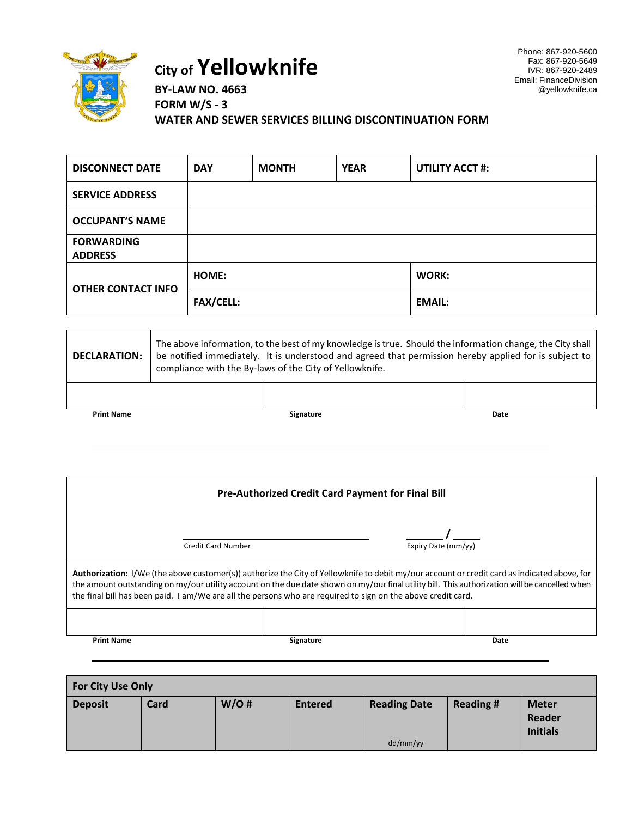

# **City of Yellowknife**

Phone: 867-920-5600 Fax: 867-920-5649 IVR: 867-920-2489 Email: FinanceDivision @yellowknife.ca

**BY-LAW NO. 4663 FORM W/S - 3 WATER AND SEWER SERVICES BILLING DISCONTINUATION FORM**

| <b>DISCONNECT DATE</b>              | <b>DAY</b>       | <b>MONTH</b> | <b>YEAR</b> | <b>UTILITY ACCT #:</b> |
|-------------------------------------|------------------|--------------|-------------|------------------------|
| <b>SERVICE ADDRESS</b>              |                  |              |             |                        |
| <b>OCCUPANT'S NAME</b>              |                  |              |             |                        |
| <b>FORWARDING</b><br><b>ADDRESS</b> |                  |              |             |                        |
| <b>OTHER CONTACT INFO</b>           | <b>HOME:</b>     |              |             | WORK:                  |
|                                     | <b>FAX/CELL:</b> |              |             | <b>EMAIL:</b>          |

| <b>DECLARATION:</b> | The above information, to the best of my knowledge is true. Should the information change, the City shall<br>be notified immediately. It is understood and agreed that permission hereby applied for is subject to<br>compliance with the By-laws of the City of Yellowknife. |                  |      |
|---------------------|-------------------------------------------------------------------------------------------------------------------------------------------------------------------------------------------------------------------------------------------------------------------------------|------------------|------|
|                     |                                                                                                                                                                                                                                                                               |                  |      |
| <b>Print Name</b>   |                                                                                                                                                                                                                                                                               | <b>Signature</b> | Date |

| <b>Pre-Authorized Credit Card Payment for Final Bill</b>                                                                                                                                                                                                                                                                                                                                                       |  |                     |  |
|----------------------------------------------------------------------------------------------------------------------------------------------------------------------------------------------------------------------------------------------------------------------------------------------------------------------------------------------------------------------------------------------------------------|--|---------------------|--|
| <b>Credit Card Number</b>                                                                                                                                                                                                                                                                                                                                                                                      |  | Expiry Date (mm/yy) |  |
| Authorization: I/We (the above customer(s)) authorize the City of Yellowknife to debit my/our account or credit card as indicated above, for<br>the amount outstanding on my/our utility account on the due date shown on my/our final utility bill. This authorization will be cancelled when<br>the final bill has been paid. I am/We are all the persons who are required to sign on the above credit card. |  |                     |  |
|                                                                                                                                                                                                                                                                                                                                                                                                                |  |                     |  |

**Print Name Signature Signature Signature Signature Date** 

| <b>For City Use Only</b> |      |      |                |                     |                 |                                           |
|--------------------------|------|------|----------------|---------------------|-----------------|-------------------------------------------|
| <b>Deposit</b>           | Card | W/O# | <b>Entered</b> | <b>Reading Date</b> | <b>Reading#</b> | <b>Meter</b><br>Reader<br><b>Initials</b> |
|                          |      |      |                | dd/mm/yy            |                 |                                           |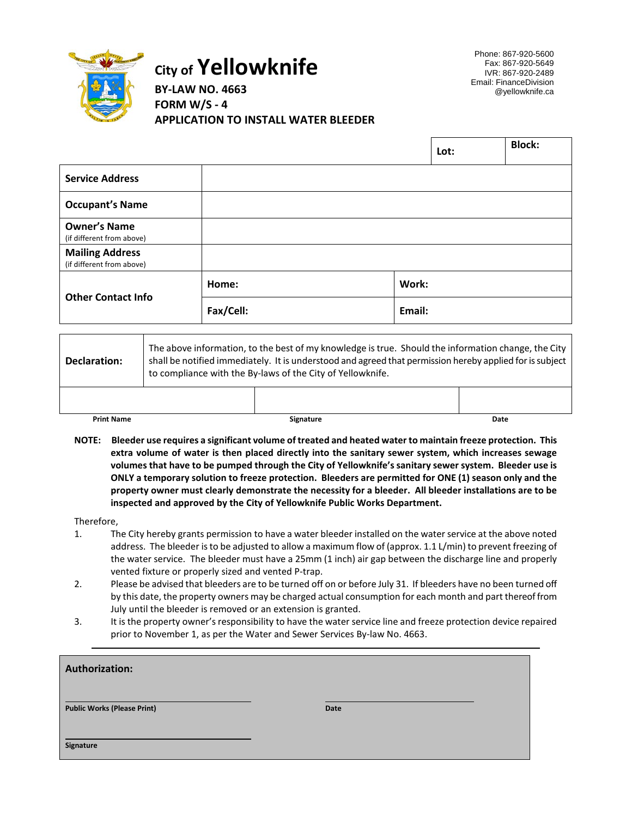

# **City of Yellowknife**

Phone: 867-920-5600 Fax: 867-920-5649 IVR: 867-920-2489 Email: FinanceDivision @yellowknife.ca

**BY-LAW NO. 4663 FORM W/S - 4 APPLICATION TO INSTALL WATER BLEEDER**

|                                                     |           |        | Lot: | <b>Block:</b> |
|-----------------------------------------------------|-----------|--------|------|---------------|
| <b>Service Address</b>                              |           |        |      |               |
| <b>Occupant's Name</b>                              |           |        |      |               |
| <b>Owner's Name</b><br>(if different from above)    |           |        |      |               |
| <b>Mailing Address</b><br>(if different from above) |           |        |      |               |
| <b>Other Contact Info</b>                           | Home:     | Work:  |      |               |
|                                                     | Fax/Cell: | Email: |      |               |

| Declaration:      | The above information, to the best of my knowledge is true. Should the information change, the City<br>shall be notified immediately. It is understood and agreed that permission hereby applied for is subject<br>to compliance with the By-laws of the City of Yellowknife. |                  |      |
|-------------------|-------------------------------------------------------------------------------------------------------------------------------------------------------------------------------------------------------------------------------------------------------------------------------|------------------|------|
|                   |                                                                                                                                                                                                                                                                               |                  |      |
| <b>Print Name</b> |                                                                                                                                                                                                                                                                               | <b>Signature</b> | Date |

**NOTE: Bleeder use requires a significant volume of treated and heated water to maintain freeze protection. This extra volume of water is then placed directly into the sanitary sewer system, which increases sewage volumes that have to be pumped through the City of Yellowknife's sanitary sewer system. Bleeder use is ONLY a temporary solution to freeze protection. Bleeders are permitted for ONE (1) season only and the property owner must clearly demonstrate the necessity for a bleeder. All bleeder installations are to be inspected and approved by the City of Yellowknife Public Works Department.**

#### Therefore,

- 1. The City hereby grants permission to have a water bleeder installed on the water service at the above noted address. The bleeder is to be adjusted to allow a maximum flow of (approx. 1.1 L/min) to prevent freezing of the water service. The bleeder must have a 25mm (1 inch) air gap between the discharge line and properly vented fixture or properly sized and vented P-trap.
- 2. Please be advised that bleeders are to be turned off on or before July 31. If bleeders have no been turned off by this date, the property owners may be charged actual consumption for each month and part thereof from July until the bleeder is removed or an extension is granted.
- 3. It is the property owner's responsibility to have the water service line and freeze protection device repaired prior to November 1, as per the Water and Sewer Services By-law No. 4663.

| <b>Authorization:</b>              |             |  |
|------------------------------------|-------------|--|
| <b>Public Works (Please Print)</b> | <b>Date</b> |  |
| Signature                          |             |  |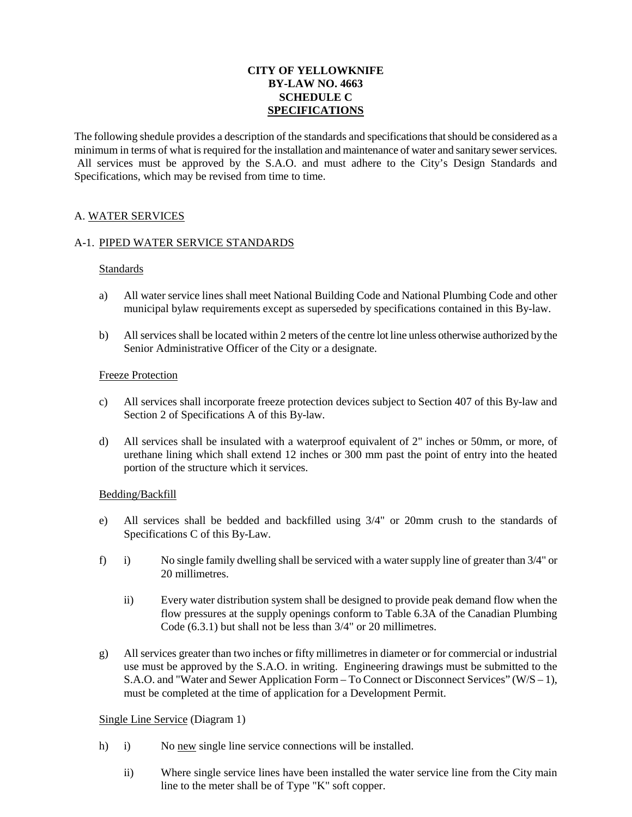#### **CITY OF YELLOWKNIFE BY-LAW NO. 4663 SCHEDULE C SPECIFICATIONS**

The following shedule provides a description of the standards and specifications that should be considered as a minimum in terms of what is required for the installation and maintenance of water and sanitary sewer services. All services must be approved by the S.A.O. and must adhere to the City's Design Standards and Specifications, which may be revised from time to time.

#### A. WATER SERVICES

#### A-1. PIPED WATER SERVICE STANDARDS

#### Standards

- a) All water service lines shall meet National Building Code and National Plumbing Code and other municipal bylaw requirements except as superseded by specifications contained in this By-law.
- b) All services shall be located within 2 meters of the centre lot line unless otherwise authorized by the Senior Administrative Officer of the City or a designate.

#### Freeze Protection

- c) All services shall incorporate freeze protection devices subject to Section 407 of this By-law and Section 2 of Specifications A of this By-law.
- d) All services shall be insulated with a waterproof equivalent of 2" inches or 50mm, or more, of urethane lining which shall extend 12 inches or 300 mm past the point of entry into the heated portion of the structure which it services.

#### Bedding/Backfill

- e) All services shall be bedded and backfilled using 3/4" or 20mm crush to the standards of Specifications C of this By-Law.
- f) i) No single family dwelling shall be serviced with a water supply line of greater than 3/4" or 20 millimetres.
	- ii) Every water distribution system shall be designed to provide peak demand flow when the flow pressures at the supply openings conform to Table 6.3A of the Canadian Plumbing Code (6.3.1) but shall not be less than 3/4" or 20 millimetres.
- g) All services greater than two inches or fifty millimetres in diameter or for commercial or industrial use must be approved by the S.A.O. in writing. Engineering drawings must be submitted to the S.A.O. and "Water and Sewer Application Form – To Connect or Disconnect Services" (W/S – 1), must be completed at the time of application for a Development Permit.

#### Single Line Service (Diagram 1)

- h) i) No new single line service connections will be installed.
	- ii) Where single service lines have been installed the water service line from the City main line to the meter shall be of Type "K" soft copper.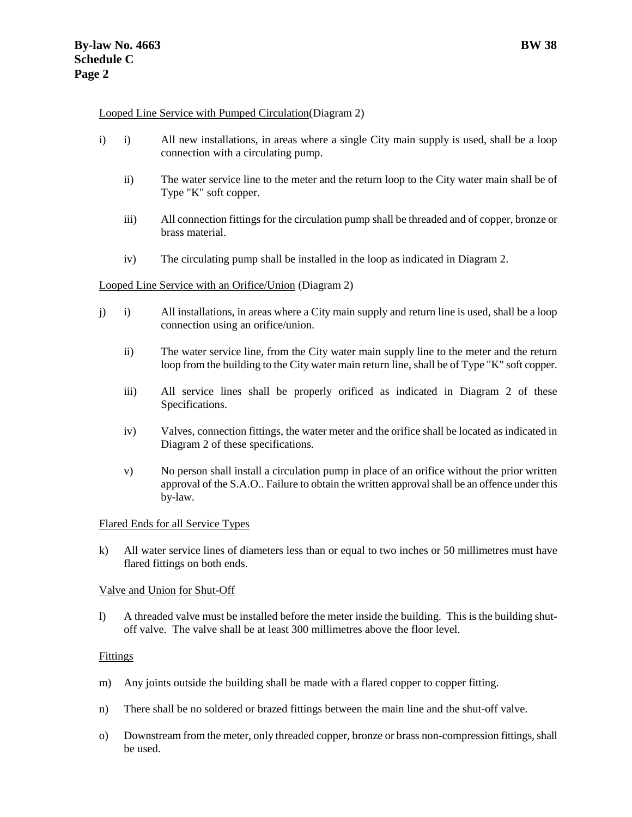#### Looped Line Service with Pumped Circulation(Diagram 2)

- i) i) All new installations, in areas where a single City main supply is used, shall be a loop connection with a circulating pump.
	- ii) The water service line to the meter and the return loop to the City water main shall be of Type "K" soft copper.
	- iii) All connection fittings for the circulation pump shall be threaded and of copper, bronze or brass material.
	- iv) The circulating pump shall be installed in the loop as indicated in Diagram 2.

#### Looped Line Service with an Orifice/Union (Diagram 2)

- j) i) All installations, in areas where a City main supply and return line is used, shall be a loop connection using an orifice/union.
	- ii) The water service line, from the City water main supply line to the meter and the return loop from the building to the City water main return line, shall be of Type "K" soft copper.
	- iii) All service lines shall be properly orificed as indicated in Diagram 2 of these Specifications.
	- iv) Valves, connection fittings, the water meter and the orifice shall be located as indicated in Diagram 2 of these specifications.
	- v) No person shall install a circulation pump in place of an orifice without the prior written approval of the S.A.O.. Failure to obtain the written approval shall be an offence under this by-law.

#### Flared Ends for all Service Types

k) All water service lines of diameters less than or equal to two inches or 50 millimetres must have flared fittings on both ends.

#### Valve and Union for Shut-Off

l) A threaded valve must be installed before the meter inside the building. This is the building shutoff valve. The valve shall be at least 300 millimetres above the floor level.

#### Fittings

- m) Any joints outside the building shall be made with a flared copper to copper fitting.
- n) There shall be no soldered or brazed fittings between the main line and the shut-off valve.
- o) Downstream from the meter, only threaded copper, bronze or brass non-compression fittings, shall be used.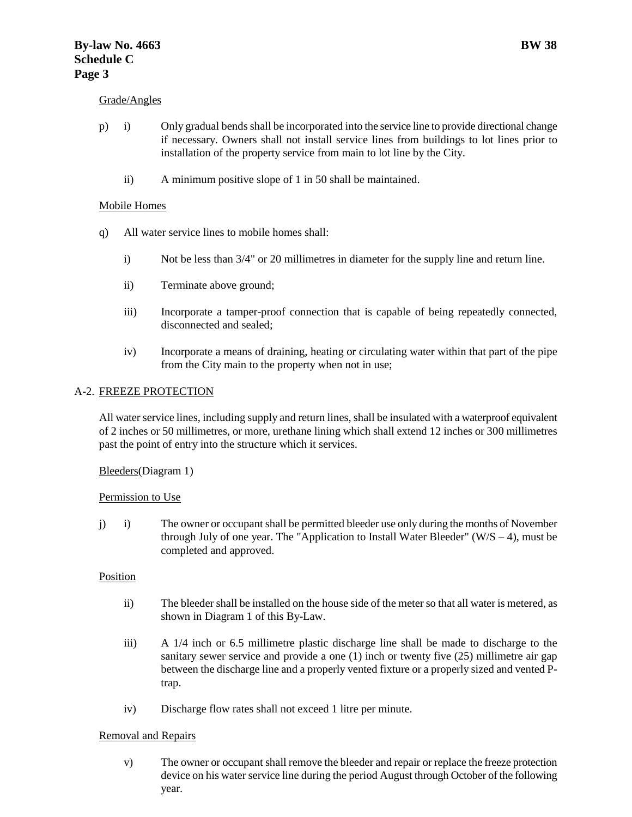#### Grade/Angles

- p) i) Only gradual bends shall be incorporated into the service line to provide directional change if necessary. Owners shall not install service lines from buildings to lot lines prior to installation of the property service from main to lot line by the City.
	- ii) A minimum positive slope of 1 in 50 shall be maintained.

#### Mobile Homes

- q) All water service lines to mobile homes shall:
	- i) Not be less than 3/4" or 20 millimetres in diameter for the supply line and return line.
	- ii) Terminate above ground;
	- iii) Incorporate a tamper-proof connection that is capable of being repeatedly connected, disconnected and sealed;
	- iv) Incorporate a means of draining, heating or circulating water within that part of the pipe from the City main to the property when not in use;

#### A-2. FREEZE PROTECTION

All water service lines, including supply and return lines, shall be insulated with a waterproof equivalent of 2 inches or 50 millimetres, or more, urethane lining which shall extend 12 inches or 300 millimetres past the point of entry into the structure which it services.

Bleeders(Diagram 1)

#### Permission to Use

j) i) The owner or occupant shall be permitted bleeder use only during the months of November through July of one year. The "Application to Install Water Bleeder" ( $W/S - 4$ ), must be completed and approved.

#### Position

- ii) The bleeder shall be installed on the house side of the meter so that all water is metered, as shown in Diagram 1 of this By-Law.
- iii) A 1/4 inch or 6.5 millimetre plastic discharge line shall be made to discharge to the sanitary sewer service and provide a one (1) inch or twenty five (25) millimetre air gap between the discharge line and a properly vented fixture or a properly sized and vented Ptrap.
- iv) Discharge flow rates shall not exceed 1 litre per minute.

#### Removal and Repairs

v) The owner or occupant shall remove the bleeder and repair or replace the freeze protection device on his water service line during the period August through October of the following year.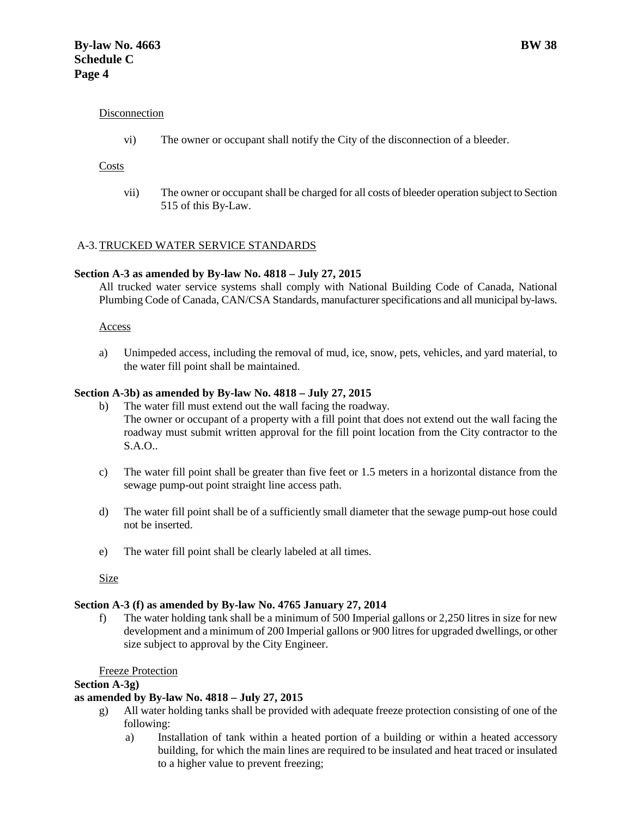#### Disconnection

vi) The owner or occupant shall notify the City of the disconnection of a bleeder.

#### Costs

vii) The owner or occupant shall be charged for all costs of bleeder operation subject to Section 515 of this By-Law.

#### A-3.TRUCKED WATER SERVICE STANDARDS

#### **Section A-3 as amended by By-law No. 4818 – July 27, 2015**

All trucked water service systems shall comply with National Building Code of Canada, National Plumbing Code of Canada, CAN/CSA Standards, manufacturer specifications and all municipal by-laws.

#### Access

a) Unimpeded access, including the removal of mud, ice, snow, pets, vehicles, and yard material, to the water fill point shall be maintained.

#### **Section A-3b) as amended by By-law No. 4818 – July 27, 2015**

- b) The water fill must extend out the wall facing the roadway. The owner or occupant of a property with a fill point that does not extend out the wall facing the roadway must submit written approval for the fill point location from the City contractor to the S.A.O..
- c) The water fill point shall be greater than five feet or 1.5 meters in a horizontal distance from the sewage pump-out point straight line access path.
- d) The water fill point shall be of a sufficiently small diameter that the sewage pump-out hose could not be inserted.
- e) The water fill point shall be clearly labeled at all times.

Size

#### **Section A-3 (f) as amended by By-law No. 4765 January 27, 2014**

The water holding tank shall be a minimum of 500 Imperial gallons or 2,250 litres in size for new development and a minimum of 200 Imperial gallons or 900 litres for upgraded dwellings, or other size subject to approval by the City Engineer.

Freeze Protection

#### **Section A-3g)**

#### **as amended by By-law No. 4818 – July 27, 2015**

- g) All water holding tanks shall be provided with adequate freeze protection consisting of one of the following:
	- a) Installation of tank within a heated portion of a building or within a heated accessory building, for which the main lines are required to be insulated and heat traced or insulated to a higher value to prevent freezing;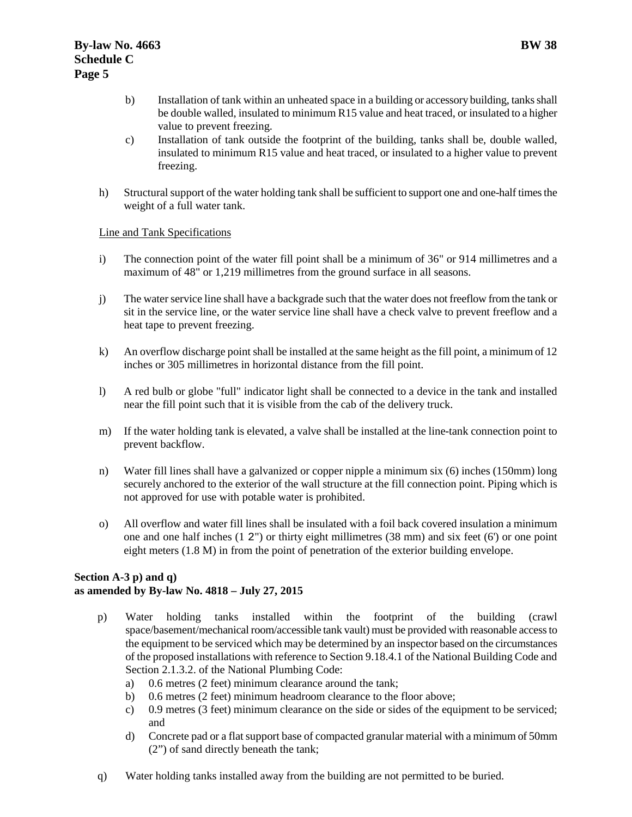- b) Installation of tank within an unheated space in a building or accessory building, tanks shall be double walled, insulated to minimum R15 value and heat traced, or insulated to a higher value to prevent freezing.
- c) Installation of tank outside the footprint of the building, tanks shall be, double walled, insulated to minimum R15 value and heat traced, or insulated to a higher value to prevent freezing.
- h) Structural support of the water holding tank shall be sufficient to support one and one-half times the weight of a full water tank.

#### Line and Tank Specifications

- i) The connection point of the water fill point shall be a minimum of 36" or 914 millimetres and a maximum of 48" or 1,219 millimetres from the ground surface in all seasons.
- j) The water service line shall have a backgrade such that the water does not freeflow from the tank or sit in the service line, or the water service line shall have a check valve to prevent freeflow and a heat tape to prevent freezing.
- k) An overflow discharge point shall be installed at the same height as the fill point, a minimum of 12 inches or 305 millimetres in horizontal distance from the fill point.
- l) A red bulb or globe "full" indicator light shall be connected to a device in the tank and installed near the fill point such that it is visible from the cab of the delivery truck.
- m) If the water holding tank is elevated, a valve shall be installed at the line-tank connection point to prevent backflow.
- n) Water fill lines shall have a galvanized or copper nipple a minimum six (6) inches (150mm) long securely anchored to the exterior of the wall structure at the fill connection point. Piping which is not approved for use with potable water is prohibited.
- o) All overflow and water fill lines shall be insulated with a foil back covered insulation a minimum one and one half inches (1 2") or thirty eight millimetres (38 mm) and six feet (6') or one point eight meters (1.8 M) in from the point of penetration of the exterior building envelope.

#### **Section A-3 p) and q) as amended by By-law No. 4818 – July 27, 2015**

- p) Water holding tanks installed within the footprint of the building (crawl space/basement/mechanical room/accessible tank vault) must be provided with reasonable access to the equipment to be serviced which may be determined by an inspector based on the circumstances of the proposed installations with reference to Section 9.18.4.1 of the National Building Code and Section 2.1.3.2. of the National Plumbing Code:
	- a) 0.6 metres (2 feet) minimum clearance around the tank;
	- b) 0.6 metres (2 feet) minimum headroom clearance to the floor above;
	- c) 0.9 metres (3 feet) minimum clearance on the side or sides of the equipment to be serviced; and
	- d) Concrete pad or a flat support base of compacted granular material with a minimum of 50mm (2") of sand directly beneath the tank;
- q) Water holding tanks installed away from the building are not permitted to be buried.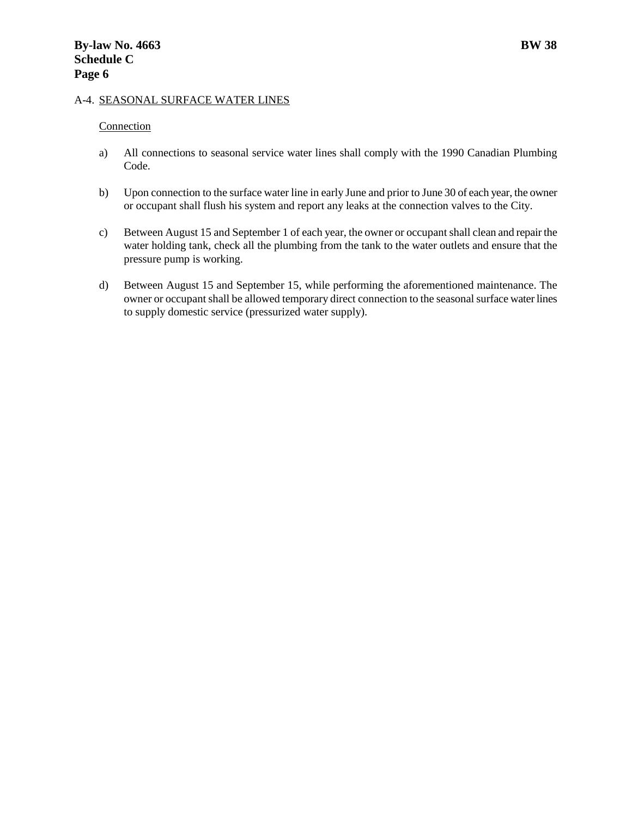#### A-4. SEASONAL SURFACE WATER LINES

#### **Connection**

- a) All connections to seasonal service water lines shall comply with the 1990 Canadian Plumbing Code.
- b) Upon connection to the surface water line in early June and prior to June 30 of each year, the owner or occupant shall flush his system and report any leaks at the connection valves to the City.
- c) Between August 15 and September 1 of each year, the owner or occupant shall clean and repair the water holding tank, check all the plumbing from the tank to the water outlets and ensure that the pressure pump is working.
- d) Between August 15 and September 15, while performing the aforementioned maintenance. The owner or occupant shall be allowed temporary direct connection to the seasonal surface water lines to supply domestic service (pressurized water supply).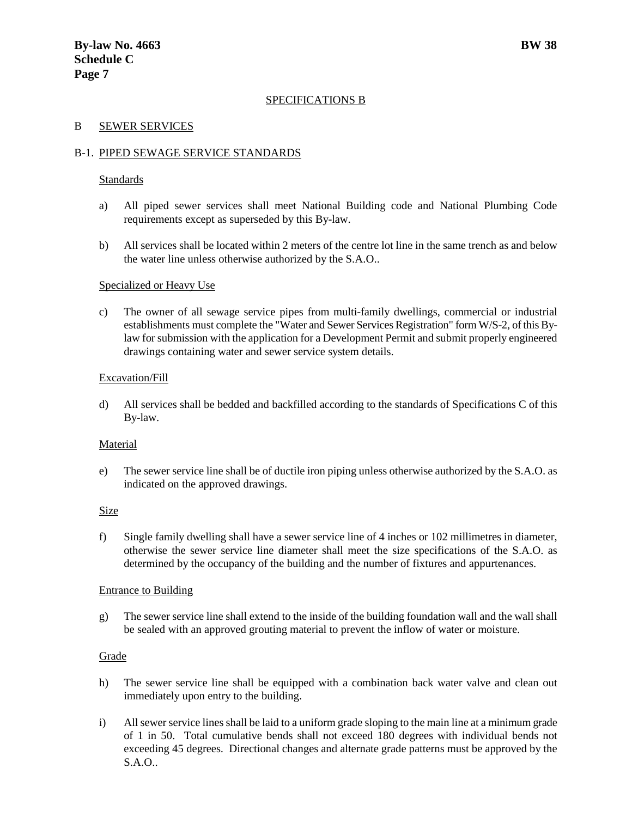#### SPECIFICATIONS B

#### B SEWER SERVICES

#### B-1. PIPED SEWAGE SERVICE STANDARDS

#### Standards

- a) All piped sewer services shall meet National Building code and National Plumbing Code requirements except as superseded by this By-law.
- b) All services shall be located within 2 meters of the centre lot line in the same trench as and below the water line unless otherwise authorized by the S.A.O..

#### Specialized or Heavy Use

c) The owner of all sewage service pipes from multi-family dwellings, commercial or industrial establishments must complete the "Water and Sewer Services Registration" form W/S-2, of this Bylaw for submission with the application for a Development Permit and submit properly engineered drawings containing water and sewer service system details.

#### Excavation/Fill

d) All services shall be bedded and backfilled according to the standards of Specifications C of this By-law.

#### Material

e) The sewer service line shall be of ductile iron piping unless otherwise authorized by the S.A.O. as indicated on the approved drawings.

#### **Size**

f) Single family dwelling shall have a sewer service line of 4 inches or 102 millimetres in diameter, otherwise the sewer service line diameter shall meet the size specifications of the S.A.O. as determined by the occupancy of the building and the number of fixtures and appurtenances.

#### Entrance to Building

g) The sewer service line shall extend to the inside of the building foundation wall and the wall shall be sealed with an approved grouting material to prevent the inflow of water or moisture.

#### Grade

- h) The sewer service line shall be equipped with a combination back water valve and clean out immediately upon entry to the building.
- i) All sewer service lines shall be laid to a uniform grade sloping to the main line at a minimum grade of 1 in 50. Total cumulative bends shall not exceed 180 degrees with individual bends not exceeding 45 degrees. Directional changes and alternate grade patterns must be approved by the S.A.O..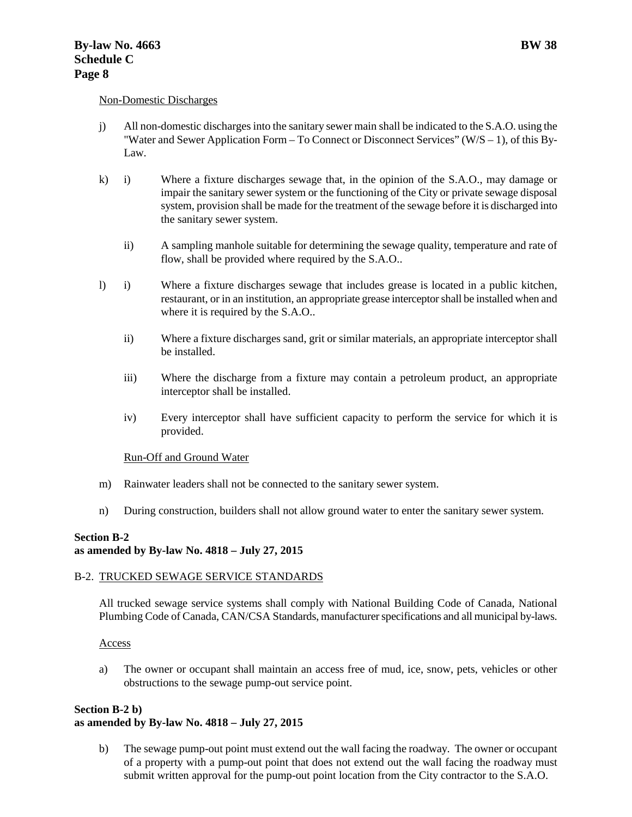#### Non-Domestic Discharges

- j) All non-domestic discharges into the sanitary sewer main shall be indicated to the S.A.O. using the "Water and Sewer Application Form – To Connect or Disconnect Services" (W/S – 1), of this By-Law.
- k) i) Where a fixture discharges sewage that, in the opinion of the S.A.O., may damage or impair the sanitary sewer system or the functioning of the City or private sewage disposal system, provision shall be made for the treatment of the sewage before it is discharged into the sanitary sewer system.
	- ii) A sampling manhole suitable for determining the sewage quality, temperature and rate of flow, shall be provided where required by the S.A.O..
- l) i) Where a fixture discharges sewage that includes grease is located in a public kitchen, restaurant, or in an institution, an appropriate grease interceptor shall be installed when and where it is required by the S.A.O..
	- ii) Where a fixture discharges sand, grit or similar materials, an appropriate interceptor shall be installed.
	- iii) Where the discharge from a fixture may contain a petroleum product, an appropriate interceptor shall be installed.
	- iv) Every interceptor shall have sufficient capacity to perform the service for which it is provided.

#### Run-Off and Ground Water

- m) Rainwater leaders shall not be connected to the sanitary sewer system.
- n) During construction, builders shall not allow ground water to enter the sanitary sewer system.

#### **Section B-2 as amended by By-law No. 4818 – July 27, 2015**

#### B-2. TRUCKED SEWAGE SERVICE STANDARDS

All trucked sewage service systems shall comply with National Building Code of Canada, National Plumbing Code of Canada, CAN/CSA Standards, manufacturer specifications and all municipal by-laws.

#### Access

a) The owner or occupant shall maintain an access free of mud, ice, snow, pets, vehicles or other obstructions to the sewage pump-out service point.

#### **Section B-2 b)**

#### **as amended by By-law No. 4818 – July 27, 2015**

b) The sewage pump-out point must extend out the wall facing the roadway. The owner or occupant of a property with a pump-out point that does not extend out the wall facing the roadway must submit written approval for the pump-out point location from the City contractor to the S.A.O.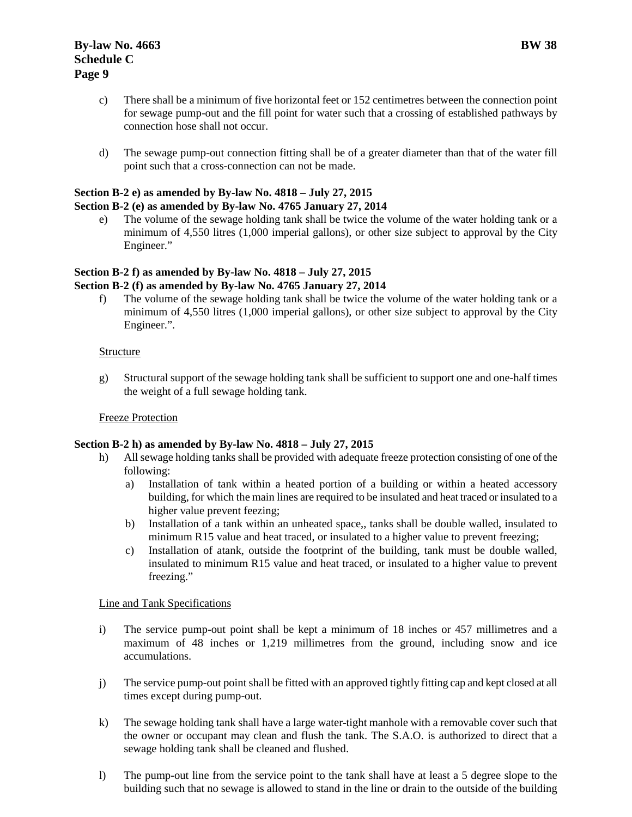- c) There shall be a minimum of five horizontal feet or 152 centimetres between the connection point for sewage pump-out and the fill point for water such that a crossing of established pathways by connection hose shall not occur.
- d) The sewage pump-out connection fitting shall be of a greater diameter than that of the water fill point such that a cross-connection can not be made.

#### **Section B-2 e) as amended by By-law No. 4818 – July 27, 2015**

#### **Section B-2 (e) as amended by By-law No. 4765 January 27, 2014**

e) The volume of the sewage holding tank shall be twice the volume of the water holding tank or a minimum of 4,550 litres (1,000 imperial gallons), or other size subject to approval by the City Engineer."

#### **Section B-2 f) as amended by By-law No. 4818 – July 27, 2015 Section B-2 (f) as amended by By-law No. 4765 January 27, 2014**

f) The volume of the sewage holding tank shall be twice the volume of the water holding tank or a minimum of 4,550 litres (1,000 imperial gallons), or other size subject to approval by the City Engineer.".

#### **Structure**

g) Structural support of the sewage holding tank shall be sufficient to support one and one-half times the weight of a full sewage holding tank.

#### Freeze Protection

#### **Section B-2 h) as amended by By-law No. 4818 – July 27, 2015**

- h) All sewage holding tanks shall be provided with adequate freeze protection consisting of one of the following:
	- a) Installation of tank within a heated portion of a building or within a heated accessory building, for which the main lines are required to be insulated and heat traced or insulated to a higher value prevent feezing;
	- b) Installation of a tank within an unheated space,, tanks shall be double walled, insulated to minimum R15 value and heat traced, or insulated to a higher value to prevent freezing;
	- c) Installation of atank, outside the footprint of the building, tank must be double walled, insulated to minimum R15 value and heat traced, or insulated to a higher value to prevent freezing."

#### Line and Tank Specifications

- i) The service pump-out point shall be kept a minimum of 18 inches or 457 millimetres and a maximum of 48 inches or 1,219 millimetres from the ground, including snow and ice accumulations.
- j) The service pump-out point shall be fitted with an approved tightly fitting cap and kept closed at all times except during pump-out.
- k) The sewage holding tank shall have a large water-tight manhole with a removable cover such that the owner or occupant may clean and flush the tank. The S.A.O. is authorized to direct that a sewage holding tank shall be cleaned and flushed.
- l) The pump-out line from the service point to the tank shall have at least a 5 degree slope to the building such that no sewage is allowed to stand in the line or drain to the outside of the building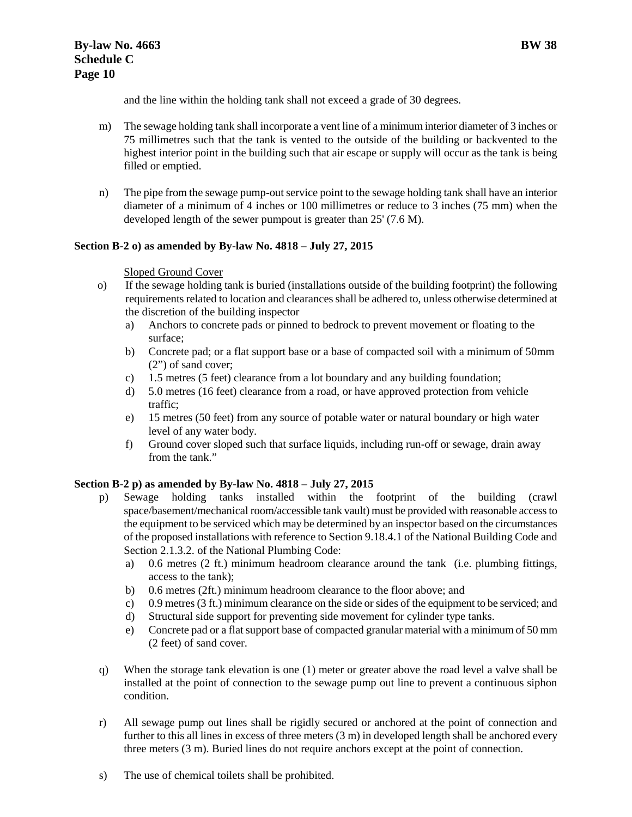and the line within the holding tank shall not exceed a grade of 30 degrees.

- m) The sewage holding tank shall incorporate a vent line of a minimum interior diameter of 3 inches or 75 millimetres such that the tank is vented to the outside of the building or backvented to the highest interior point in the building such that air escape or supply will occur as the tank is being filled or emptied.
- n) The pipe from the sewage pump-out service point to the sewage holding tank shall have an interior diameter of a minimum of 4 inches or 100 millimetres or reduce to 3 inches (75 mm) when the developed length of the sewer pumpout is greater than 25' (7.6 M).

# **Section B-2 o) as amended by By-law No. 4818 – July 27, 2015**

# Sloped Ground Cover

- o) If the sewage holding tank is buried (installations outside of the building footprint) the following requirements related to location and clearances shall be adhered to, unless otherwise determined at the discretion of the building inspector
	- a) Anchors to concrete pads or pinned to bedrock to prevent movement or floating to the surface;
	- b) Concrete pad; or a flat support base or a base of compacted soil with a minimum of 50mm (2") of sand cover;
	- c) 1.5 metres (5 feet) clearance from a lot boundary and any building foundation;
	- d) 5.0 metres (16 feet) clearance from a road, or have approved protection from vehicle traffic;
	- e) 15 metres (50 feet) from any source of potable water or natural boundary or high water level of any water body.
	- f) Ground cover sloped such that surface liquids, including run-off or sewage, drain away from the tank."

# **Section B-2 p) as amended by By-law No. 4818 – July 27, 2015**

- p) Sewage holding tanks installed within the footprint of the building (crawl space/basement/mechanical room/accessible tank vault) must be provided with reasonable access to the equipment to be serviced which may be determined by an inspector based on the circumstances of the proposed installations with reference to Section 9.18.4.1 of the National Building Code and Section 2.1.3.2. of the National Plumbing Code:
	- a) 0.6 metres (2 ft.) minimum headroom clearance around the tank (i.e. plumbing fittings, access to the tank);
	- b) 0.6 metres (2ft.) minimum headroom clearance to the floor above; and
	- c) 0.9 metres (3 ft.) minimum clearance on the side or sides of the equipment to be serviced; and
	- d) Structural side support for preventing side movement for cylinder type tanks.
	- e) Concrete pad or a flat support base of compacted granular material with a minimum of 50 mm (2 feet) of sand cover.
- q) When the storage tank elevation is one (1) meter or greater above the road level a valve shall be installed at the point of connection to the sewage pump out line to prevent a continuous siphon condition.
- r) All sewage pump out lines shall be rigidly secured or anchored at the point of connection and further to this all lines in excess of three meters (3 m) in developed length shall be anchored every three meters (3 m). Buried lines do not require anchors except at the point of connection.
- s) The use of chemical toilets shall be prohibited.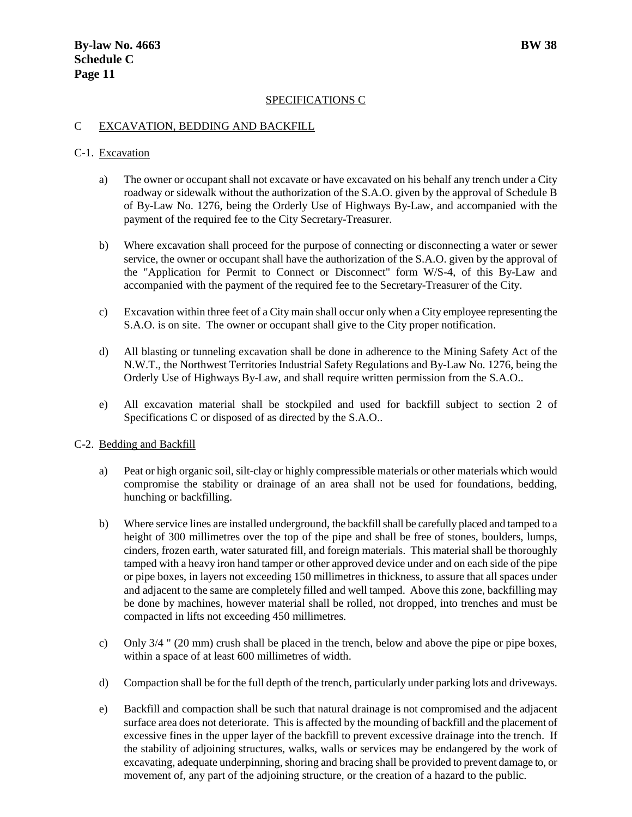#### SPECIFICATIONS C

#### C EXCAVATION, BEDDING AND BACKFILL

#### C-1. Excavation

- a) The owner or occupant shall not excavate or have excavated on his behalf any trench under a City roadway or sidewalk without the authorization of the S.A.O. given by the approval of Schedule B of By-Law No. 1276, being the Orderly Use of Highways By-Law, and accompanied with the payment of the required fee to the City Secretary-Treasurer.
- b) Where excavation shall proceed for the purpose of connecting or disconnecting a water or sewer service, the owner or occupant shall have the authorization of the S.A.O. given by the approval of the "Application for Permit to Connect or Disconnect" form W/S-4, of this By-Law and accompanied with the payment of the required fee to the Secretary-Treasurer of the City.
- c) Excavation within three feet of a City main shall occur only when a City employee representing the S.A.O. is on site. The owner or occupant shall give to the City proper notification.
- d) All blasting or tunneling excavation shall be done in adherence to the Mining Safety Act of the N.W.T., the Northwest Territories Industrial Safety Regulations and By-Law No. 1276, being the Orderly Use of Highways By-Law, and shall require written permission from the S.A.O..
- e) All excavation material shall be stockpiled and used for backfill subject to section 2 of Specifications C or disposed of as directed by the S.A.O..

#### C-2. Bedding and Backfill

- a) Peat or high organic soil, silt-clay or highly compressible materials or other materials which would compromise the stability or drainage of an area shall not be used for foundations, bedding, hunching or backfilling.
- b) Where service lines are installed underground, the backfill shall be carefully placed and tamped to a height of 300 millimetres over the top of the pipe and shall be free of stones, boulders, lumps, cinders, frozen earth, water saturated fill, and foreign materials. This material shall be thoroughly tamped with a heavy iron hand tamper or other approved device under and on each side of the pipe or pipe boxes, in layers not exceeding 150 millimetres in thickness, to assure that all spaces under and adjacent to the same are completely filled and well tamped. Above this zone, backfilling may be done by machines, however material shall be rolled, not dropped, into trenches and must be compacted in lifts not exceeding 450 millimetres.
- c) Only 3/4 " (20 mm) crush shall be placed in the trench, below and above the pipe or pipe boxes, within a space of at least 600 millimetres of width.
- d) Compaction shall be for the full depth of the trench, particularly under parking lots and driveways.
- e) Backfill and compaction shall be such that natural drainage is not compromised and the adjacent surface area does not deteriorate. This is affected by the mounding of backfill and the placement of excessive fines in the upper layer of the backfill to prevent excessive drainage into the trench. If the stability of adjoining structures, walks, walls or services may be endangered by the work of excavating, adequate underpinning, shoring and bracing shall be provided to prevent damage to, or movement of, any part of the adjoining structure, or the creation of a hazard to the public.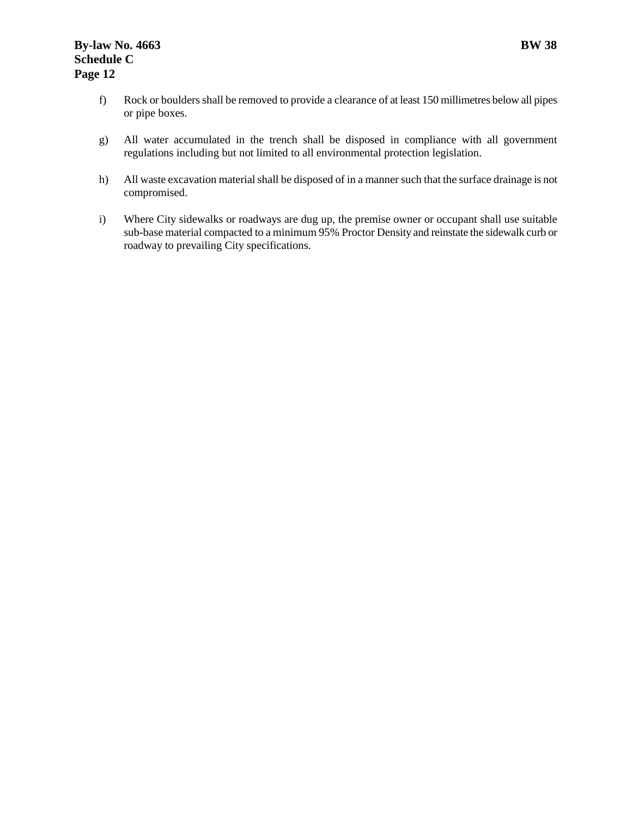- f) Rock or boulders shall be removed to provide a clearance of at least 150 millimetres below all pipes or pipe boxes.
- g) All water accumulated in the trench shall be disposed in compliance with all government regulations including but not limited to all environmental protection legislation.
- h) All waste excavation material shall be disposed of in a manner such that the surface drainage is not compromised.
- i) Where City sidewalks or roadways are dug up, the premise owner or occupant shall use suitable sub-base material compacted to a minimum 95% Proctor Density and reinstate the sidewalk curb or roadway to prevailing City specifications.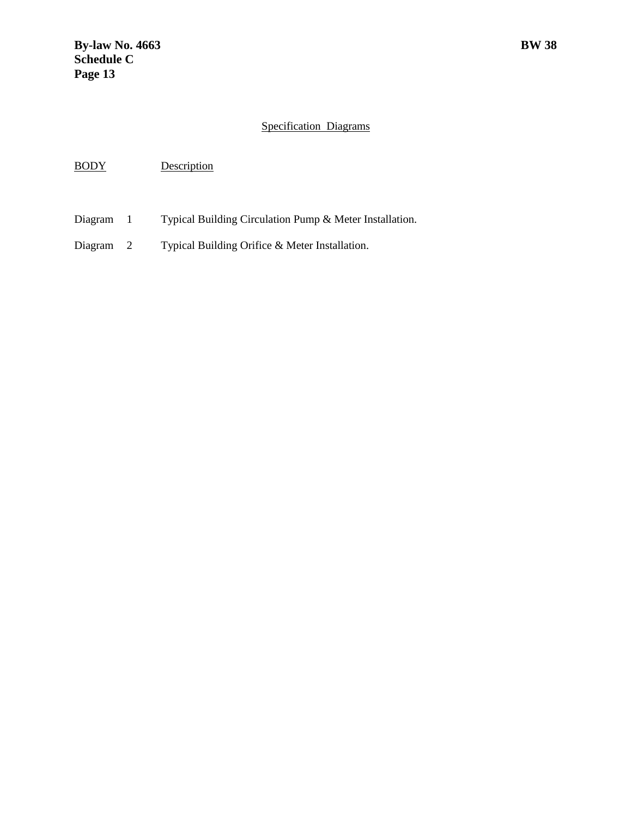# Specification Diagrams

BODY Description

Diagram 1 Typical Building Circulation Pump & Meter Installation.

Diagram 2 Typical Building Orifice & Meter Installation.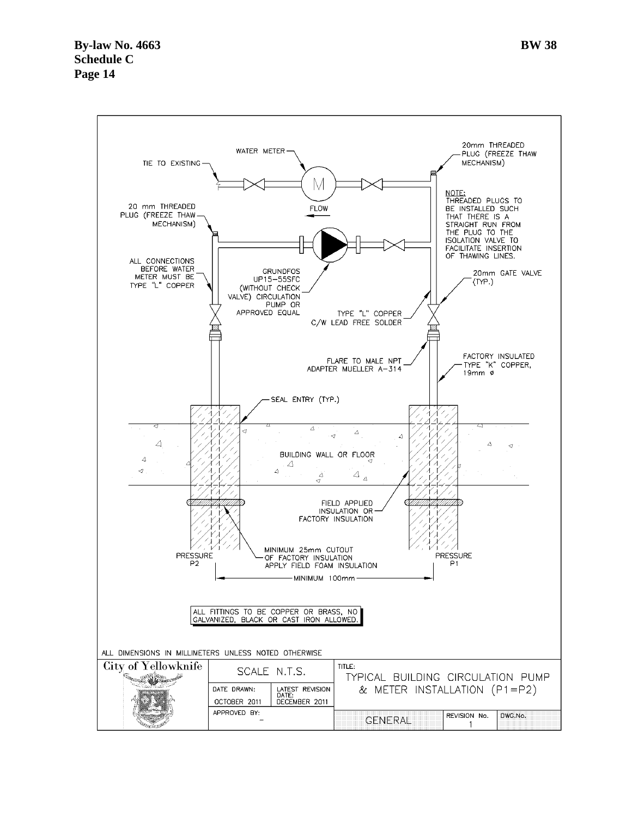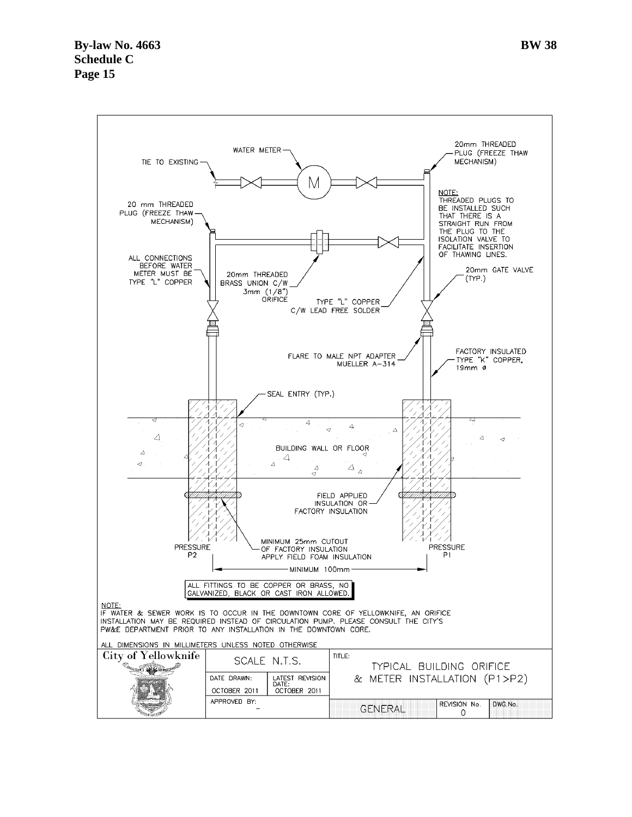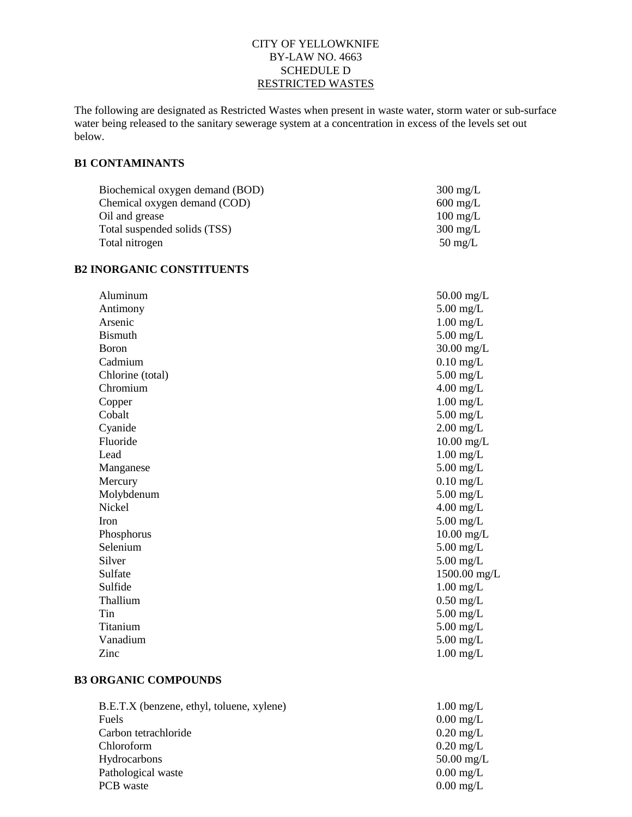#### CITY OF YELLOWKNIFE BY-LAW NO. 4663 SCHEDULE D RESTRICTED WASTES

The following are designated as Restricted Wastes when present in waste water, storm water or sub-surface water being released to the sanitary sewerage system at a concentration in excess of the levels set out below.

# **B1 CONTAMINANTS**

| Biochemical oxygen demand (BOD) | $300 \text{ mg/L}$ |
|---------------------------------|--------------------|
| Chemical oxygen demand (COD)    | $600 \text{ mg/L}$ |
| Oil and grease                  | $100 \text{ mg/L}$ |
| Total suspended solids (TSS)    | $300 \text{ mg/L}$ |
| Total nitrogen                  | $50 \text{ mg/L}$  |

#### **B2 INORGANIC CONSTITUENTS**

| Aluminum         | $50.00$ mg/L |
|------------------|--------------|
| Antimony         | $5.00$ mg/L  |
| Arsenic          | $1.00$ mg/L  |
| <b>Bismuth</b>   | $5.00$ mg/L  |
| Boron            | $30.00$ mg/L |
| Cadmium          | $0.10$ mg/L  |
| Chlorine (total) | $5.00$ mg/L  |
| Chromium         | $4.00$ mg/L  |
| Copper           | $1.00$ mg/L  |
| Cobalt           | $5.00$ mg/L  |
| Cyanide          | $2.00$ mg/L  |
| Fluoride         | $10.00$ mg/L |
| Lead             | $1.00$ mg/L  |
| Manganese        | $5.00$ mg/L  |
| Mercury          | $0.10$ mg/L  |
| Molybdenum       | $5.00$ mg/L  |
| Nickel           | $4.00$ mg/L  |
| Iron             | $5.00$ mg/L  |
| Phosphorus       | $10.00$ mg/L |
| Selenium         | $5.00$ mg/L  |
| Silver           | $5.00$ mg/L  |
| Sulfate          | 1500.00 mg/L |
| Sulfide          | $1.00$ mg/L  |
| Thallium         | $0.50$ mg/L  |
| Tin              | $5.00$ mg/L  |
| Titanium         | $5.00$ mg/L  |
| Vanadium         | $5.00$ mg/L  |
| Zinc             | $1.00$ mg/L  |
|                  |              |

# **B3 ORGANIC COMPOUNDS**

| B.E.T.X (benzene, ethyl, toluene, xylene) | $1.00 \text{ mg/L}$ |
|-------------------------------------------|---------------------|
| Fuels                                     | $0.00$ mg/L         |
| Carbon tetrachloride                      | $0.20 \text{ mg/L}$ |
| Chloroform                                | $0.20 \text{ mg/L}$ |
| Hydrocarbons                              | $50.00$ mg/L        |
| Pathological waste                        | $0.00 \text{ mg/L}$ |
| PCB waste                                 | $0.00 \text{ mg/L}$ |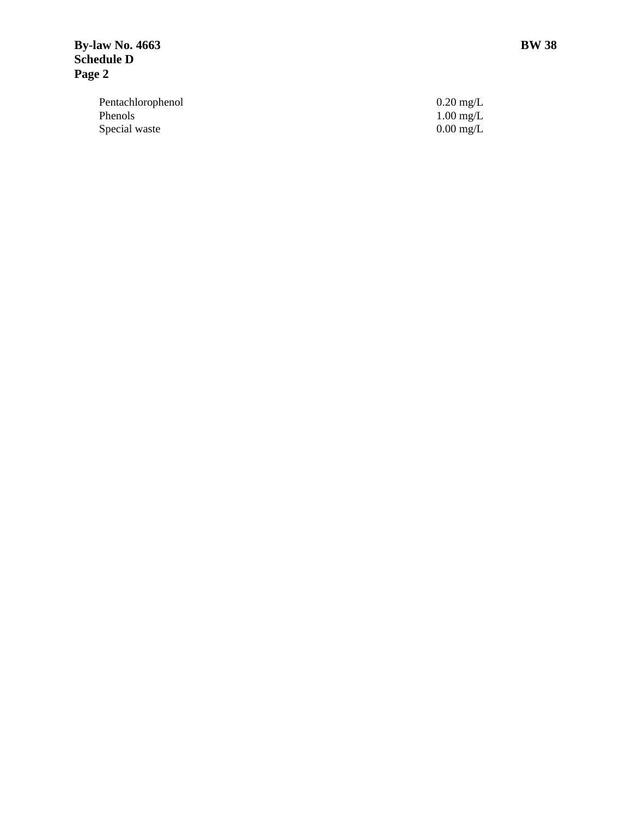Pentachlorophenol 0.20 mg/L Phenols 1.00 mg/L Special waste

 $\begin{array}{c} 0.20 \text{ mg/L} \\ 1.00 \text{ mg/L} \\ 0.00 \text{ mg/L} \end{array}$